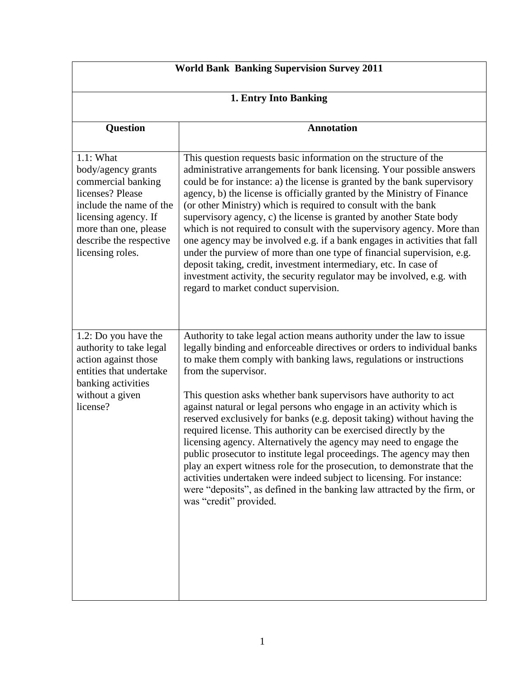| <b>World Bank Banking Supervision Survey 2011</b>                                                                                                                                                    |                                                                                                                                                                                                                                                                                                                                                                                                                                                                                                                                                                                                                                                                                                                                                                                                                                                                                                                                                      |
|------------------------------------------------------------------------------------------------------------------------------------------------------------------------------------------------------|------------------------------------------------------------------------------------------------------------------------------------------------------------------------------------------------------------------------------------------------------------------------------------------------------------------------------------------------------------------------------------------------------------------------------------------------------------------------------------------------------------------------------------------------------------------------------------------------------------------------------------------------------------------------------------------------------------------------------------------------------------------------------------------------------------------------------------------------------------------------------------------------------------------------------------------------------|
| 1. Entry Into Banking                                                                                                                                                                                |                                                                                                                                                                                                                                                                                                                                                                                                                                                                                                                                                                                                                                                                                                                                                                                                                                                                                                                                                      |
| <b>Question</b>                                                                                                                                                                                      | <b>Annotation</b>                                                                                                                                                                                                                                                                                                                                                                                                                                                                                                                                                                                                                                                                                                                                                                                                                                                                                                                                    |
| 1.1: What<br>body/agency grants<br>commercial banking<br>licenses? Please<br>include the name of the<br>licensing agency. If<br>more than one, please<br>describe the respective<br>licensing roles. | This question requests basic information on the structure of the<br>administrative arrangements for bank licensing. Your possible answers<br>could be for instance: a) the license is granted by the bank supervisory<br>agency, b) the license is officially granted by the Ministry of Finance<br>(or other Ministry) which is required to consult with the bank<br>supervisory agency, c) the license is granted by another State body<br>which is not required to consult with the supervisory agency. More than<br>one agency may be involved e.g. if a bank engages in activities that fall<br>under the purview of more than one type of financial supervision, e.g.<br>deposit taking, credit, investment intermediary, etc. In case of<br>investment activity, the security regulator may be involved, e.g. with<br>regard to market conduct supervision.                                                                                   |
| 1.2: Do you have the<br>authority to take legal<br>action against those<br>entities that undertake<br>banking activities<br>without a given<br>license?                                              | Authority to take legal action means authority under the law to issue<br>legally binding and enforceable directives or orders to individual banks<br>to make them comply with banking laws, regulations or instructions<br>from the supervisor.<br>This question asks whether bank supervisors have authority to act<br>against natural or legal persons who engage in an activity which is<br>reserved exclusively for banks (e.g. deposit taking) without having the<br>required license. This authority can be exercised directly by the<br>licensing agency. Alternatively the agency may need to engage the<br>public prosecutor to institute legal proceedings. The agency may then<br>play an expert witness role for the prosecution, to demonstrate that the<br>activities undertaken were indeed subject to licensing. For instance:<br>were "deposits", as defined in the banking law attracted by the firm, or<br>was "credit" provided. |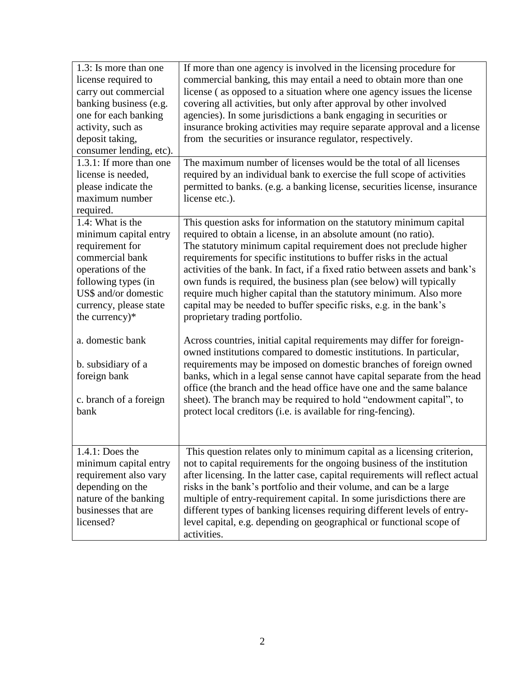| 1.3: Is more than one<br>license required to<br>carry out commercial<br>banking business (e.g.<br>one for each banking<br>activity, such as<br>deposit taking,<br>consumer lending, etc).<br>1.3.1: If more than one<br>license is needed, | If more than one agency is involved in the licensing procedure for<br>commercial banking, this may entail a need to obtain more than one<br>license (as opposed to a situation where one agency issues the license<br>covering all activities, but only after approval by other involved<br>agencies). In some jurisdictions a bank engaging in securities or<br>insurance broking activities may require separate approval and a license<br>from the securities or insurance regulator, respectively.<br>The maximum number of licenses would be the total of all licenses<br>required by an individual bank to exercise the full scope of activities |
|--------------------------------------------------------------------------------------------------------------------------------------------------------------------------------------------------------------------------------------------|--------------------------------------------------------------------------------------------------------------------------------------------------------------------------------------------------------------------------------------------------------------------------------------------------------------------------------------------------------------------------------------------------------------------------------------------------------------------------------------------------------------------------------------------------------------------------------------------------------------------------------------------------------|
| please indicate the<br>maximum number<br>required.                                                                                                                                                                                         | permitted to banks. (e.g. a banking license, securities license, insurance<br>license etc.).                                                                                                                                                                                                                                                                                                                                                                                                                                                                                                                                                           |
| 1.4: What is the<br>minimum capital entry<br>requirement for<br>commercial bank<br>operations of the<br>following types (in<br>US\$ and/or domestic<br>currency, please state<br>the currency)*                                            | This question asks for information on the statutory minimum capital<br>required to obtain a license, in an absolute amount (no ratio).<br>The statutory minimum capital requirement does not preclude higher<br>requirements for specific institutions to buffer risks in the actual<br>activities of the bank. In fact, if a fixed ratio between assets and bank's<br>own funds is required, the business plan (see below) will typically<br>require much higher capital than the statutory minimum. Also more<br>capital may be needed to buffer specific risks, e.g. in the bank's<br>proprietary trading portfolio.                                |
| a. domestic bank<br>b. subsidiary of a<br>foreign bank<br>c. branch of a foreign<br>bank                                                                                                                                                   | Across countries, initial capital requirements may differ for foreign-<br>owned institutions compared to domestic institutions. In particular,<br>requirements may be imposed on domestic branches of foreign owned<br>banks, which in a legal sense cannot have capital separate from the head<br>office (the branch and the head office have one and the same balance<br>sheet). The branch may be required to hold "endowment capital", to<br>protect local creditors (i.e. is available for ring-fencing).                                                                                                                                         |
| 1.4.1: Does the<br>minimum capital entry<br>requirement also vary<br>depending on the<br>nature of the banking<br>businesses that are<br>licensed?                                                                                         | This question relates only to minimum capital as a licensing criterion,<br>not to capital requirements for the ongoing business of the institution<br>after licensing. In the latter case, capital requirements will reflect actual<br>risks in the bank's portfolio and their volume, and can be a large<br>multiple of entry-requirement capital. In some jurisdictions there are<br>different types of banking licenses requiring different levels of entry-<br>level capital, e.g. depending on geographical or functional scope of<br>activities.                                                                                                 |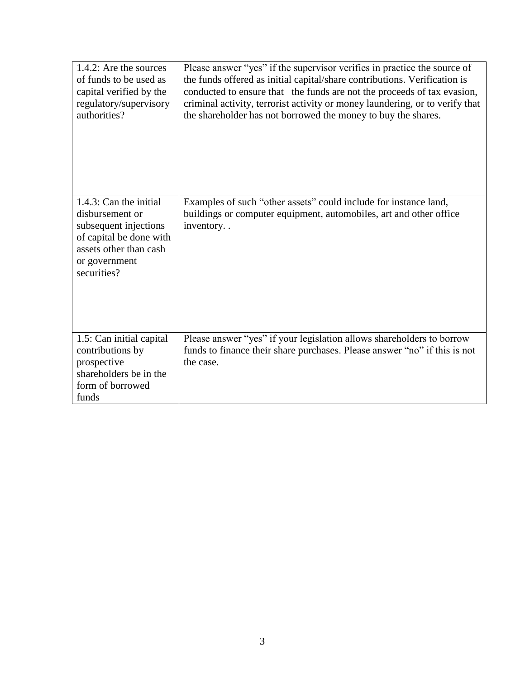| 1.4.2: Are the sources<br>of funds to be used as<br>capital verified by the<br>regulatory/supervisory<br>authorities?                                   | Please answer "yes" if the supervisor verifies in practice the source of<br>the funds offered as initial capital/share contributions. Verification is<br>conducted to ensure that the funds are not the proceeds of tax evasion,<br>criminal activity, terrorist activity or money laundering, or to verify that<br>the shareholder has not borrowed the money to buy the shares. |
|---------------------------------------------------------------------------------------------------------------------------------------------------------|-----------------------------------------------------------------------------------------------------------------------------------------------------------------------------------------------------------------------------------------------------------------------------------------------------------------------------------------------------------------------------------|
| 1.4.3: Can the initial<br>disbursement or<br>subsequent injections<br>of capital be done with<br>assets other than cash<br>or government<br>securities? | Examples of such "other assets" could include for instance land,<br>buildings or computer equipment, automobiles, art and other office<br>inventory                                                                                                                                                                                                                               |
| 1.5: Can initial capital<br>contributions by<br>prospective<br>shareholders be in the<br>form of borrowed<br>funds                                      | Please answer "yes" if your legislation allows shareholders to borrow<br>funds to finance their share purchases. Please answer "no" if this is not<br>the case.                                                                                                                                                                                                                   |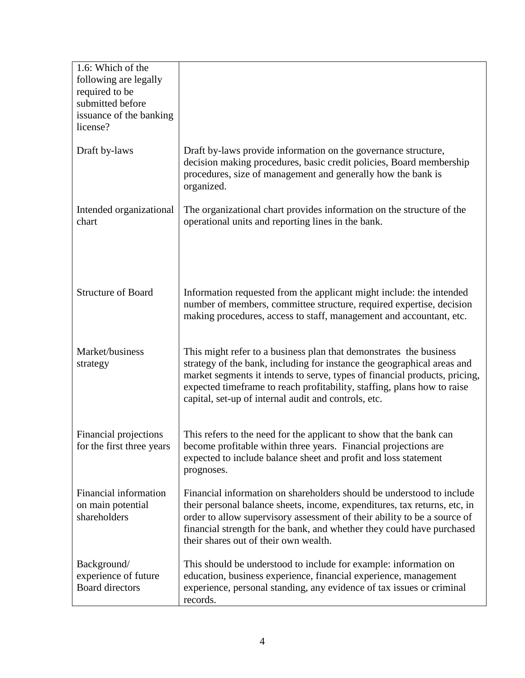| 1.6: Which of the<br>following are legally<br>required to be<br>submitted before<br>issuance of the banking<br>license? |                                                                                                                                                                                                                                                                                                                                                                |
|-------------------------------------------------------------------------------------------------------------------------|----------------------------------------------------------------------------------------------------------------------------------------------------------------------------------------------------------------------------------------------------------------------------------------------------------------------------------------------------------------|
| Draft by-laws                                                                                                           | Draft by-laws provide information on the governance structure,<br>decision making procedures, basic credit policies, Board membership<br>procedures, size of management and generally how the bank is<br>organized.                                                                                                                                            |
| Intended organizational<br>chart                                                                                        | The organizational chart provides information on the structure of the<br>operational units and reporting lines in the bank.                                                                                                                                                                                                                                    |
| <b>Structure of Board</b>                                                                                               | Information requested from the applicant might include: the intended<br>number of members, committee structure, required expertise, decision<br>making procedures, access to staff, management and accountant, etc.                                                                                                                                            |
| Market/business<br>strategy                                                                                             | This might refer to a business plan that demonstrates the business<br>strategy of the bank, including for instance the geographical areas and<br>market segments it intends to serve, types of financial products, pricing,<br>expected timeframe to reach profitability, staffing, plans how to raise<br>capital, set-up of internal audit and controls, etc. |
| Financial projections<br>for the first three years                                                                      | This refers to the need for the applicant to show that the bank can<br>become profitable within three years. Financial projections are<br>expected to include balance sheet and profit and loss statement<br>prognoses.                                                                                                                                        |
| Financial information<br>on main potential<br>shareholders                                                              | Financial information on shareholders should be understood to include<br>their personal balance sheets, income, expenditures, tax returns, etc, in<br>order to allow supervisory assessment of their ability to be a source of<br>financial strength for the bank, and whether they could have purchased<br>their shares out of their own wealth.              |
| Background/<br>experience of future<br><b>Board directors</b>                                                           | This should be understood to include for example: information on<br>education, business experience, financial experience, management<br>experience, personal standing, any evidence of tax issues or criminal<br>records.                                                                                                                                      |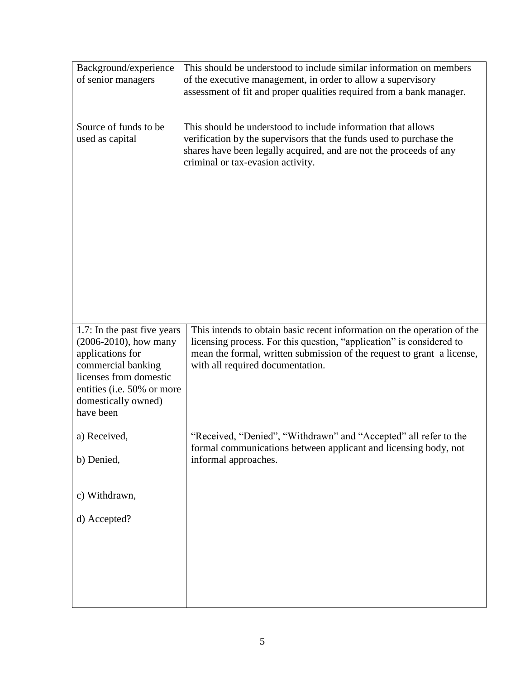| Background/experience                             | This should be understood to include similar information on members                                                                            |
|---------------------------------------------------|------------------------------------------------------------------------------------------------------------------------------------------------|
| of senior managers                                | of the executive management, in order to allow a supervisory<br>assessment of fit and proper qualities required from a bank manager.           |
|                                                   |                                                                                                                                                |
|                                                   |                                                                                                                                                |
| Source of funds to be.                            | This should be understood to include information that allows                                                                                   |
| used as capital                                   | verification by the supervisors that the funds used to purchase the<br>shares have been legally acquired, and are not the proceeds of any      |
|                                                   | criminal or tax-evasion activity.                                                                                                              |
|                                                   |                                                                                                                                                |
|                                                   |                                                                                                                                                |
|                                                   |                                                                                                                                                |
|                                                   |                                                                                                                                                |
|                                                   |                                                                                                                                                |
|                                                   |                                                                                                                                                |
|                                                   |                                                                                                                                                |
|                                                   |                                                                                                                                                |
|                                                   |                                                                                                                                                |
|                                                   |                                                                                                                                                |
| 1.7: In the past five years                       | This intends to obtain basic recent information on the operation of the                                                                        |
| $(2006-2010)$ , how many<br>applications for      | licensing process. For this question, "application" is considered to<br>mean the formal, written submission of the request to grant a license, |
| commercial banking                                | with all required documentation.                                                                                                               |
| licenses from domestic                            |                                                                                                                                                |
| entities (i.e. 50% or more<br>domestically owned) |                                                                                                                                                |
| have been                                         |                                                                                                                                                |
|                                                   |                                                                                                                                                |
| a) Received,                                      | "Received, "Denied", "Withdrawn" and "Accepted" all refer to the<br>formal communications between applicant and licensing body, not            |
| b) Denied,                                        | informal approaches.                                                                                                                           |
|                                                   |                                                                                                                                                |
|                                                   |                                                                                                                                                |
| c) Withdrawn,                                     |                                                                                                                                                |
| d) Accepted?                                      |                                                                                                                                                |
|                                                   |                                                                                                                                                |
|                                                   |                                                                                                                                                |
|                                                   |                                                                                                                                                |
|                                                   |                                                                                                                                                |
|                                                   |                                                                                                                                                |
|                                                   |                                                                                                                                                |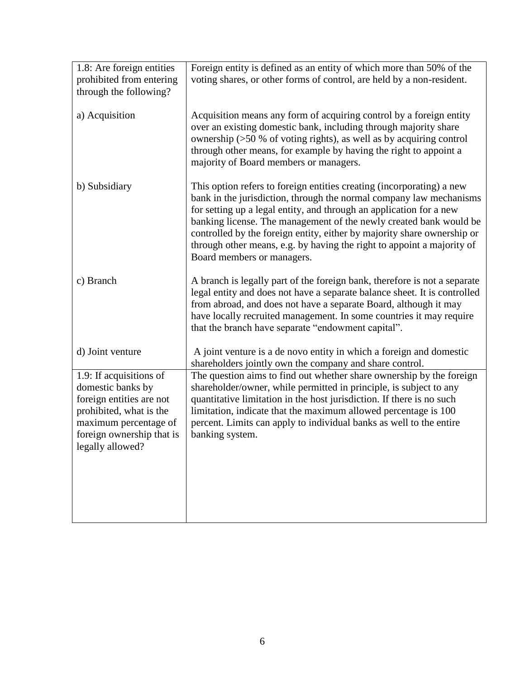| 1.8: Are foreign entities | Foreign entity is defined as an entity of which more than 50% of the                                                                       |
|---------------------------|--------------------------------------------------------------------------------------------------------------------------------------------|
| prohibited from entering  | voting shares, or other forms of control, are held by a non-resident.                                                                      |
| through the following?    |                                                                                                                                            |
|                           |                                                                                                                                            |
| a) Acquisition            | Acquisition means any form of acquiring control by a foreign entity                                                                        |
|                           | over an existing domestic bank, including through majority share                                                                           |
|                           | ownership $(50\%$ of voting rights), as well as by acquiring control                                                                       |
|                           | through other means, for example by having the right to appoint a                                                                          |
|                           | majority of Board members or managers.                                                                                                     |
|                           |                                                                                                                                            |
| b) Subsidiary             | This option refers to foreign entities creating (incorporating) a new                                                                      |
|                           | bank in the jurisdiction, through the normal company law mechanisms<br>for setting up a legal entity, and through an application for a new |
|                           | banking license. The management of the newly created bank would be                                                                         |
|                           | controlled by the foreign entity, either by majority share ownership or                                                                    |
|                           | through other means, e.g. by having the right to appoint a majority of                                                                     |
|                           | Board members or managers.                                                                                                                 |
|                           |                                                                                                                                            |
| c) Branch                 | A branch is legally part of the foreign bank, therefore is not a separate                                                                  |
|                           | legal entity and does not have a separate balance sheet. It is controlled                                                                  |
|                           | from abroad, and does not have a separate Board, although it may                                                                           |
|                           | have locally recruited management. In some countries it may require                                                                        |
|                           | that the branch have separate "endowment capital".                                                                                         |
| d) Joint venture          | A joint venture is a de novo entity in which a foreign and domestic                                                                        |
|                           | shareholders jointly own the company and share control.                                                                                    |
| 1.9: If acquisitions of   | The question aims to find out whether share ownership by the foreign                                                                       |
| domestic banks by         | shareholder/owner, while permitted in principle, is subject to any                                                                         |
| foreign entities are not  | quantitative limitation in the host jurisdiction. If there is no such                                                                      |
| prohibited, what is the   | limitation, indicate that the maximum allowed percentage is 100                                                                            |
| maximum percentage of     | percent. Limits can apply to individual banks as well to the entire                                                                        |
| foreign ownership that is | banking system.                                                                                                                            |
| legally allowed?          |                                                                                                                                            |
|                           |                                                                                                                                            |
|                           |                                                                                                                                            |
|                           |                                                                                                                                            |
|                           |                                                                                                                                            |
|                           |                                                                                                                                            |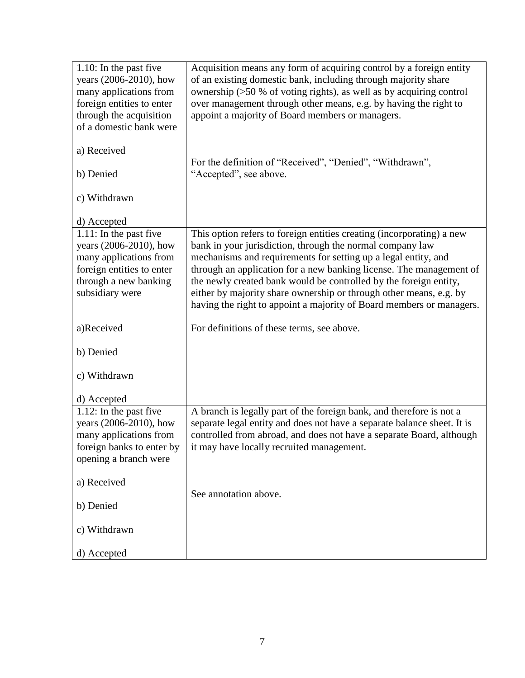| $1.10$ : In the past five | Acquisition means any form of acquiring control by a foreign entity     |
|---------------------------|-------------------------------------------------------------------------|
| years (2006-2010), how    | of an existing domestic bank, including through majority share          |
| many applications from    | ownership (>50 % of voting rights), as well as by acquiring control     |
| foreign entities to enter | over management through other means, e.g. by having the right to        |
| through the acquisition   | appoint a majority of Board members or managers.                        |
| of a domestic bank were   |                                                                         |
|                           |                                                                         |
|                           |                                                                         |
| a) Received               |                                                                         |
|                           | For the definition of "Received", "Denied", "Withdrawn",                |
| b) Denied                 | "Accepted", see above.                                                  |
|                           |                                                                         |
| c) Withdrawn              |                                                                         |
|                           |                                                                         |
| d) Accepted               |                                                                         |
| $1.11$ : In the past five | This option refers to foreign entities creating (incorporating) a new   |
| years (2006-2010), how    | bank in your jurisdiction, through the normal company law               |
| many applications from    | mechanisms and requirements for setting up a legal entity, and          |
| foreign entities to enter | through an application for a new banking license. The management of     |
| through a new banking     |                                                                         |
|                           | the newly created bank would be controlled by the foreign entity,       |
| subsidiary were           | either by majority share ownership or through other means, e.g. by      |
|                           | having the right to appoint a majority of Board members or managers.    |
|                           |                                                                         |
| a)Received                | For definitions of these terms, see above.                              |
|                           |                                                                         |
| b) Denied                 |                                                                         |
|                           |                                                                         |
| c) Withdrawn              |                                                                         |
|                           |                                                                         |
| d) Accepted               |                                                                         |
| 1.12: In the past five    | A branch is legally part of the foreign bank, and therefore is not a    |
| years (2006-2010), how    | separate legal entity and does not have a separate balance sheet. It is |
| many applications from    | controlled from abroad, and does not have a separate Board, although    |
|                           |                                                                         |
| foreign banks to enter by | it may have locally recruited management.                               |
| opening a branch were     |                                                                         |
|                           |                                                                         |
| a) Received               |                                                                         |
|                           | See annotation above.                                                   |
| b) Denied                 |                                                                         |
|                           |                                                                         |
| c) Withdrawn              |                                                                         |
|                           |                                                                         |
| d) Accepted               |                                                                         |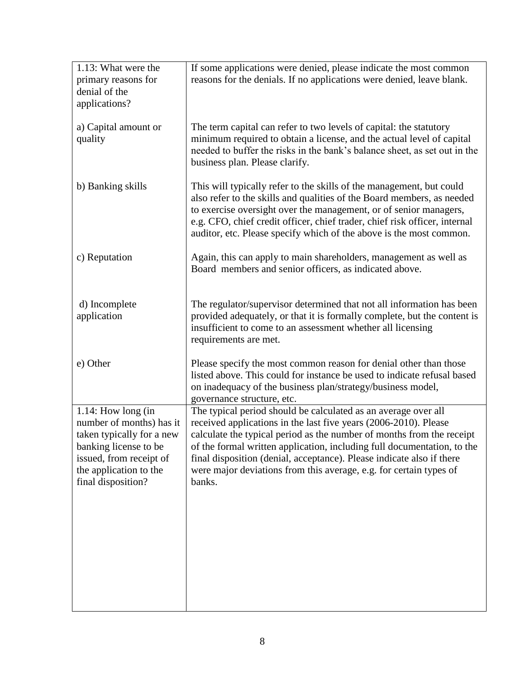| 1.13: What were the<br>primary reasons for<br>denial of the<br>applications?                                                                                                       | If some applications were denied, please indicate the most common<br>reasons for the denials. If no applications were denied, leave blank.                                                                                                                                                                                                                                                                                                      |
|------------------------------------------------------------------------------------------------------------------------------------------------------------------------------------|-------------------------------------------------------------------------------------------------------------------------------------------------------------------------------------------------------------------------------------------------------------------------------------------------------------------------------------------------------------------------------------------------------------------------------------------------|
| a) Capital amount or<br>quality                                                                                                                                                    | The term capital can refer to two levels of capital: the statutory<br>minimum required to obtain a license, and the actual level of capital<br>needed to buffer the risks in the bank's balance sheet, as set out in the<br>business plan. Please clarify.                                                                                                                                                                                      |
| b) Banking skills                                                                                                                                                                  | This will typically refer to the skills of the management, but could<br>also refer to the skills and qualities of the Board members, as needed<br>to exercise oversight over the management, or of senior managers,<br>e.g. CFO, chief credit officer, chief trader, chief risk officer, internal<br>auditor, etc. Please specify which of the above is the most common.                                                                        |
| c) Reputation                                                                                                                                                                      | Again, this can apply to main shareholders, management as well as<br>Board members and senior officers, as indicated above.                                                                                                                                                                                                                                                                                                                     |
| d) Incomplete<br>application                                                                                                                                                       | The regulator/supervisor determined that not all information has been<br>provided adequately, or that it is formally complete, but the content is<br>insufficient to come to an assessment whether all licensing<br>requirements are met.                                                                                                                                                                                                       |
| e) Other                                                                                                                                                                           | Please specify the most common reason for denial other than those<br>listed above. This could for instance be used to indicate refusal based<br>on inadequacy of the business plan/strategy/business model,<br>governance structure, etc.                                                                                                                                                                                                       |
| $1.14$ : How long (in<br>number of months) has it<br>taken typically for a new<br>banking license to be<br>issued, from receipt of<br>the application to the<br>final disposition? | The typical period should be calculated as an average over all<br>received applications in the last five years (2006-2010). Please<br>calculate the typical period as the number of months from the receipt<br>of the formal written application, including full documentation, to the<br>final disposition (denial, acceptance). Please indicate also if there<br>were major deviations from this average, e.g. for certain types of<br>banks. |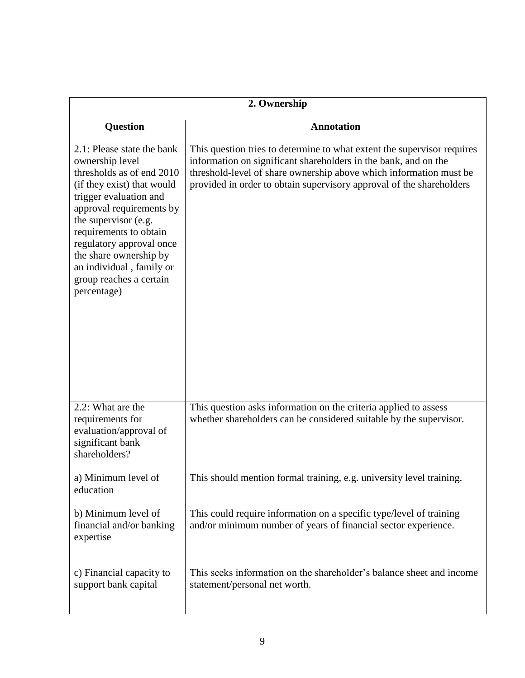| 2. Ownership                                                                                                                                                                                                                                                                                                                                 |                                                                                                                                                                                                                                                                                          |
|----------------------------------------------------------------------------------------------------------------------------------------------------------------------------------------------------------------------------------------------------------------------------------------------------------------------------------------------|------------------------------------------------------------------------------------------------------------------------------------------------------------------------------------------------------------------------------------------------------------------------------------------|
| <b>Question</b>                                                                                                                                                                                                                                                                                                                              | <b>Annotation</b>                                                                                                                                                                                                                                                                        |
| 2.1: Please state the bank<br>ownership level<br>thresholds as of end 2010<br>(if they exist) that would<br>trigger evaluation and<br>approval requirements by<br>the supervisor (e.g.<br>requirements to obtain<br>regulatory approval once<br>the share ownership by<br>an individual, family or<br>group reaches a certain<br>percentage) | This question tries to determine to what extent the supervisor requires<br>information on significant shareholders in the bank, and on the<br>threshold-level of share ownership above which information must be<br>provided in order to obtain supervisory approval of the shareholders |
| 2.2: What are the<br>requirements for<br>evaluation/approval of<br>significant bank<br>shareholders?                                                                                                                                                                                                                                         | This question asks information on the criteria applied to assess<br>whether shareholders can be considered suitable by the supervisor.                                                                                                                                                   |
| a) Minimum level of<br>education                                                                                                                                                                                                                                                                                                             | This should mention formal training, e.g. university level training.                                                                                                                                                                                                                     |
| b) Minimum level of<br>financial and/or banking<br>expertise                                                                                                                                                                                                                                                                                 | This could require information on a specific type/level of training<br>and/or minimum number of years of financial sector experience.                                                                                                                                                    |
| c) Financial capacity to<br>support bank capital                                                                                                                                                                                                                                                                                             | This seeks information on the shareholder's balance sheet and income<br>statement/personal net worth.                                                                                                                                                                                    |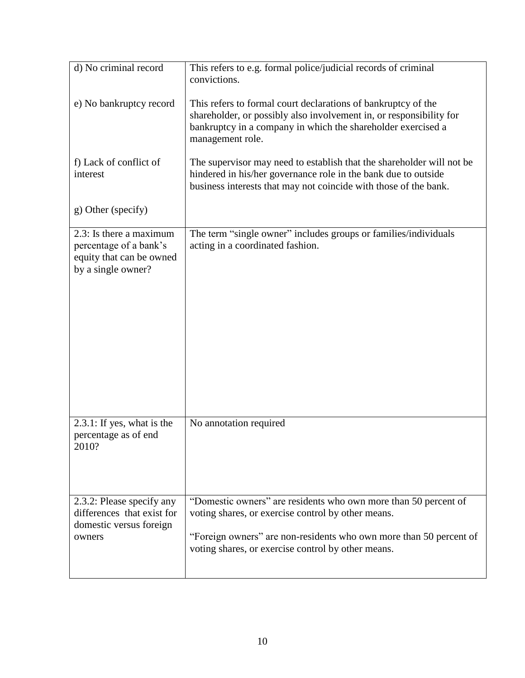| d) No criminal record                                                                               | This refers to e.g. formal police/judicial records of criminal<br>convictions.                                                                                                                                                                    |
|-----------------------------------------------------------------------------------------------------|---------------------------------------------------------------------------------------------------------------------------------------------------------------------------------------------------------------------------------------------------|
| e) No bankruptcy record                                                                             | This refers to formal court declarations of bankruptcy of the<br>shareholder, or possibly also involvement in, or responsibility for<br>bankruptcy in a company in which the shareholder exercised a<br>management role.                          |
| f) Lack of conflict of<br>interest                                                                  | The supervisor may need to establish that the shareholder will not be<br>hindered in his/her governance role in the bank due to outside<br>business interests that may not coincide with those of the bank.                                       |
| g) Other (specify)                                                                                  |                                                                                                                                                                                                                                                   |
| 2.3: Is there a maximum<br>percentage of a bank's<br>equity that can be owned<br>by a single owner? | The term "single owner" includes groups or families/individuals<br>acting in a coordinated fashion.                                                                                                                                               |
| $2.3.1$ : If yes, what is the<br>percentage as of end<br>2010?                                      | No annotation required                                                                                                                                                                                                                            |
| 2.3.2: Please specify any<br>differences that exist for<br>domestic versus foreign<br>owners        | "Domestic owners" are residents who own more than 50 percent of<br>voting shares, or exercise control by other means.<br>"Foreign owners" are non-residents who own more than 50 percent of<br>voting shares, or exercise control by other means. |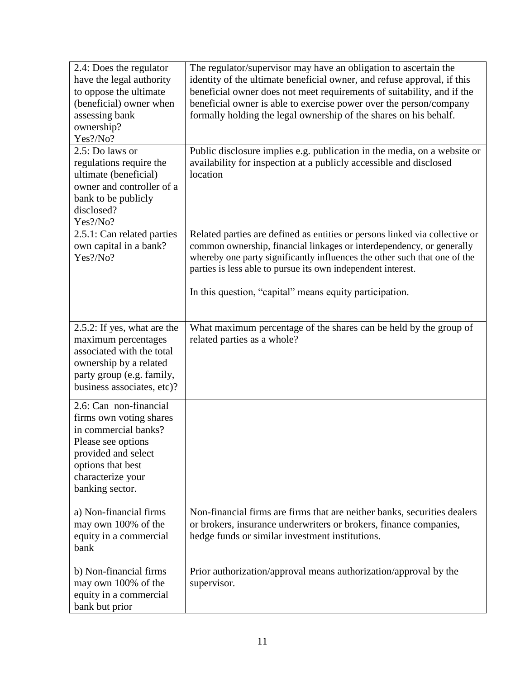| 2.4: Does the regulator<br>have the legal authority<br>to oppose the ultimate<br>(beneficial) owner when<br>assessing bank<br>ownership?<br>Yes?/No?                                | The regulator/supervisor may have an obligation to ascertain the<br>identity of the ultimate beneficial owner, and refuse approval, if this<br>beneficial owner does not meet requirements of suitability, and if the<br>beneficial owner is able to exercise power over the person/company<br>formally holding the legal ownership of the shares on his behalf. |
|-------------------------------------------------------------------------------------------------------------------------------------------------------------------------------------|------------------------------------------------------------------------------------------------------------------------------------------------------------------------------------------------------------------------------------------------------------------------------------------------------------------------------------------------------------------|
| 2.5: Do laws or<br>regulations require the<br>ultimate (beneficial)<br>owner and controller of a<br>bank to be publicly<br>disclosed?<br>Yes?/No?                                   | Public disclosure implies e.g. publication in the media, on a website or<br>availability for inspection at a publicly accessible and disclosed<br>location                                                                                                                                                                                                       |
| 2.5.1: Can related parties<br>own capital in a bank?<br>Yes?/No?                                                                                                                    | Related parties are defined as entities or persons linked via collective or<br>common ownership, financial linkages or interdependency, or generally<br>whereby one party significantly influences the other such that one of the<br>parties is less able to pursue its own independent interest.<br>In this question, "capital" means equity participation.     |
| 2.5.2: If yes, what are the<br>maximum percentages<br>associated with the total<br>ownership by a related<br>party group (e.g. family,<br>business associates, etc)?                | What maximum percentage of the shares can be held by the group of<br>related parties as a whole?                                                                                                                                                                                                                                                                 |
| 2.6: Can non-financial<br>firms own voting shares<br>in commercial banks?<br>Please see options<br>provided and select<br>options that best<br>characterize your<br>banking sector. |                                                                                                                                                                                                                                                                                                                                                                  |
| a) Non-financial firms<br>may own 100% of the<br>equity in a commercial<br>bank                                                                                                     | Non-financial firms are firms that are neither banks, securities dealers<br>or brokers, insurance underwriters or brokers, finance companies,<br>hedge funds or similar investment institutions.                                                                                                                                                                 |
| b) Non-financial firms<br>may own 100% of the<br>equity in a commercial<br>bank but prior                                                                                           | Prior authorization/approval means authorization/approval by the<br>supervisor.                                                                                                                                                                                                                                                                                  |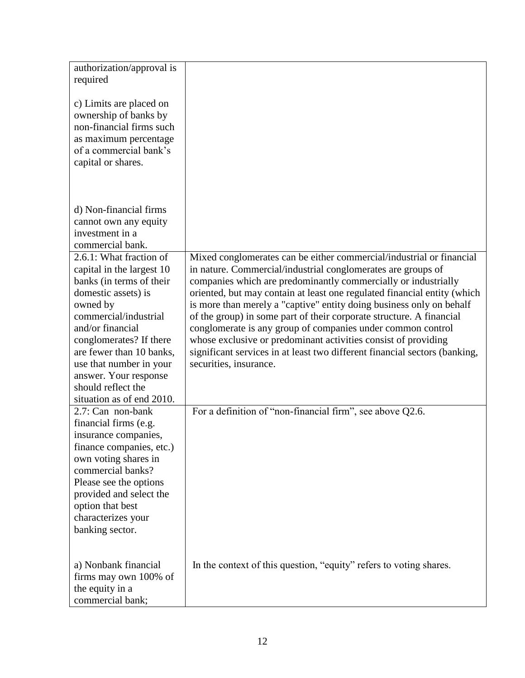| authorization/approval is<br>required                                                                                                                                                                                                                                                                                          |                                                                                                                                                                                                                                                                                                                                                                                                                                                                                                                                                                                                                                                                             |
|--------------------------------------------------------------------------------------------------------------------------------------------------------------------------------------------------------------------------------------------------------------------------------------------------------------------------------|-----------------------------------------------------------------------------------------------------------------------------------------------------------------------------------------------------------------------------------------------------------------------------------------------------------------------------------------------------------------------------------------------------------------------------------------------------------------------------------------------------------------------------------------------------------------------------------------------------------------------------------------------------------------------------|
| c) Limits are placed on<br>ownership of banks by<br>non-financial firms such<br>as maximum percentage<br>of a commercial bank's<br>capital or shares.                                                                                                                                                                          |                                                                                                                                                                                                                                                                                                                                                                                                                                                                                                                                                                                                                                                                             |
| d) Non-financial firms<br>cannot own any equity<br>investment in a<br>commercial bank.                                                                                                                                                                                                                                         |                                                                                                                                                                                                                                                                                                                                                                                                                                                                                                                                                                                                                                                                             |
| 2.6.1: What fraction of<br>capital in the largest 10<br>banks (in terms of their<br>domestic assets) is<br>owned by<br>commercial/industrial<br>and/or financial<br>conglomerates? If there<br>are fewer than 10 banks,<br>use that number in your<br>answer. Your response<br>should reflect the<br>situation as of end 2010. | Mixed conglomerates can be either commercial/industrial or financial<br>in nature. Commercial/industrial conglomerates are groups of<br>companies which are predominantly commercially or industrially<br>oriented, but may contain at least one regulated financial entity (which<br>is more than merely a "captive" entity doing business only on behalf<br>of the group) in some part of their corporate structure. A financial<br>conglomerate is any group of companies under common control<br>whose exclusive or predominant activities consist of providing<br>significant services in at least two different financial sectors (banking,<br>securities, insurance. |
| 2.7: Can non-bank<br>financial firms (e.g.<br>insurance companies,<br>finance companies, etc.)<br>own voting shares in<br>commercial banks?<br>Please see the options<br>provided and select the<br>option that best<br>characterizes your<br>banking sector.                                                                  | For a definition of "non-financial firm", see above Q2.6.                                                                                                                                                                                                                                                                                                                                                                                                                                                                                                                                                                                                                   |
| a) Nonbank financial<br>firms may own 100% of<br>the equity in a<br>commercial bank;                                                                                                                                                                                                                                           | In the context of this question, "equity" refers to voting shares.                                                                                                                                                                                                                                                                                                                                                                                                                                                                                                                                                                                                          |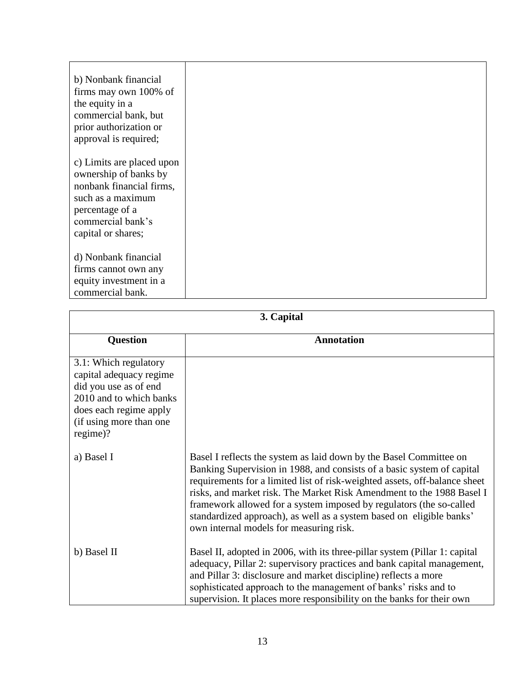| b) Nonbank financial<br>firms may own 100% of<br>the equity in a<br>commercial bank, but<br>prior authorization or<br>approval is required;                       |
|-------------------------------------------------------------------------------------------------------------------------------------------------------------------|
| c) Limits are placed upon<br>ownership of banks by<br>nonbank financial firms,<br>such as a maximum<br>percentage of a<br>commercial bank's<br>capital or shares; |
| d) Nonbank financial<br>firms cannot own any<br>equity investment in a<br>commercial bank.                                                                        |

| 3. Capital                                                                                                                                                            |                                                                                                                                                                                                                                                                                                                                                                                                                                                                                               |
|-----------------------------------------------------------------------------------------------------------------------------------------------------------------------|-----------------------------------------------------------------------------------------------------------------------------------------------------------------------------------------------------------------------------------------------------------------------------------------------------------------------------------------------------------------------------------------------------------------------------------------------------------------------------------------------|
| <b>Question</b>                                                                                                                                                       | <b>Annotation</b>                                                                                                                                                                                                                                                                                                                                                                                                                                                                             |
| 3.1: Which regulatory<br>capital adequacy regime<br>did you use as of end<br>2010 and to which banks<br>does each regime apply<br>(if using more than one<br>regime)? |                                                                                                                                                                                                                                                                                                                                                                                                                                                                                               |
| a) Basel I                                                                                                                                                            | Basel I reflects the system as laid down by the Basel Committee on<br>Banking Supervision in 1988, and consists of a basic system of capital<br>requirements for a limited list of risk-weighted assets, off-balance sheet<br>risks, and market risk. The Market Risk Amendment to the 1988 Basel I<br>framework allowed for a system imposed by regulators (the so-called<br>standardized approach), as well as a system based on eligible banks'<br>own internal models for measuring risk. |
| b) Basel II                                                                                                                                                           | Basel II, adopted in 2006, with its three-pillar system (Pillar 1: capital<br>adequacy, Pillar 2: supervisory practices and bank capital management,<br>and Pillar 3: disclosure and market discipline) reflects a more<br>sophisticated approach to the management of banks' risks and to<br>supervision. It places more responsibility on the banks for their own                                                                                                                           |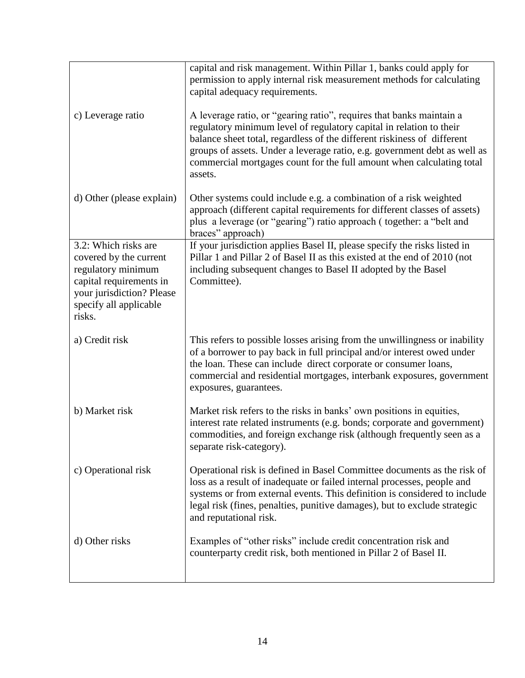|                                                                                                                                                                  | capital and risk management. Within Pillar 1, banks could apply for<br>permission to apply internal risk measurement methods for calculating<br>capital adequacy requirements.                                                                                                                                                                                                          |
|------------------------------------------------------------------------------------------------------------------------------------------------------------------|-----------------------------------------------------------------------------------------------------------------------------------------------------------------------------------------------------------------------------------------------------------------------------------------------------------------------------------------------------------------------------------------|
| c) Leverage ratio                                                                                                                                                | A leverage ratio, or "gearing ratio", requires that banks maintain a<br>regulatory minimum level of regulatory capital in relation to their<br>balance sheet total, regardless of the different riskiness of different<br>groups of assets. Under a leverage ratio, e.g. government debt as well as<br>commercial mortgages count for the full amount when calculating total<br>assets. |
| d) Other (please explain)                                                                                                                                        | Other systems could include e.g. a combination of a risk weighted<br>approach (different capital requirements for different classes of assets)<br>plus a leverage (or "gearing") ratio approach (together: a "belt and<br>braces" approach)                                                                                                                                             |
| 3.2: Which risks are<br>covered by the current<br>regulatory minimum<br>capital requirements in<br>your jurisdiction? Please<br>specify all applicable<br>risks. | If your jurisdiction applies Basel II, please specify the risks listed in<br>Pillar 1 and Pillar 2 of Basel II as this existed at the end of 2010 (not<br>including subsequent changes to Basel II adopted by the Basel<br>Committee).                                                                                                                                                  |
| a) Credit risk                                                                                                                                                   | This refers to possible losses arising from the unwillingness or inability<br>of a borrower to pay back in full principal and/or interest owed under<br>the loan. These can include direct corporate or consumer loans,<br>commercial and residential mortgages, interbank exposures, government<br>exposures, guarantees.                                                              |
| b) Market risk                                                                                                                                                   | Market risk refers to the risks in banks' own positions in equities,<br>interest rate related instruments (e.g. bonds; corporate and government)<br>commodities, and foreign exchange risk (although frequently seen as a<br>separate risk-category).                                                                                                                                   |
| c) Operational risk                                                                                                                                              | Operational risk is defined in Basel Committee documents as the risk of<br>loss as a result of inadequate or failed internal processes, people and<br>systems or from external events. This definition is considered to include<br>legal risk (fines, penalties, punitive damages), but to exclude strategic<br>and reputational risk.                                                  |
| d) Other risks                                                                                                                                                   | Examples of "other risks" include credit concentration risk and<br>counterparty credit risk, both mentioned in Pillar 2 of Basel II.                                                                                                                                                                                                                                                    |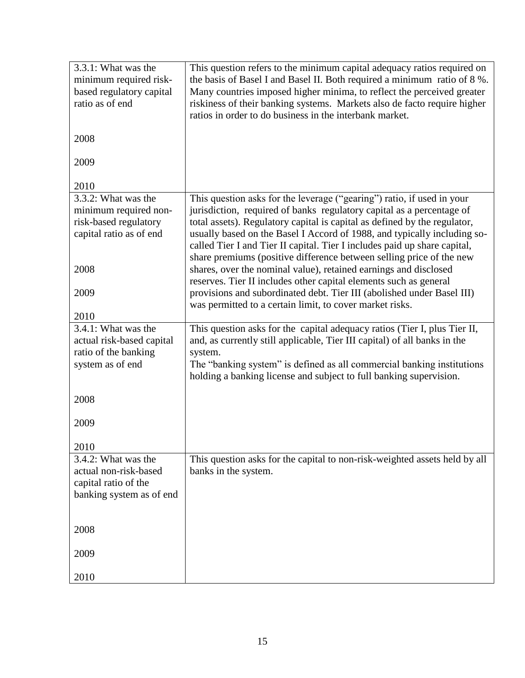| 3.3.1: What was the<br>minimum required risk-<br>based regulatory capital<br>ratio as of end     | This question refers to the minimum capital adequacy ratios required on<br>the basis of Basel I and Basel II. Both required a minimum ratio of 8 %.<br>Many countries imposed higher minima, to reflect the perceived greater<br>riskiness of their banking systems. Markets also de facto require higher<br>ratios in order to do business in the interbank market.                                                                                          |
|--------------------------------------------------------------------------------------------------|---------------------------------------------------------------------------------------------------------------------------------------------------------------------------------------------------------------------------------------------------------------------------------------------------------------------------------------------------------------------------------------------------------------------------------------------------------------|
| 2008                                                                                             |                                                                                                                                                                                                                                                                                                                                                                                                                                                               |
| 2009                                                                                             |                                                                                                                                                                                                                                                                                                                                                                                                                                                               |
| 2010                                                                                             |                                                                                                                                                                                                                                                                                                                                                                                                                                                               |
| 3.3.2: What was the<br>minimum required non-<br>risk-based regulatory<br>capital ratio as of end | This question asks for the leverage ("gearing") ratio, if used in your<br>jurisdiction, required of banks regulatory capital as a percentage of<br>total assets). Regulatory capital is capital as defined by the regulator,<br>usually based on the Basel I Accord of 1988, and typically including so-<br>called Tier I and Tier II capital. Tier I includes paid up share capital,<br>share premiums (positive difference between selling price of the new |
| 2008                                                                                             | shares, over the nominal value), retained earnings and disclosed<br>reserves. Tier II includes other capital elements such as general                                                                                                                                                                                                                                                                                                                         |
| 2009                                                                                             | provisions and subordinated debt. Tier III (abolished under Basel III)<br>was permitted to a certain limit, to cover market risks.                                                                                                                                                                                                                                                                                                                            |
| 2010                                                                                             |                                                                                                                                                                                                                                                                                                                                                                                                                                                               |
| 3.4.1: What was the<br>actual risk-based capital<br>ratio of the banking<br>system as of end     | This question asks for the capital adequacy ratios (Tier I, plus Tier II,<br>and, as currently still applicable, Tier III capital) of all banks in the<br>system.<br>The "banking system" is defined as all commercial banking institutions<br>holding a banking license and subject to full banking supervision.                                                                                                                                             |
| 2008                                                                                             |                                                                                                                                                                                                                                                                                                                                                                                                                                                               |
| 2009                                                                                             |                                                                                                                                                                                                                                                                                                                                                                                                                                                               |
| 2010                                                                                             |                                                                                                                                                                                                                                                                                                                                                                                                                                                               |
| 3.4.2: What was the<br>actual non-risk-based<br>capital ratio of the<br>banking system as of end | This question asks for the capital to non-risk-weighted assets held by all<br>banks in the system.                                                                                                                                                                                                                                                                                                                                                            |
| 2008                                                                                             |                                                                                                                                                                                                                                                                                                                                                                                                                                                               |
| 2009                                                                                             |                                                                                                                                                                                                                                                                                                                                                                                                                                                               |
| 2010                                                                                             |                                                                                                                                                                                                                                                                                                                                                                                                                                                               |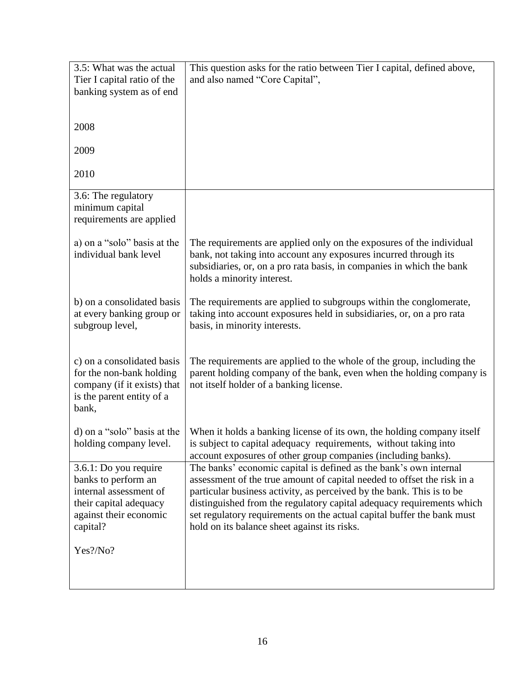| 3.5: What was the actual    | This question asks for the ratio between Tier I capital, defined above, |
|-----------------------------|-------------------------------------------------------------------------|
| Tier I capital ratio of the | and also named "Core Capital",                                          |
| banking system as of end    |                                                                         |
|                             |                                                                         |
| 2008                        |                                                                         |
|                             |                                                                         |
| 2009                        |                                                                         |
|                             |                                                                         |
| 2010                        |                                                                         |
| 3.6: The regulatory         |                                                                         |
| minimum capital             |                                                                         |
| requirements are applied    |                                                                         |
|                             |                                                                         |
| a) on a "solo" basis at the | The requirements are applied only on the exposures of the individual    |
| individual bank level       | bank, not taking into account any exposures incurred through its        |
|                             | subsidiaries, or, on a pro rata basis, in companies in which the bank   |
|                             | holds a minority interest.                                              |
| b) on a consolidated basis  | The requirements are applied to subgroups within the conglomerate,      |
| at every banking group or   | taking into account exposures held in subsidiaries, or, on a pro rata   |
| subgroup level,             | basis, in minority interests.                                           |
|                             |                                                                         |
|                             |                                                                         |
| c) on a consolidated basis  | The requirements are applied to the whole of the group, including the   |
| for the non-bank holding    | parent holding company of the bank, even when the holding company is    |
| company (if it exists) that | not itself holder of a banking license.                                 |
| is the parent entity of a   |                                                                         |
| bank,                       |                                                                         |
| d) on a "solo" basis at the | When it holds a banking license of its own, the holding company itself  |
| holding company level.      | is subject to capital adequacy requirements, without taking into        |
|                             | account exposures of other group companies (including banks).           |
| 3.6.1: Do you require       | The banks' economic capital is defined as the bank's own internal       |
| banks to perform an         | assessment of the true amount of capital needed to offset the risk in a |
| internal assessment of      | particular business activity, as perceived by the bank. This is to be   |
| their capital adequacy      | distinguished from the regulatory capital adequacy requirements which   |
| against their economic      | set regulatory requirements on the actual capital buffer the bank must  |
| capital?                    | hold on its balance sheet against its risks.                            |
| Yes?/No?                    |                                                                         |
|                             |                                                                         |
|                             |                                                                         |
|                             |                                                                         |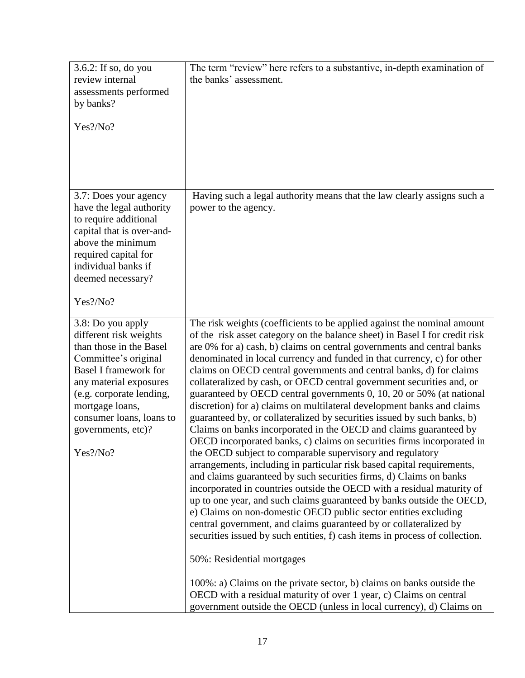| 3.6.2: If so, do you<br>review internal<br>assessments performed<br>by banks?<br>Yes?/No?                                                                                                                                                                             | The term "review" here refers to a substantive, in-depth examination of<br>the banks' assessment.                                                                                                                                                                                                                                                                                                                                                                                                                                                                                                                                                                                                                                                                                                                                                                                                                                                                                                                                                                                                                                                                                                                                                                                                                                                                                                                                                                                                                                                                                                                                                                                   |
|-----------------------------------------------------------------------------------------------------------------------------------------------------------------------------------------------------------------------------------------------------------------------|-------------------------------------------------------------------------------------------------------------------------------------------------------------------------------------------------------------------------------------------------------------------------------------------------------------------------------------------------------------------------------------------------------------------------------------------------------------------------------------------------------------------------------------------------------------------------------------------------------------------------------------------------------------------------------------------------------------------------------------------------------------------------------------------------------------------------------------------------------------------------------------------------------------------------------------------------------------------------------------------------------------------------------------------------------------------------------------------------------------------------------------------------------------------------------------------------------------------------------------------------------------------------------------------------------------------------------------------------------------------------------------------------------------------------------------------------------------------------------------------------------------------------------------------------------------------------------------------------------------------------------------------------------------------------------------|
| 3.7: Does your agency<br>have the legal authority<br>to require additional<br>capital that is over-and-<br>above the minimum<br>required capital for<br>individual banks if<br>deemed necessary?<br>Yes?/No?                                                          | Having such a legal authority means that the law clearly assigns such a<br>power to the agency.                                                                                                                                                                                                                                                                                                                                                                                                                                                                                                                                                                                                                                                                                                                                                                                                                                                                                                                                                                                                                                                                                                                                                                                                                                                                                                                                                                                                                                                                                                                                                                                     |
| 3.8: Do you apply<br>different risk weights<br>than those in the Basel<br>Committee's original<br><b>Basel I framework for</b><br>any material exposures<br>(e.g. corporate lending,<br>mortgage loans,<br>consumer loans, loans to<br>governments, etc)?<br>Yes?/No? | The risk weights (coefficients to be applied against the nominal amount<br>of the risk asset category on the balance sheet) in Basel I for credit risk<br>are 0% for a) cash, b) claims on central governments and central banks<br>denominated in local currency and funded in that currency, c) for other<br>claims on OECD central governments and central banks, d) for claims<br>collateralized by cash, or OECD central government securities and, or<br>guaranteed by OECD central governments 0, 10, 20 or 50% (at national<br>discretion) for a) claims on multilateral development banks and claims<br>guaranteed by, or collateralized by securities issued by such banks, b)<br>Claims on banks incorporated in the OECD and claims guaranteed by<br>OECD incorporated banks, c) claims on securities firms incorporated in<br>the OECD subject to comparable supervisory and regulatory<br>arrangements, including in particular risk based capital requirements,<br>and claims guaranteed by such securities firms, d) Claims on banks<br>incorporated in countries outside the OECD with a residual maturity of<br>up to one year, and such claims guaranteed by banks outside the OECD,<br>e) Claims on non-domestic OECD public sector entities excluding<br>central government, and claims guaranteed by or collateralized by<br>securities issued by such entities, f) cash items in process of collection.<br>50%: Residential mortgages<br>100%: a) Claims on the private sector, b) claims on banks outside the<br>OECD with a residual maturity of over 1 year, c) Claims on central<br>government outside the OECD (unless in local currency), d) Claims on |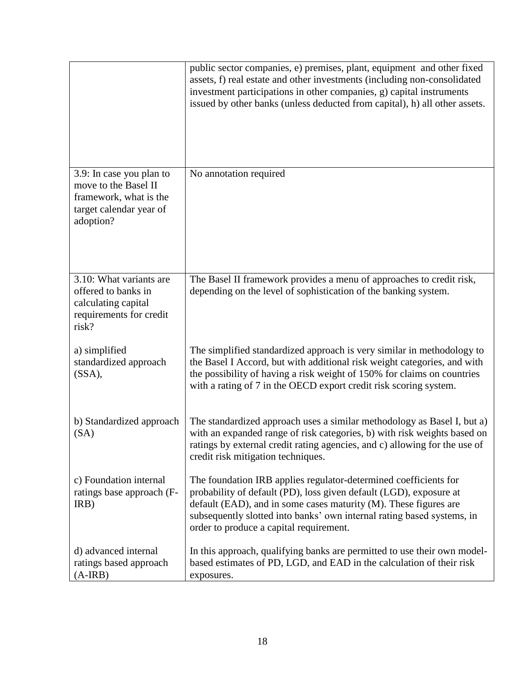|                                                                                                                    | public sector companies, e) premises, plant, equipment and other fixed<br>assets, f) real estate and other investments (including non-consolidated<br>investment participations in other companies, g) capital instruments<br>issued by other banks (unless deducted from capital), h) all other assets.                        |
|--------------------------------------------------------------------------------------------------------------------|---------------------------------------------------------------------------------------------------------------------------------------------------------------------------------------------------------------------------------------------------------------------------------------------------------------------------------|
| 3.9: In case you plan to<br>move to the Basel II<br>framework, what is the<br>target calendar year of<br>adoption? | No annotation required                                                                                                                                                                                                                                                                                                          |
| 3.10: What variants are<br>offered to banks in<br>calculating capital<br>requirements for credit<br>risk?          | The Basel II framework provides a menu of approaches to credit risk,<br>depending on the level of sophistication of the banking system.                                                                                                                                                                                         |
| a) simplified<br>standardized approach<br>$(SSA)$ ,                                                                | The simplified standardized approach is very similar in methodology to<br>the Basel I Accord, but with additional risk weight categories, and with<br>the possibility of having a risk weight of 150% for claims on countries<br>with a rating of 7 in the OECD export credit risk scoring system.                              |
| b) Standardized approach<br>(SA)                                                                                   | The standardized approach uses a similar methodology as Basel I, but a)<br>with an expanded range of risk categories, b) with risk weights based on<br>ratings by external credit rating agencies, and c) allowing for the use of<br>credit risk mitigation techniques.                                                         |
| c) Foundation internal<br>ratings base approach (F-<br>IRB)                                                        | The foundation IRB applies regulator-determined coefficients for<br>probability of default (PD), loss given default (LGD), exposure at<br>default (EAD), and in some cases maturity (M). These figures are<br>subsequently slotted into banks' own internal rating based systems, in<br>order to produce a capital requirement. |
| d) advanced internal<br>ratings based approach<br>$(A-IRB)$                                                        | In this approach, qualifying banks are permitted to use their own model-<br>based estimates of PD, LGD, and EAD in the calculation of their risk<br>exposures.                                                                                                                                                                  |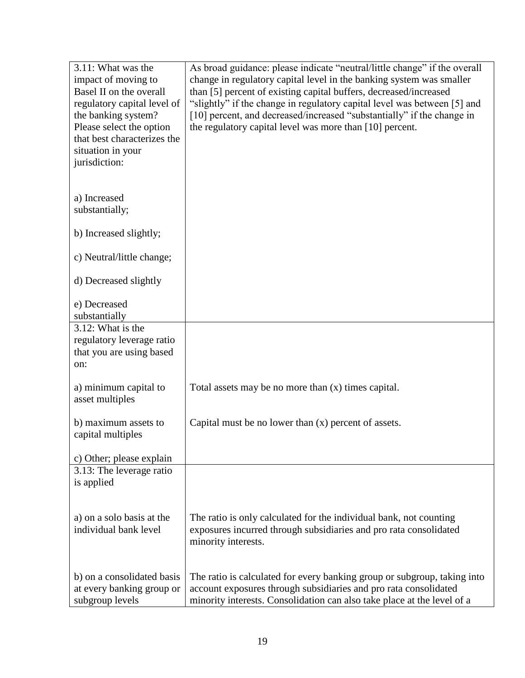| 3.11: What was the<br>impact of moving to               | As broad guidance: please indicate "neutral/little change" if the overall<br>change in regulatory capital level in the banking system was smaller |
|---------------------------------------------------------|---------------------------------------------------------------------------------------------------------------------------------------------------|
| Basel II on the overall                                 | than [5] percent of existing capital buffers, decreased/increased                                                                                 |
| regulatory capital level of                             | "slightly" if the change in regulatory capital level was between [5] and                                                                          |
| the banking system?                                     | [10] percent, and decreased/increased "substantially" if the change in                                                                            |
| Please select the option<br>that best characterizes the | the regulatory capital level was more than [10] percent.                                                                                          |
| situation in your                                       |                                                                                                                                                   |
| jurisdiction:                                           |                                                                                                                                                   |
|                                                         |                                                                                                                                                   |
| a) Increased                                            |                                                                                                                                                   |
| substantially;                                          |                                                                                                                                                   |
| b) Increased slightly;                                  |                                                                                                                                                   |
|                                                         |                                                                                                                                                   |
| c) Neutral/little change;                               |                                                                                                                                                   |
| d) Decreased slightly                                   |                                                                                                                                                   |
|                                                         |                                                                                                                                                   |
| e) Decreased                                            |                                                                                                                                                   |
| substantially<br>3.12: What is the                      |                                                                                                                                                   |
| regulatory leverage ratio                               |                                                                                                                                                   |
| that you are using based                                |                                                                                                                                                   |
| on:                                                     |                                                                                                                                                   |
| a) minimum capital to                                   | Total assets may be no more than (x) times capital.                                                                                               |
| asset multiples                                         |                                                                                                                                                   |
|                                                         |                                                                                                                                                   |
| b) maximum assets to                                    | Capital must be no lower than (x) percent of assets.                                                                                              |
| capital multiples                                       |                                                                                                                                                   |
| c) Other; please explain                                |                                                                                                                                                   |
| 3.13: The leverage ratio                                |                                                                                                                                                   |
| is applied                                              |                                                                                                                                                   |
|                                                         |                                                                                                                                                   |
| a) on a solo basis at the                               | The ratio is only calculated for the individual bank, not counting                                                                                |
| individual bank level                                   | exposures incurred through subsidiaries and pro rata consolidated                                                                                 |
|                                                         | minority interests.                                                                                                                               |
|                                                         |                                                                                                                                                   |
| b) on a consolidated basis                              | The ratio is calculated for every banking group or subgroup, taking into                                                                          |
| at every banking group or                               | account exposures through subsidiaries and pro rata consolidated                                                                                  |
| subgroup levels                                         | minority interests. Consolidation can also take place at the level of a                                                                           |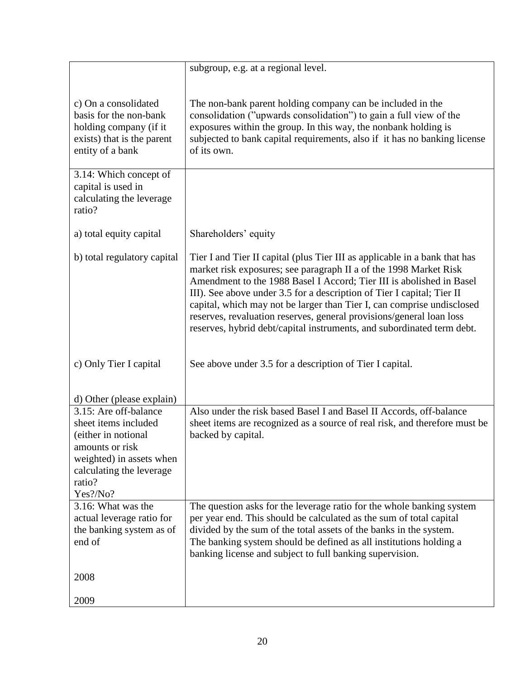|                                                                                                                                                                       | subgroup, e.g. at a regional level.                                                                                                                                                                                                                                                                                                                                                                                                                                                                                           |
|-----------------------------------------------------------------------------------------------------------------------------------------------------------------------|-------------------------------------------------------------------------------------------------------------------------------------------------------------------------------------------------------------------------------------------------------------------------------------------------------------------------------------------------------------------------------------------------------------------------------------------------------------------------------------------------------------------------------|
| c) On a consolidated<br>basis for the non-bank<br>holding company (if it<br>exists) that is the parent<br>entity of a bank                                            | The non-bank parent holding company can be included in the<br>consolidation ("upwards consolidation") to gain a full view of the<br>exposures within the group. In this way, the nonbank holding is<br>subjected to bank capital requirements, also if it has no banking license<br>of its own.                                                                                                                                                                                                                               |
| 3.14: Which concept of<br>capital is used in<br>calculating the leverage<br>ratio?                                                                                    |                                                                                                                                                                                                                                                                                                                                                                                                                                                                                                                               |
| a) total equity capital                                                                                                                                               | Shareholders' equity                                                                                                                                                                                                                                                                                                                                                                                                                                                                                                          |
| b) total regulatory capital                                                                                                                                           | Tier I and Tier II capital (plus Tier III as applicable in a bank that has<br>market risk exposures; see paragraph II a of the 1998 Market Risk<br>Amendment to the 1988 Basel I Accord; Tier III is abolished in Basel<br>III). See above under 3.5 for a description of Tier I capital; Tier II<br>capital, which may not be larger than Tier I, can comprise undisclosed<br>reserves, revaluation reserves, general provisions/general loan loss<br>reserves, hybrid debt/capital instruments, and subordinated term debt. |
| c) Only Tier I capital                                                                                                                                                | See above under 3.5 for a description of Tier I capital.                                                                                                                                                                                                                                                                                                                                                                                                                                                                      |
| d) Other (please explain)                                                                                                                                             |                                                                                                                                                                                                                                                                                                                                                                                                                                                                                                                               |
| 3.15: Are off-balance<br>sheet items included<br>(either in notional<br>amounts or risk<br>weighted) in assets when<br>calculating the leverage<br>ratio?<br>Yes?/No? | Also under the risk based Basel I and Basel II Accords, off-balance<br>sheet items are recognized as a source of real risk, and therefore must be<br>backed by capital.                                                                                                                                                                                                                                                                                                                                                       |
| 3.16: What was the<br>actual leverage ratio for<br>the banking system as of<br>end of                                                                                 | The question asks for the leverage ratio for the whole banking system<br>per year end. This should be calculated as the sum of total capital<br>divided by the sum of the total assets of the banks in the system.<br>The banking system should be defined as all institutions holding a<br>banking license and subject to full banking supervision.                                                                                                                                                                          |
| 2008                                                                                                                                                                  |                                                                                                                                                                                                                                                                                                                                                                                                                                                                                                                               |
| 2009                                                                                                                                                                  |                                                                                                                                                                                                                                                                                                                                                                                                                                                                                                                               |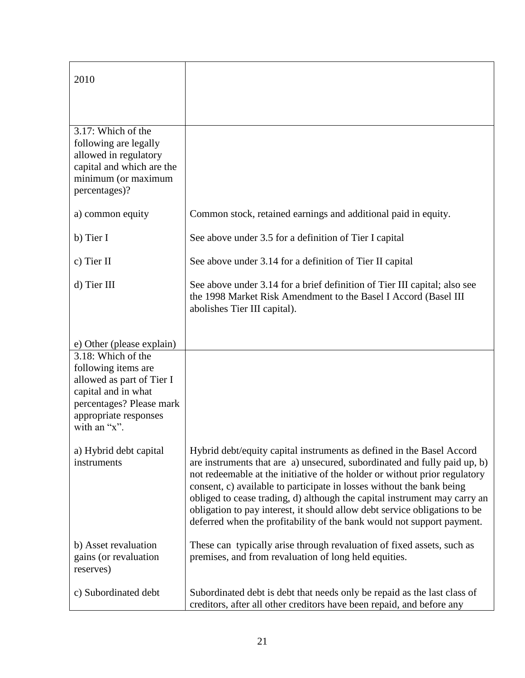| 2010                                                                                                                                                                                            |                                                                                                                                                                                                                                                                                                                                                                                                                                                                                                                                                |
|-------------------------------------------------------------------------------------------------------------------------------------------------------------------------------------------------|------------------------------------------------------------------------------------------------------------------------------------------------------------------------------------------------------------------------------------------------------------------------------------------------------------------------------------------------------------------------------------------------------------------------------------------------------------------------------------------------------------------------------------------------|
| 3.17: Which of the<br>following are legally<br>allowed in regulatory<br>capital and which are the<br>minimum (or maximum<br>percentages)?                                                       |                                                                                                                                                                                                                                                                                                                                                                                                                                                                                                                                                |
| a) common equity                                                                                                                                                                                | Common stock, retained earnings and additional paid in equity.                                                                                                                                                                                                                                                                                                                                                                                                                                                                                 |
| b) Tier I                                                                                                                                                                                       | See above under 3.5 for a definition of Tier I capital                                                                                                                                                                                                                                                                                                                                                                                                                                                                                         |
| c) Tier II                                                                                                                                                                                      | See above under 3.14 for a definition of Tier II capital                                                                                                                                                                                                                                                                                                                                                                                                                                                                                       |
| d) Tier III                                                                                                                                                                                     | See above under 3.14 for a brief definition of Tier III capital; also see<br>the 1998 Market Risk Amendment to the Basel I Accord (Basel III)<br>abolishes Tier III capital).                                                                                                                                                                                                                                                                                                                                                                  |
| e) Other (please explain)<br>3.18: Which of the<br>following items are<br>allowed as part of Tier I<br>capital and in what<br>percentages? Please mark<br>appropriate responses<br>with an "x". |                                                                                                                                                                                                                                                                                                                                                                                                                                                                                                                                                |
| a) Hybrid debt capital<br>instruments                                                                                                                                                           | Hybrid debt/equity capital instruments as defined in the Basel Accord<br>are instruments that are a) unsecured, subordinated and fully paid up, b)<br>not redeemable at the initiative of the holder or without prior regulatory<br>consent, c) available to participate in losses without the bank being<br>obliged to cease trading, d) although the capital instrument may carry an<br>obligation to pay interest, it should allow debt service obligations to be<br>deferred when the profitability of the bank would not support payment. |
| b) Asset revaluation<br>gains (or revaluation<br>reserves)                                                                                                                                      | These can typically arise through revaluation of fixed assets, such as<br>premises, and from revaluation of long held equities.                                                                                                                                                                                                                                                                                                                                                                                                                |
| c) Subordinated debt                                                                                                                                                                            | Subordinated debt is debt that needs only be repaid as the last class of<br>creditors, after all other creditors have been repaid, and before any                                                                                                                                                                                                                                                                                                                                                                                              |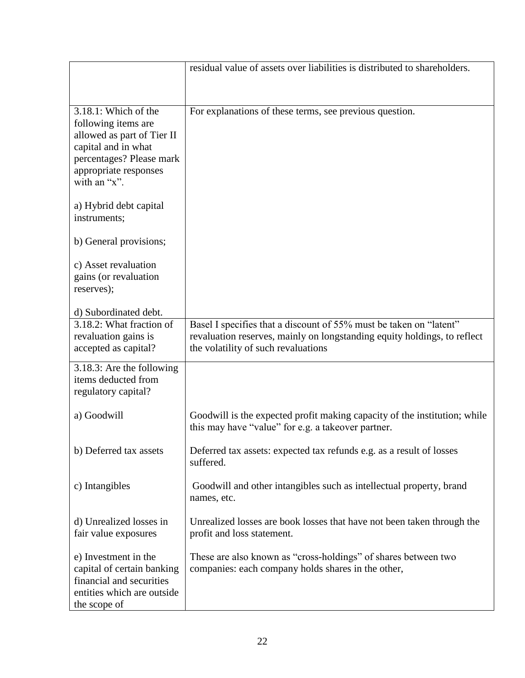|                                                                                                                                                                          | residual value of assets over liabilities is distributed to shareholders.                                                                                                             |
|--------------------------------------------------------------------------------------------------------------------------------------------------------------------------|---------------------------------------------------------------------------------------------------------------------------------------------------------------------------------------|
|                                                                                                                                                                          |                                                                                                                                                                                       |
| $3.18.1$ : Which of the<br>following items are<br>allowed as part of Tier II<br>capital and in what<br>percentages? Please mark<br>appropriate responses<br>with an "x". | For explanations of these terms, see previous question.                                                                                                                               |
| a) Hybrid debt capital<br>instruments;                                                                                                                                   |                                                                                                                                                                                       |
| b) General provisions;                                                                                                                                                   |                                                                                                                                                                                       |
| c) Asset revaluation<br>gains (or revaluation<br>reserves);                                                                                                              |                                                                                                                                                                                       |
| d) Subordinated debt.                                                                                                                                                    |                                                                                                                                                                                       |
| 3.18.2: What fraction of<br>revaluation gains is<br>accepted as capital?                                                                                                 | Basel I specifies that a discount of 55% must be taken on "latent"<br>revaluation reserves, mainly on longstanding equity holdings, to reflect<br>the volatility of such revaluations |
| 3.18.3: Are the following<br>items deducted from<br>regulatory capital?                                                                                                  |                                                                                                                                                                                       |
| a) Goodwill                                                                                                                                                              | Goodwill is the expected profit making capacity of the institution; while<br>this may have "value" for e.g. a takeover partner.                                                       |
| b) Deferred tax assets                                                                                                                                                   | Deferred tax assets: expected tax refunds e.g. as a result of losses<br>suffered.                                                                                                     |
| c) Intangibles                                                                                                                                                           | Goodwill and other intangibles such as intellectual property, brand<br>names, etc.                                                                                                    |
| d) Unrealized losses in<br>fair value exposures                                                                                                                          | Unrealized losses are book losses that have not been taken through the<br>profit and loss statement.                                                                                  |
| e) Investment in the<br>capital of certain banking<br>financial and securities<br>entities which are outside<br>the scope of                                             | These are also known as "cross-holdings" of shares between two<br>companies: each company holds shares in the other,                                                                  |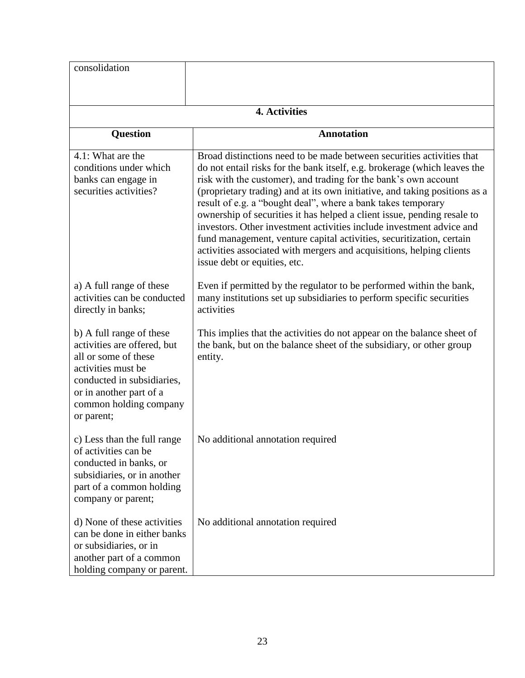| consolidation                                                                                                                                                                                          |                                                                                                                                                                                                                                                                                                                                                                                                                                                                                                                                                                                                                                                                                                        |
|--------------------------------------------------------------------------------------------------------------------------------------------------------------------------------------------------------|--------------------------------------------------------------------------------------------------------------------------------------------------------------------------------------------------------------------------------------------------------------------------------------------------------------------------------------------------------------------------------------------------------------------------------------------------------------------------------------------------------------------------------------------------------------------------------------------------------------------------------------------------------------------------------------------------------|
|                                                                                                                                                                                                        | 4. Activities                                                                                                                                                                                                                                                                                                                                                                                                                                                                                                                                                                                                                                                                                          |
| <b>Question</b>                                                                                                                                                                                        | <b>Annotation</b>                                                                                                                                                                                                                                                                                                                                                                                                                                                                                                                                                                                                                                                                                      |
| 4.1: What are the<br>conditions under which<br>banks can engage in<br>securities activities?                                                                                                           | Broad distinctions need to be made between securities activities that<br>do not entail risks for the bank itself, e.g. brokerage (which leaves the<br>risk with the customer), and trading for the bank's own account<br>(proprietary trading) and at its own initiative, and taking positions as a<br>result of e.g. a "bought deal", where a bank takes temporary<br>ownership of securities it has helped a client issue, pending resale to<br>investors. Other investment activities include investment advice and<br>fund management, venture capital activities, securitization, certain<br>activities associated with mergers and acquisitions, helping clients<br>issue debt or equities, etc. |
| a) A full range of these<br>activities can be conducted<br>directly in banks;                                                                                                                          | Even if permitted by the regulator to be performed within the bank,<br>many institutions set up subsidiaries to perform specific securities<br>activities                                                                                                                                                                                                                                                                                                                                                                                                                                                                                                                                              |
| b) A full range of these<br>activities are offered, but<br>all or some of these<br>activities must be<br>conducted in subsidiaries,<br>or in another part of a<br>common holding company<br>or parent; | This implies that the activities do not appear on the balance sheet of<br>the bank, but on the balance sheet of the subsidiary, or other group<br>entity.                                                                                                                                                                                                                                                                                                                                                                                                                                                                                                                                              |
| c) Less than the full range<br>of activities can be<br>conducted in banks, or<br>subsidiaries, or in another<br>part of a common holding<br>company or parent;                                         | No additional annotation required                                                                                                                                                                                                                                                                                                                                                                                                                                                                                                                                                                                                                                                                      |
| d) None of these activities<br>can be done in either banks<br>or subsidiaries, or in<br>another part of a common<br>holding company or parent.                                                         | No additional annotation required                                                                                                                                                                                                                                                                                                                                                                                                                                                                                                                                                                                                                                                                      |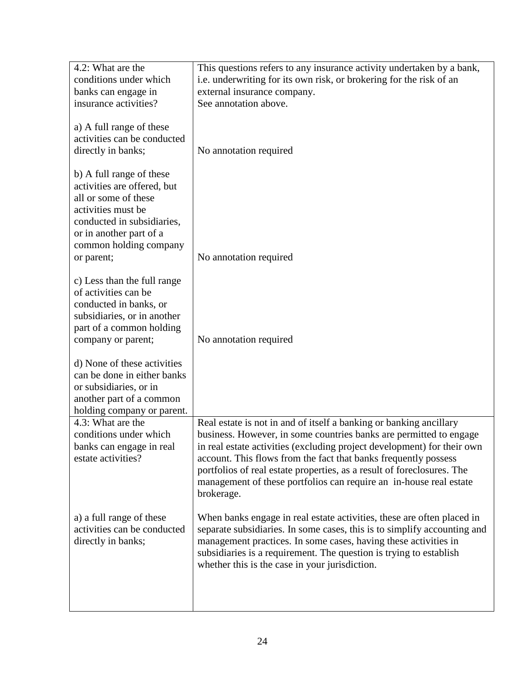| 4.2: What are the           | This questions refers to any insurance activity undertaken by a bank,    |
|-----------------------------|--------------------------------------------------------------------------|
| conditions under which      | i.e. underwriting for its own risk, or brokering for the risk of an      |
| banks can engage in         | external insurance company.                                              |
| insurance activities?       | See annotation above.                                                    |
|                             |                                                                          |
| a) A full range of these    |                                                                          |
| activities can be conducted |                                                                          |
| directly in banks;          | No annotation required                                                   |
|                             |                                                                          |
| b) A full range of these    |                                                                          |
| activities are offered, but |                                                                          |
| all or some of these        |                                                                          |
| activities must be          |                                                                          |
| conducted in subsidiaries,  |                                                                          |
| or in another part of a     |                                                                          |
| common holding company      |                                                                          |
| or parent;                  | No annotation required                                                   |
|                             |                                                                          |
| c) Less than the full range |                                                                          |
| of activities can be        |                                                                          |
| conducted in banks, or      |                                                                          |
| subsidiaries, or in another |                                                                          |
| part of a common holding    |                                                                          |
| company or parent;          | No annotation required                                                   |
|                             |                                                                          |
| d) None of these activities |                                                                          |
| can be done in either banks |                                                                          |
| or subsidiaries, or in      |                                                                          |
| another part of a common    |                                                                          |
| holding company or parent.  |                                                                          |
| 4.3: What are the           | Real estate is not in and of itself a banking or banking ancillary       |
| conditions under which      | business. However, in some countries banks are permitted to engage       |
| banks can engage in real    | in real estate activities (excluding project development) for their own  |
| estate activities?          | account. This flows from the fact that banks frequently possess          |
|                             | portfolios of real estate properties, as a result of foreclosures. The   |
|                             | management of these portfolios can require an in-house real estate       |
|                             | brokerage.                                                               |
|                             |                                                                          |
| a) a full range of these    | When banks engage in real estate activities, these are often placed in   |
| activities can be conducted | separate subsidiaries. In some cases, this is to simplify accounting and |
| directly in banks;          | management practices. In some cases, having these activities in          |
|                             | subsidiaries is a requirement. The question is trying to establish       |
|                             | whether this is the case in your jurisdiction.                           |
|                             |                                                                          |
|                             |                                                                          |
|                             |                                                                          |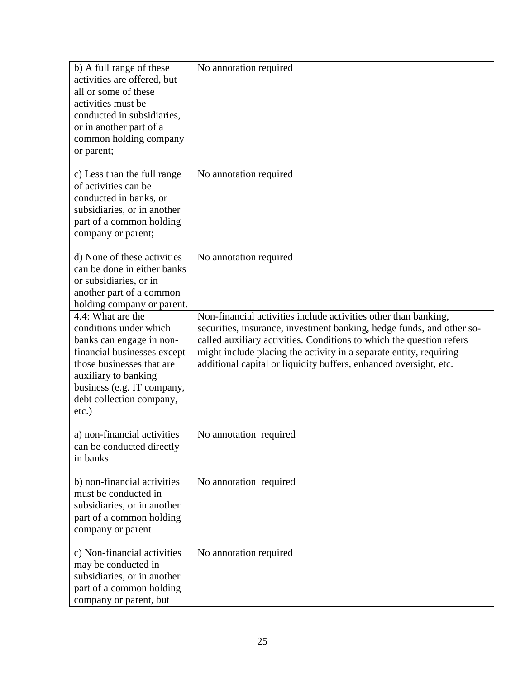| b) A full range of these<br>activities are offered, but<br>all or some of these<br>activities must be<br>conducted in subsidiaries,<br>or in another part of a<br>common holding company<br>or parent;                            | No annotation required                                                                                                                                                                                                                                                                                                                                      |
|-----------------------------------------------------------------------------------------------------------------------------------------------------------------------------------------------------------------------------------|-------------------------------------------------------------------------------------------------------------------------------------------------------------------------------------------------------------------------------------------------------------------------------------------------------------------------------------------------------------|
| c) Less than the full range<br>of activities can be<br>conducted in banks, or<br>subsidiaries, or in another<br>part of a common holding<br>company or parent;                                                                    | No annotation required                                                                                                                                                                                                                                                                                                                                      |
| d) None of these activities<br>can be done in either banks<br>or subsidiaries, or in<br>another part of a common<br>holding company or parent.                                                                                    | No annotation required                                                                                                                                                                                                                                                                                                                                      |
| 4.4: What are the<br>conditions under which<br>banks can engage in non-<br>financial businesses except<br>those businesses that are<br>auxiliary to banking<br>business (e.g. IT company,<br>debt collection company,<br>$etc.$ ) | Non-financial activities include activities other than banking,<br>securities, insurance, investment banking, hedge funds, and other so-<br>called auxiliary activities. Conditions to which the question refers<br>might include placing the activity in a separate entity, requiring<br>additional capital or liquidity buffers, enhanced oversight, etc. |
| a) non-financial activities<br>can be conducted directly<br>in banks                                                                                                                                                              | No annotation required                                                                                                                                                                                                                                                                                                                                      |
| b) non-financial activities<br>must be conducted in<br>subsidiaries, or in another<br>part of a common holding<br>company or parent                                                                                               | No annotation required                                                                                                                                                                                                                                                                                                                                      |
| c) Non-financial activities<br>may be conducted in<br>subsidiaries, or in another<br>part of a common holding<br>company or parent, but                                                                                           | No annotation required                                                                                                                                                                                                                                                                                                                                      |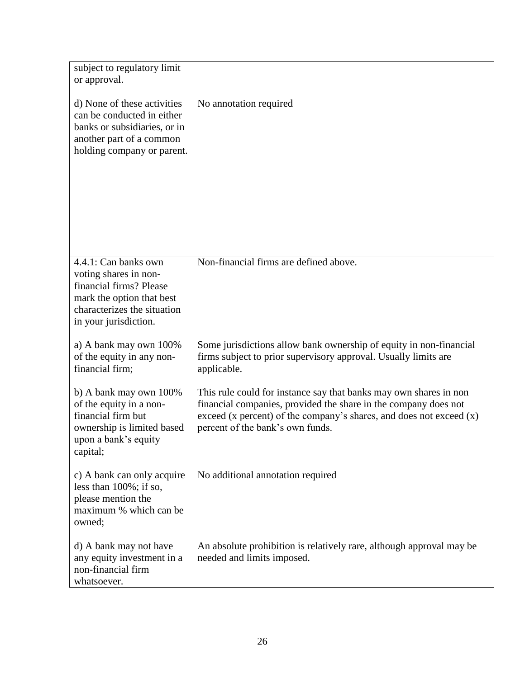| subject to regulatory limit<br>or approval.                                                                                                                   |                                                                                                                                                                                                                                                     |
|---------------------------------------------------------------------------------------------------------------------------------------------------------------|-----------------------------------------------------------------------------------------------------------------------------------------------------------------------------------------------------------------------------------------------------|
| d) None of these activities<br>can be conducted in either<br>banks or subsidiaries, or in<br>another part of a common<br>holding company or parent.           | No annotation required                                                                                                                                                                                                                              |
| 4.4.1: Can banks own<br>voting shares in non-<br>financial firms? Please<br>mark the option that best<br>characterizes the situation<br>in your jurisdiction. | Non-financial firms are defined above.                                                                                                                                                                                                              |
| a) A bank may own 100%<br>of the equity in any non-<br>financial firm;                                                                                        | Some jurisdictions allow bank ownership of equity in non-financial<br>firms subject to prior supervisory approval. Usually limits are<br>applicable.                                                                                                |
| b) A bank may own 100%<br>of the equity in a non-<br>financial firm but<br>ownership is limited based<br>upon a bank's equity<br>capital;                     | This rule could for instance say that banks may own shares in non<br>financial companies, provided the share in the company does not<br>exceed $(x$ percent) of the company's shares, and does not exceed $(x)$<br>percent of the bank's own funds. |
| c) A bank can only acquire<br>less than $100\%$ ; if so,<br>please mention the<br>maximum % which can be<br>owned;                                            | No additional annotation required                                                                                                                                                                                                                   |
| d) A bank may not have<br>any equity investment in a<br>non-financial firm<br>whatsoever.                                                                     | An absolute prohibition is relatively rare, although approval may be<br>needed and limits imposed.                                                                                                                                                  |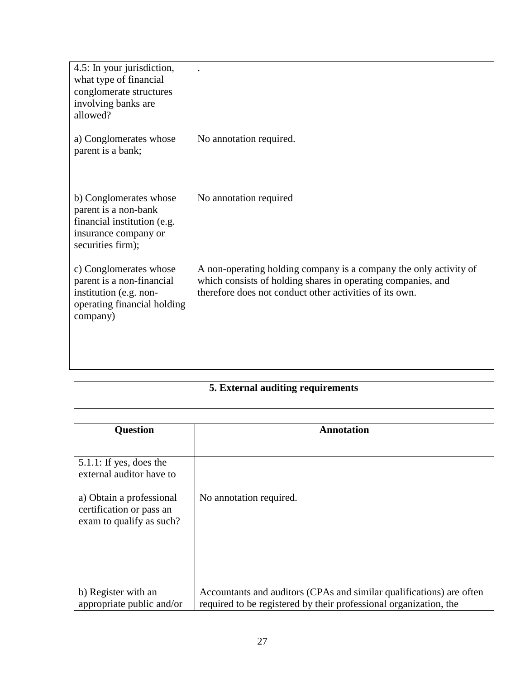| 4.5: In your jurisdiction,<br>what type of financial<br>conglomerate structures<br>involving banks are<br>allowed?         |                                                                                                                                                                                              |
|----------------------------------------------------------------------------------------------------------------------------|----------------------------------------------------------------------------------------------------------------------------------------------------------------------------------------------|
| a) Conglomerates whose<br>parent is a bank;                                                                                | No annotation required.                                                                                                                                                                      |
| b) Conglomerates whose<br>parent is a non-bank<br>financial institution (e.g.<br>insurance company or<br>securities firm); | No annotation required                                                                                                                                                                       |
| c) Conglomerates whose<br>parent is a non-financial<br>institution (e.g. non-<br>operating financial holding<br>company)   | A non-operating holding company is a company the only activity of<br>which consists of holding shares in operating companies, and<br>therefore does not conduct other activities of its own. |

| 5. External auditing requirements                                                |                                                                      |  |
|----------------------------------------------------------------------------------|----------------------------------------------------------------------|--|
|                                                                                  |                                                                      |  |
| <b>Question</b>                                                                  | <b>Annotation</b>                                                    |  |
|                                                                                  |                                                                      |  |
| $5.1.1$ : If yes, does the<br>external auditor have to                           |                                                                      |  |
| a) Obtain a professional<br>certification or pass an<br>exam to qualify as such? | No annotation required.                                              |  |
| b) Register with an                                                              | Accountants and auditors (CPAs and similar qualifications) are often |  |
| appropriate public and/or                                                        | required to be registered by their professional organization, the    |  |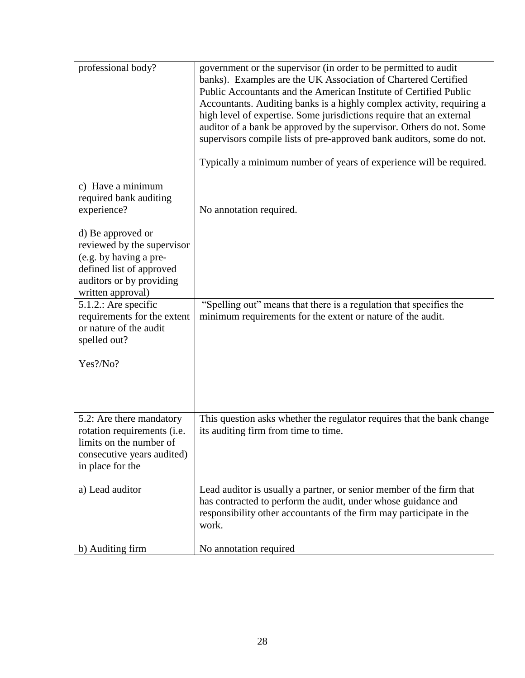| professional body?                                                                                                                                     | government or the supervisor (in order to be permitted to audit<br>banks). Examples are the UK Association of Chartered Certified<br>Public Accountants and the American Institute of Certified Public<br>Accountants. Auditing banks is a highly complex activity, requiring a<br>high level of expertise. Some jurisdictions require that an external<br>auditor of a bank be approved by the supervisor. Others do not. Some<br>supervisors compile lists of pre-approved bank auditors, some do not.<br>Typically a minimum number of years of experience will be required. |
|--------------------------------------------------------------------------------------------------------------------------------------------------------|---------------------------------------------------------------------------------------------------------------------------------------------------------------------------------------------------------------------------------------------------------------------------------------------------------------------------------------------------------------------------------------------------------------------------------------------------------------------------------------------------------------------------------------------------------------------------------|
| c) Have a minimum<br>required bank auditing<br>experience?                                                                                             | No annotation required.                                                                                                                                                                                                                                                                                                                                                                                                                                                                                                                                                         |
| d) Be approved or<br>reviewed by the supervisor<br>(e.g. by having a pre-<br>defined list of approved<br>auditors or by providing<br>written approval) |                                                                                                                                                                                                                                                                                                                                                                                                                                                                                                                                                                                 |
| 5.1.2.: Are specific<br>requirements for the extent<br>or nature of the audit<br>spelled out?                                                          | "Spelling out" means that there is a regulation that specifies the<br>minimum requirements for the extent or nature of the audit.                                                                                                                                                                                                                                                                                                                                                                                                                                               |
| Yes?/No?                                                                                                                                               |                                                                                                                                                                                                                                                                                                                                                                                                                                                                                                                                                                                 |
| 5.2: Are there mandatory<br>rotation requirements (i.e.<br>limits on the number of<br>consecutive years audited)<br>in place for the                   | This question asks whether the regulator requires that the bank change<br>its auditing firm from time to time.                                                                                                                                                                                                                                                                                                                                                                                                                                                                  |
| a) Lead auditor                                                                                                                                        | Lead auditor is usually a partner, or senior member of the firm that<br>has contracted to perform the audit, under whose guidance and<br>responsibility other accountants of the firm may participate in the<br>work.                                                                                                                                                                                                                                                                                                                                                           |
| b) Auditing firm                                                                                                                                       | No annotation required                                                                                                                                                                                                                                                                                                                                                                                                                                                                                                                                                          |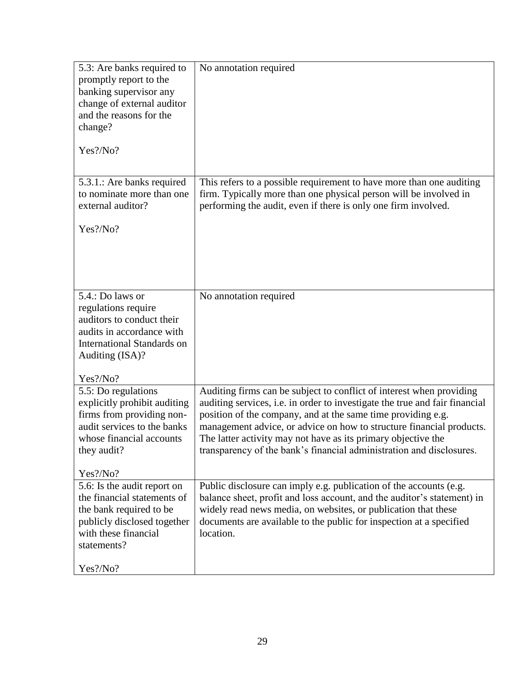| 5.3: Are banks required to<br>promptly report to the<br>banking supervisor any<br>change of external auditor<br>and the reasons for the<br>change?<br>Yes?/No?          | No annotation required                                                                                                                                                                                                                                                                                                                                                                                                               |
|-------------------------------------------------------------------------------------------------------------------------------------------------------------------------|--------------------------------------------------------------------------------------------------------------------------------------------------------------------------------------------------------------------------------------------------------------------------------------------------------------------------------------------------------------------------------------------------------------------------------------|
| 5.3.1.: Are banks required<br>to nominate more than one<br>external auditor?<br>$Yes$ ?/No?                                                                             | This refers to a possible requirement to have more than one auditing<br>firm. Typically more than one physical person will be involved in<br>performing the audit, even if there is only one firm involved.                                                                                                                                                                                                                          |
| 5.4.: Do laws or<br>regulations require<br>auditors to conduct their<br>audits in accordance with<br><b>International Standards on</b><br>Auditing (ISA)?<br>Yes?/No?   | No annotation required                                                                                                                                                                                                                                                                                                                                                                                                               |
| 5.5: Do regulations<br>explicitly prohibit auditing<br>firms from providing non-<br>audit services to the banks<br>whose financial accounts<br>they audit?<br>Yes?/No?  | Auditing firms can be subject to conflict of interest when providing<br>auditing services, i.e. in order to investigate the true and fair financial<br>position of the company, and at the same time providing e.g.<br>management advice, or advice on how to structure financial products.<br>The latter activity may not have as its primary objective the<br>transparency of the bank's financial administration and disclosures. |
| 5.6: Is the audit report on<br>the financial statements of<br>the bank required to be<br>publicly disclosed together<br>with these financial<br>statements?<br>Yes?/No? | Public disclosure can imply e.g. publication of the accounts (e.g.<br>balance sheet, profit and loss account, and the auditor's statement) in<br>widely read news media, on websites, or publication that these<br>documents are available to the public for inspection at a specified<br>location.                                                                                                                                  |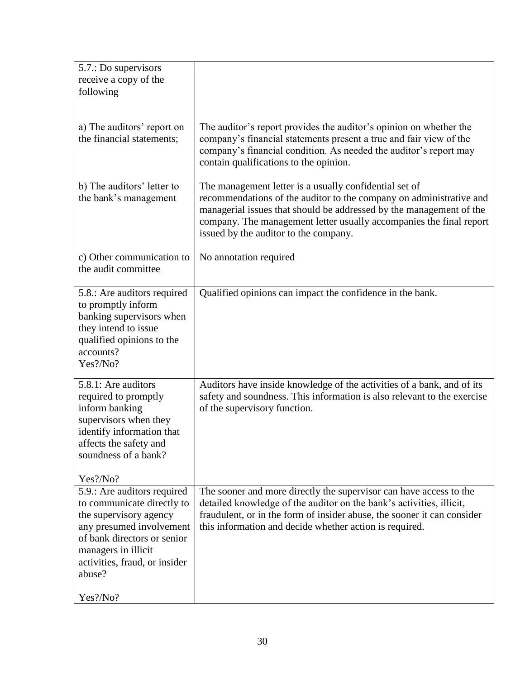| 5.7.: Do supervisors<br>receive a copy of the<br>following                                                                                                                                                       |                                                                                                                                                                                                                                                                                                                      |
|------------------------------------------------------------------------------------------------------------------------------------------------------------------------------------------------------------------|----------------------------------------------------------------------------------------------------------------------------------------------------------------------------------------------------------------------------------------------------------------------------------------------------------------------|
|                                                                                                                                                                                                                  |                                                                                                                                                                                                                                                                                                                      |
| a) The auditors' report on<br>the financial statements;                                                                                                                                                          | The auditor's report provides the auditor's opinion on whether the<br>company's financial statements present a true and fair view of the<br>company's financial condition. As needed the auditor's report may<br>contain qualifications to the opinion.                                                              |
| b) The auditors' letter to<br>the bank's management                                                                                                                                                              | The management letter is a usually confidential set of<br>recommendations of the auditor to the company on administrative and<br>managerial issues that should be addressed by the management of the<br>company. The management letter usually accompanies the final report<br>issued by the auditor to the company. |
| c) Other communication to<br>the audit committee                                                                                                                                                                 | No annotation required                                                                                                                                                                                                                                                                                               |
| 5.8.: Are auditors required<br>to promptly inform<br>banking supervisors when<br>they intend to issue<br>qualified opinions to the<br>accounts?<br>Yes?/No?                                                      | Qualified opinions can impact the confidence in the bank.                                                                                                                                                                                                                                                            |
| 5.8.1: Are auditors<br>required to promptly<br>inform banking<br>supervisors when they<br>identify information that<br>affects the safety and<br>soundness of a bank?                                            | Auditors have inside knowledge of the activities of a bank, and of its<br>safety and soundness. This information is also relevant to the exercise<br>of the supervisory function.                                                                                                                                    |
| Yes?/No?                                                                                                                                                                                                         |                                                                                                                                                                                                                                                                                                                      |
| 5.9.: Are auditors required<br>to communicate directly to<br>the supervisory agency<br>any presumed involvement<br>of bank directors or senior<br>managers in illicit<br>activities, fraud, or insider<br>abuse? | The sooner and more directly the supervisor can have access to the<br>detailed knowledge of the auditor on the bank's activities, illicit,<br>fraudulent, or in the form of insider abuse, the sooner it can consider<br>this information and decide whether action is required.                                     |
| Yes?/No?                                                                                                                                                                                                         |                                                                                                                                                                                                                                                                                                                      |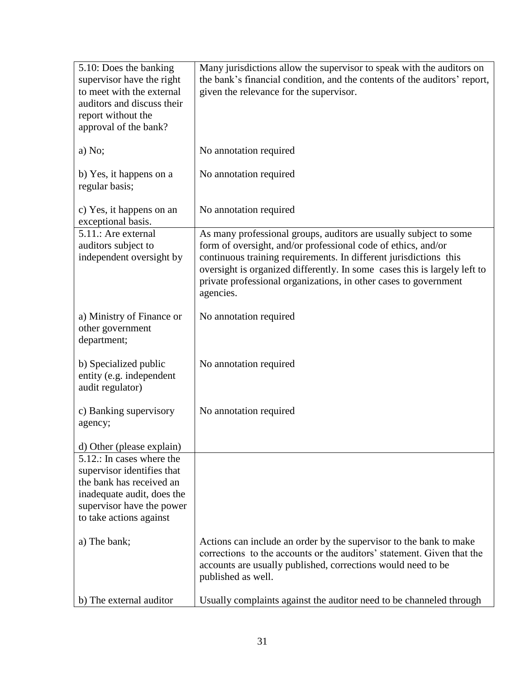| 5.10: Does the banking<br>supervisor have the right<br>to meet with the external<br>auditors and discuss their<br>report without the<br>approval of the bank?             | Many jurisdictions allow the supervisor to speak with the auditors on<br>the bank's financial condition, and the contents of the auditors' report,<br>given the relevance for the supervisor.                                                                                                                                                                         |
|---------------------------------------------------------------------------------------------------------------------------------------------------------------------------|-----------------------------------------------------------------------------------------------------------------------------------------------------------------------------------------------------------------------------------------------------------------------------------------------------------------------------------------------------------------------|
| a) No;                                                                                                                                                                    | No annotation required                                                                                                                                                                                                                                                                                                                                                |
| b) Yes, it happens on a<br>regular basis;                                                                                                                                 | No annotation required                                                                                                                                                                                                                                                                                                                                                |
| c) Yes, it happens on an<br>exceptional basis.                                                                                                                            | No annotation required                                                                                                                                                                                                                                                                                                                                                |
| 5.11.: Are external<br>auditors subject to<br>independent oversight by                                                                                                    | As many professional groups, auditors are usually subject to some<br>form of oversight, and/or professional code of ethics, and/or<br>continuous training requirements. In different jurisdictions this<br>oversight is organized differently. In some cases this is largely left to<br>private professional organizations, in other cases to government<br>agencies. |
| a) Ministry of Finance or<br>other government<br>department;                                                                                                              | No annotation required                                                                                                                                                                                                                                                                                                                                                |
| b) Specialized public<br>entity (e.g. independent<br>audit regulator)                                                                                                     | No annotation required                                                                                                                                                                                                                                                                                                                                                |
| c) Banking supervisory<br>agency;                                                                                                                                         | No annotation required                                                                                                                                                                                                                                                                                                                                                |
| d) Other (please explain)                                                                                                                                                 |                                                                                                                                                                                                                                                                                                                                                                       |
| 5.12.: In cases where the<br>supervisor identifies that<br>the bank has received an<br>inadequate audit, does the<br>supervisor have the power<br>to take actions against |                                                                                                                                                                                                                                                                                                                                                                       |
| a) The bank;                                                                                                                                                              | Actions can include an order by the supervisor to the bank to make<br>corrections to the accounts or the auditors' statement. Given that the<br>accounts are usually published, corrections would need to be<br>published as well.                                                                                                                                    |
| b) The external auditor                                                                                                                                                   | Usually complaints against the auditor need to be channeled through                                                                                                                                                                                                                                                                                                   |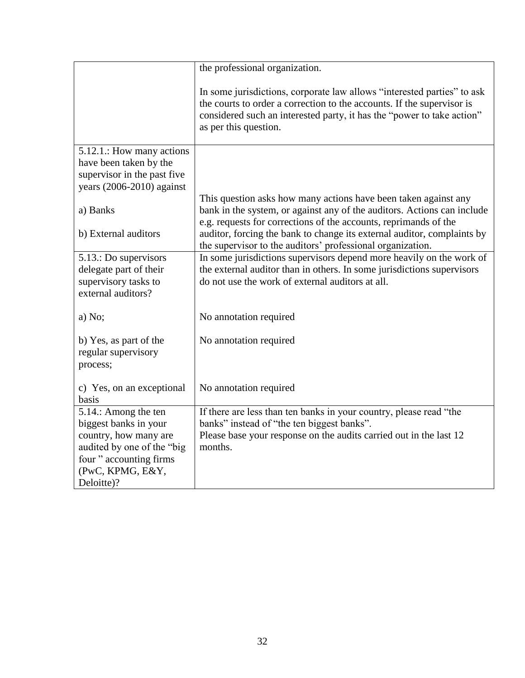|                                                                                                                                                                   | the professional organization.                                                                                                                                                                                                                       |
|-------------------------------------------------------------------------------------------------------------------------------------------------------------------|------------------------------------------------------------------------------------------------------------------------------------------------------------------------------------------------------------------------------------------------------|
|                                                                                                                                                                   | In some jurisdictions, corporate law allows "interested parties" to ask<br>the courts to order a correction to the accounts. If the supervisor is<br>considered such an interested party, it has the "power to take action"<br>as per this question. |
| 5.12.1.: How many actions<br>have been taken by the<br>supervisor in the past five<br>years $(2006-2010)$ against                                                 |                                                                                                                                                                                                                                                      |
| a) Banks                                                                                                                                                          | This question asks how many actions have been taken against any<br>bank in the system, or against any of the auditors. Actions can include<br>e.g. requests for corrections of the accounts, reprimands of the                                       |
| b) External auditors                                                                                                                                              | auditor, forcing the bank to change its external auditor, complaints by<br>the supervisor to the auditors' professional organization.                                                                                                                |
| 5.13.: Do supervisors<br>delegate part of their<br>supervisory tasks to<br>external auditors?                                                                     | In some jurisdictions supervisors depend more heavily on the work of<br>the external auditor than in others. In some jurisdictions supervisors<br>do not use the work of external auditors at all.                                                   |
| a) No;                                                                                                                                                            | No annotation required                                                                                                                                                                                                                               |
| b) Yes, as part of the<br>regular supervisory<br>process;                                                                                                         | No annotation required                                                                                                                                                                                                                               |
| c) Yes, on an exceptional<br>basis                                                                                                                                | No annotation required                                                                                                                                                                                                                               |
| 5.14.: Among the ten<br>biggest banks in your<br>country, how many are<br>audited by one of the "big<br>four " accounting firms<br>(PwC, KPMG, E&Y,<br>Deloitte)? | If there are less than ten banks in your country, please read "the<br>banks" instead of "the ten biggest banks".<br>Please base your response on the audits carried out in the last 12<br>months.                                                    |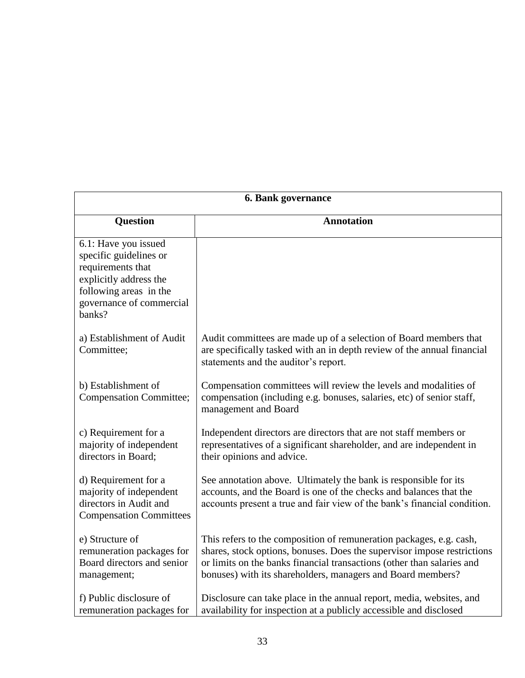| 6. Bank governance                                                                                                                                            |                                                                                                                                                                                                                                                                                         |
|---------------------------------------------------------------------------------------------------------------------------------------------------------------|-----------------------------------------------------------------------------------------------------------------------------------------------------------------------------------------------------------------------------------------------------------------------------------------|
| <b>Question</b>                                                                                                                                               | <b>Annotation</b>                                                                                                                                                                                                                                                                       |
| 6.1: Have you issued<br>specific guidelines or<br>requirements that<br>explicitly address the<br>following areas in the<br>governance of commercial<br>banks? |                                                                                                                                                                                                                                                                                         |
| a) Establishment of Audit<br>Committee;                                                                                                                       | Audit committees are made up of a selection of Board members that<br>are specifically tasked with an in depth review of the annual financial<br>statements and the auditor's report.                                                                                                    |
| b) Establishment of<br><b>Compensation Committee;</b>                                                                                                         | Compensation committees will review the levels and modalities of<br>compensation (including e.g. bonuses, salaries, etc) of senior staff,<br>management and Board                                                                                                                       |
| c) Requirement for a<br>majority of independent<br>directors in Board;                                                                                        | Independent directors are directors that are not staff members or<br>representatives of a significant shareholder, and are independent in<br>their opinions and advice.                                                                                                                 |
| d) Requirement for a<br>majority of independent<br>directors in Audit and<br><b>Compensation Committees</b>                                                   | See annotation above. Ultimately the bank is responsible for its<br>accounts, and the Board is one of the checks and balances that the<br>accounts present a true and fair view of the bank's financial condition.                                                                      |
| e) Structure of<br>remuneration packages for<br>Board directors and senior<br>management;                                                                     | This refers to the composition of remuneration packages, e.g. cash,<br>shares, stock options, bonuses. Does the supervisor impose restrictions<br>or limits on the banks financial transactions (other than salaries and<br>bonuses) with its shareholders, managers and Board members? |
| f) Public disclosure of<br>remuneration packages for                                                                                                          | Disclosure can take place in the annual report, media, websites, and<br>availability for inspection at a publicly accessible and disclosed                                                                                                                                              |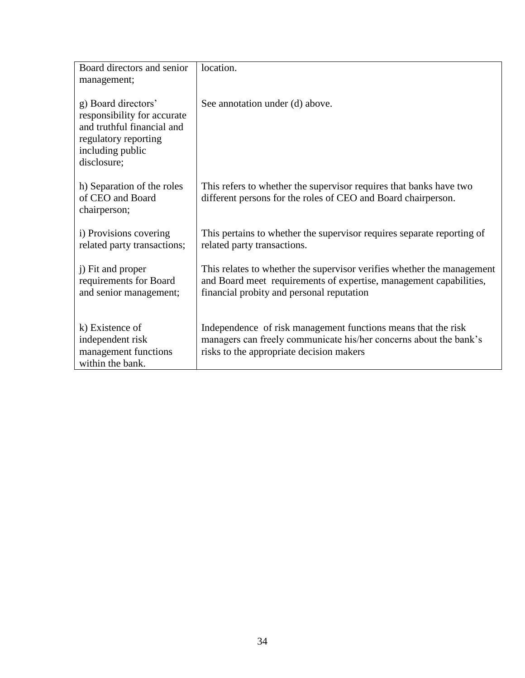| Board directors and senior                                                                                                                  | location.                                                                                                                                                                                 |
|---------------------------------------------------------------------------------------------------------------------------------------------|-------------------------------------------------------------------------------------------------------------------------------------------------------------------------------------------|
| management;                                                                                                                                 |                                                                                                                                                                                           |
| g) Board directors'<br>responsibility for accurate<br>and truthful financial and<br>regulatory reporting<br>including public<br>disclosure; | See annotation under (d) above.                                                                                                                                                           |
| h) Separation of the roles<br>of CEO and Board<br>chairperson;                                                                              | This refers to whether the supervisor requires that banks have two<br>different persons for the roles of CEO and Board chairperson.                                                       |
| i) Provisions covering<br>related party transactions;                                                                                       | This pertains to whether the supervisor requires separate reporting of<br>related party transactions.                                                                                     |
| j) Fit and proper<br>requirements for Board<br>and senior management;                                                                       | This relates to whether the supervisor verifies whether the management<br>and Board meet requirements of expertise, management capabilities,<br>financial probity and personal reputation |
| k) Existence of<br>independent risk<br>management functions<br>within the bank.                                                             | Independence of risk management functions means that the risk<br>managers can freely communicate his/her concerns about the bank's<br>risks to the appropriate decision makers            |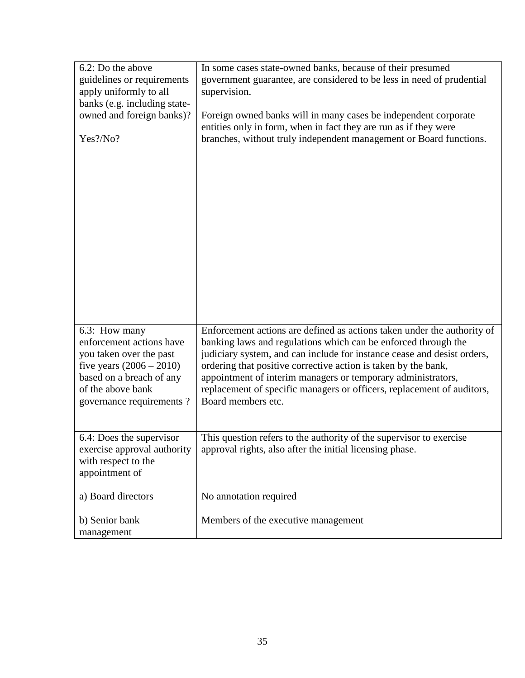| 6.2: Do the above<br>guidelines or requirements<br>apply uniformly to all<br>banks (e.g. including state-<br>owned and foreign banks)?<br>Yes?/No?                              | In some cases state-owned banks, because of their presumed<br>government guarantee, are considered to be less in need of prudential<br>supervision.<br>Foreign owned banks will in many cases be independent corporate<br>entities only in form, when in fact they are run as if they were<br>branches, without truly independent management or Board functions.                                                                                       |
|---------------------------------------------------------------------------------------------------------------------------------------------------------------------------------|--------------------------------------------------------------------------------------------------------------------------------------------------------------------------------------------------------------------------------------------------------------------------------------------------------------------------------------------------------------------------------------------------------------------------------------------------------|
| 6.3: How many<br>enforcement actions have<br>you taken over the past<br>five years $(2006 - 2010)$<br>based on a breach of any<br>of the above bank<br>governance requirements? | Enforcement actions are defined as actions taken under the authority of<br>banking laws and regulations which can be enforced through the<br>judiciary system, and can include for instance cease and desist orders,<br>ordering that positive corrective action is taken by the bank,<br>appointment of interim managers or temporary administrators,<br>replacement of specific managers or officers, replacement of auditors,<br>Board members etc. |
| 6.4: Does the supervisor<br>exercise approval authority<br>with respect to the<br>appointment of                                                                                | This question refers to the authority of the supervisor to exercise<br>approval rights, also after the initial licensing phase.                                                                                                                                                                                                                                                                                                                        |
| a) Board directors                                                                                                                                                              | No annotation required                                                                                                                                                                                                                                                                                                                                                                                                                                 |
| b) Senior bank<br>management                                                                                                                                                    | Members of the executive management                                                                                                                                                                                                                                                                                                                                                                                                                    |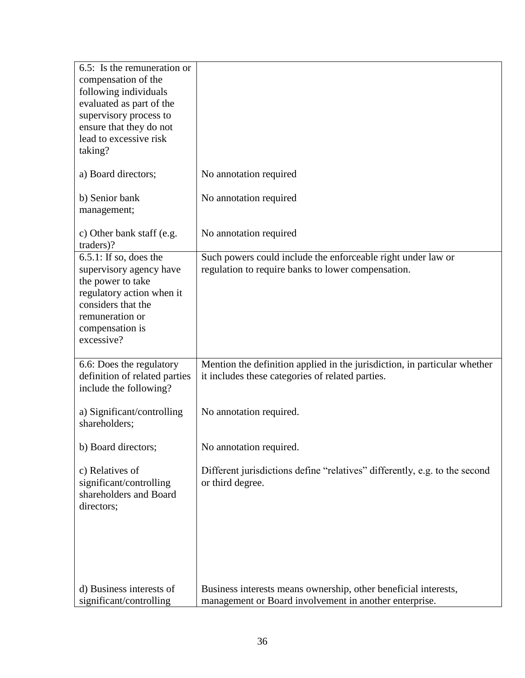| 6.5: Is the remuneration or<br>compensation of the<br>following individuals<br>evaluated as part of the<br>supervisory process to<br>ensure that they do not<br>lead to excessive risk<br>taking? |                                                                                                                               |
|---------------------------------------------------------------------------------------------------------------------------------------------------------------------------------------------------|-------------------------------------------------------------------------------------------------------------------------------|
| a) Board directors;                                                                                                                                                                               | No annotation required                                                                                                        |
| b) Senior bank<br>management;                                                                                                                                                                     | No annotation required                                                                                                        |
| c) Other bank staff (e.g.<br>traders)?                                                                                                                                                            | No annotation required                                                                                                        |
| $6.5.1$ : If so, does the<br>supervisory agency have<br>the power to take<br>regulatory action when it<br>considers that the<br>remuneration or<br>compensation is<br>excessive?                  | Such powers could include the enforceable right under law or<br>regulation to require banks to lower compensation.            |
| 6.6: Does the regulatory<br>definition of related parties<br>include the following?                                                                                                               | Mention the definition applied in the jurisdiction, in particular whether<br>it includes these categories of related parties. |
| a) Significant/controlling<br>shareholders;                                                                                                                                                       | No annotation required.                                                                                                       |
| b) Board directors;                                                                                                                                                                               | No annotation required.                                                                                                       |
| c) Relatives of<br>significant/controlling<br>shareholders and Board<br>directors;                                                                                                                | Different jurisdictions define "relatives" differently, e.g. to the second<br>or third degree.                                |
| d) Business interests of<br>significant/controlling                                                                                                                                               | Business interests means ownership, other beneficial interests,<br>management or Board involvement in another enterprise.     |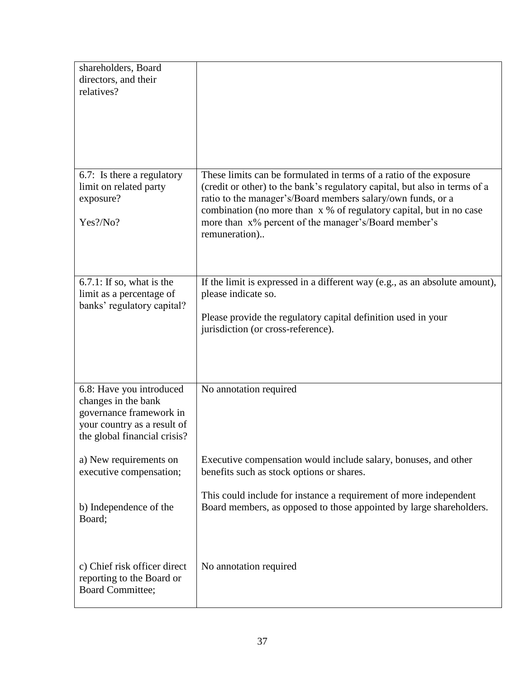| shareholders, Board<br>directors, and their<br>relatives?                                                                                 |                                                                                                                                                                                                                                                                                                                                                                 |
|-------------------------------------------------------------------------------------------------------------------------------------------|-----------------------------------------------------------------------------------------------------------------------------------------------------------------------------------------------------------------------------------------------------------------------------------------------------------------------------------------------------------------|
| 6.7: Is there a regulatory<br>limit on related party<br>exposure?<br>Yes?/No?                                                             | These limits can be formulated in terms of a ratio of the exposure<br>(credit or other) to the bank's regulatory capital, but also in terms of a<br>ratio to the manager's/Board members salary/own funds, or a<br>combination (no more than x % of regulatory capital, but in no case<br>more than x% percent of the manager's/Board member's<br>remuneration) |
| $6.7.1$ : If so, what is the<br>limit as a percentage of<br>banks' regulatory capital?                                                    | If the limit is expressed in a different way (e.g., as an absolute amount),<br>please indicate so.<br>Please provide the regulatory capital definition used in your<br>jurisdiction (or cross-reference).                                                                                                                                                       |
| 6.8: Have you introduced<br>changes in the bank<br>governance framework in<br>your country as a result of<br>the global financial crisis? | No annotation required                                                                                                                                                                                                                                                                                                                                          |
| a) New requirements on<br>executive compensation;                                                                                         | Executive compensation would include salary, bonuses, and other<br>benefits such as stock options or shares.                                                                                                                                                                                                                                                    |
| b) Independence of the<br>Board;                                                                                                          | This could include for instance a requirement of more independent<br>Board members, as opposed to those appointed by large shareholders.                                                                                                                                                                                                                        |
| c) Chief risk officer direct<br>reporting to the Board or<br>Board Committee;                                                             | No annotation required                                                                                                                                                                                                                                                                                                                                          |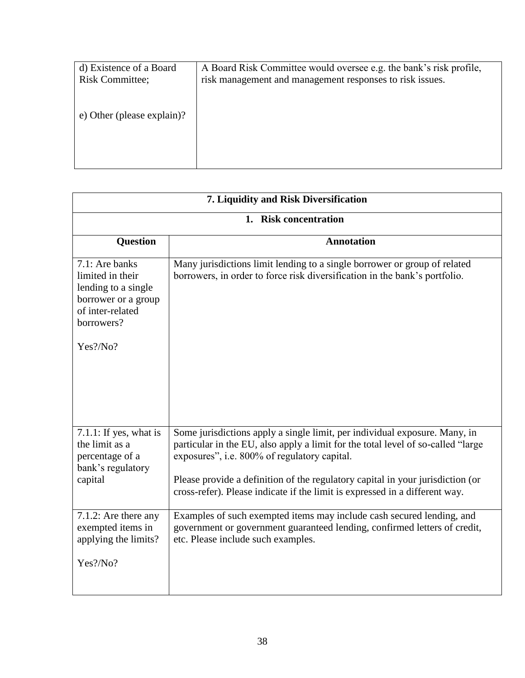| d) Existence of a Board<br><b>Risk Committee;</b> | A Board Risk Committee would oversee e.g. the bank's risk profile,<br>risk management and management responses to risk issues. |
|---------------------------------------------------|--------------------------------------------------------------------------------------------------------------------------------|
| e) Other (please explain)?                        |                                                                                                                                |
|                                                   |                                                                                                                                |

| 7. Liquidity and Risk Diversification                                                                                          |                                                                                                                                                                                                                                                                                                                                                                                 |
|--------------------------------------------------------------------------------------------------------------------------------|---------------------------------------------------------------------------------------------------------------------------------------------------------------------------------------------------------------------------------------------------------------------------------------------------------------------------------------------------------------------------------|
|                                                                                                                                | 1. Risk concentration                                                                                                                                                                                                                                                                                                                                                           |
| <b>Question</b>                                                                                                                | <b>Annotation</b>                                                                                                                                                                                                                                                                                                                                                               |
| 7.1: Are banks<br>limited in their<br>lending to a single<br>borrower or a group<br>of inter-related<br>borrowers?<br>Yes?/No? | Many jurisdictions limit lending to a single borrower or group of related<br>borrowers, in order to force risk diversification in the bank's portfolio.                                                                                                                                                                                                                         |
| $7.1.1$ : If yes, what is<br>the limit as a<br>percentage of a<br>bank's regulatory<br>capital                                 | Some jurisdictions apply a single limit, per individual exposure. Many, in<br>particular in the EU, also apply a limit for the total level of so-called "large<br>exposures", i.e. 800% of regulatory capital.<br>Please provide a definition of the regulatory capital in your jurisdiction (or<br>cross-refer). Please indicate if the limit is expressed in a different way. |
| 7.1.2: Are there any<br>exempted items in<br>applying the limits?<br>Yes?/No?                                                  | Examples of such exempted items may include cash secured lending, and<br>government or government guaranteed lending, confirmed letters of credit,<br>etc. Please include such examples.                                                                                                                                                                                        |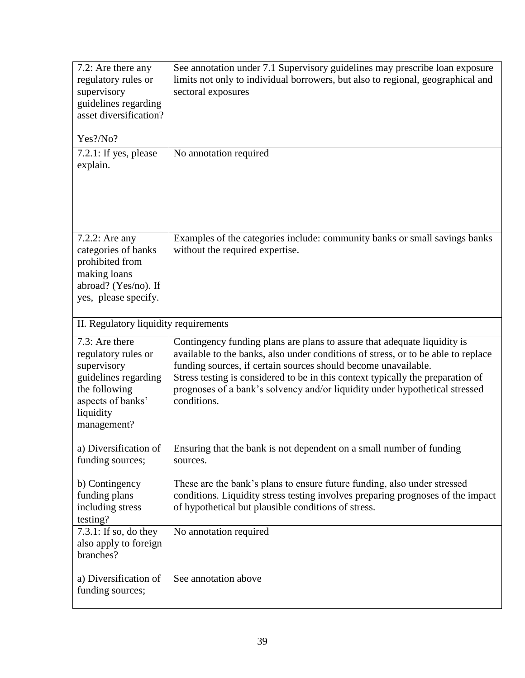| 7.2: Are there any<br>regulatory rules or<br>supervisory<br>guidelines regarding<br>asset diversification?<br>Yes?/No?<br>$7.2.1$ : If yes, please<br>explain. | See annotation under 7.1 Supervisory guidelines may prescribe loan exposure<br>limits not only to individual borrowers, but also to regional, geographical and<br>sectoral exposures<br>No annotation required                                                                                                                                                                                                   |
|----------------------------------------------------------------------------------------------------------------------------------------------------------------|------------------------------------------------------------------------------------------------------------------------------------------------------------------------------------------------------------------------------------------------------------------------------------------------------------------------------------------------------------------------------------------------------------------|
| 7.2.2: Are any<br>categories of banks<br>prohibited from<br>making loans<br>abroad? (Yes/no). If<br>yes, please specify.                                       | Examples of the categories include: community banks or small savings banks<br>without the required expertise.                                                                                                                                                                                                                                                                                                    |
| II. Regulatory liquidity requirements                                                                                                                          |                                                                                                                                                                                                                                                                                                                                                                                                                  |
| 7.3: Are there<br>regulatory rules or<br>supervisory<br>guidelines regarding<br>the following<br>aspects of banks'<br>liquidity<br>management?                 | Contingency funding plans are plans to assure that adequate liquidity is<br>available to the banks, also under conditions of stress, or to be able to replace<br>funding sources, if certain sources should become unavailable.<br>Stress testing is considered to be in this context typically the preparation of<br>prognoses of a bank's solvency and/or liquidity under hypothetical stressed<br>conditions. |
| a) Diversification of<br>funding sources;                                                                                                                      | Ensuring that the bank is not dependent on a small number of funding<br>sources.                                                                                                                                                                                                                                                                                                                                 |
| b) Contingency<br>funding plans<br>including stress<br>testing?                                                                                                | These are the bank's plans to ensure future funding, also under stressed<br>conditions. Liquidity stress testing involves preparing prognoses of the impact<br>of hypothetical but plausible conditions of stress.                                                                                                                                                                                               |
| $7.3.1$ : If so, do they<br>also apply to foreign<br>branches?                                                                                                 | No annotation required                                                                                                                                                                                                                                                                                                                                                                                           |
| a) Diversification of<br>funding sources;                                                                                                                      | See annotation above                                                                                                                                                                                                                                                                                                                                                                                             |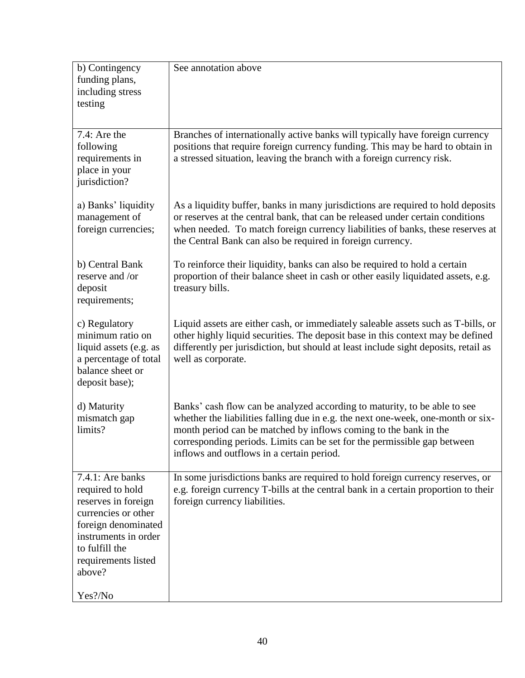| b) Contingency<br>funding plans,<br>including stress<br>testing                                                                                                                                 | See annotation above                                                                                                                                                                                                                                                                                                                                       |
|-------------------------------------------------------------------------------------------------------------------------------------------------------------------------------------------------|------------------------------------------------------------------------------------------------------------------------------------------------------------------------------------------------------------------------------------------------------------------------------------------------------------------------------------------------------------|
| 7.4: Are the<br>following<br>requirements in<br>place in your<br>jurisdiction?                                                                                                                  | Branches of internationally active banks will typically have foreign currency<br>positions that require foreign currency funding. This may be hard to obtain in<br>a stressed situation, leaving the branch with a foreign currency risk.                                                                                                                  |
| a) Banks' liquidity<br>management of<br>foreign currencies;                                                                                                                                     | As a liquidity buffer, banks in many jurisdictions are required to hold deposits<br>or reserves at the central bank, that can be released under certain conditions<br>when needed. To match foreign currency liabilities of banks, these reserves at<br>the Central Bank can also be required in foreign currency.                                         |
| b) Central Bank<br>reserve and /or<br>deposit<br>requirements;                                                                                                                                  | To reinforce their liquidity, banks can also be required to hold a certain<br>proportion of their balance sheet in cash or other easily liquidated assets, e.g.<br>treasury bills.                                                                                                                                                                         |
| c) Regulatory<br>minimum ratio on<br>liquid assets (e.g. as<br>a percentage of total<br>balance sheet or<br>deposit base);                                                                      | Liquid assets are either cash, or immediately saleable assets such as T-bills, or<br>other highly liquid securities. The deposit base in this context may be defined<br>differently per jurisdiction, but should at least include sight deposits, retail as<br>well as corporate.                                                                          |
| d) Maturity<br>mismatch gap<br>limits?                                                                                                                                                          | Banks' cash flow can be analyzed according to maturity, to be able to see<br>whether the liabilities falling due in e.g. the next one-week, one-month or six-<br>month period can be matched by inflows coming to the bank in the<br>corresponding periods. Limits can be set for the permissible gap between<br>inflows and outflows in a certain period. |
| 7.4.1: Are banks<br>required to hold<br>reserves in foreign<br>currencies or other<br>foreign denominated<br>instruments in order<br>to fulfill the<br>requirements listed<br>above?<br>Yes?/No | In some jurisdictions banks are required to hold foreign currency reserves, or<br>e.g. foreign currency T-bills at the central bank in a certain proportion to their<br>foreign currency liabilities.                                                                                                                                                      |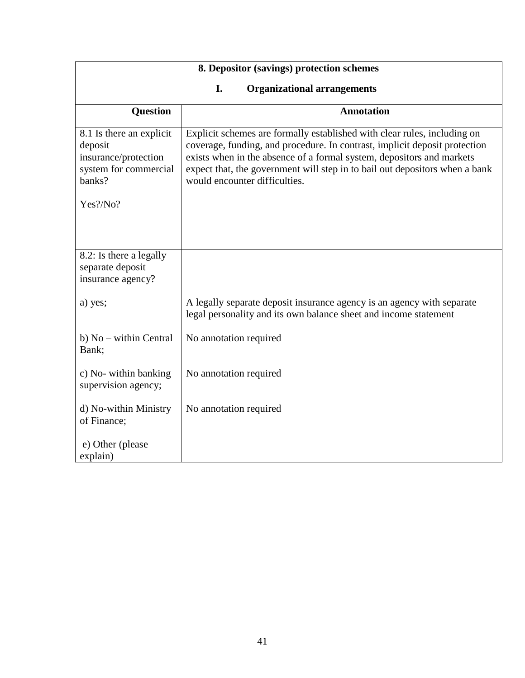| 8. Depositor (savings) protection schemes                                                      |                                                                                                                                                                                                                                                                                                                                                 |  |
|------------------------------------------------------------------------------------------------|-------------------------------------------------------------------------------------------------------------------------------------------------------------------------------------------------------------------------------------------------------------------------------------------------------------------------------------------------|--|
|                                                                                                | I.<br><b>Organizational arrangements</b>                                                                                                                                                                                                                                                                                                        |  |
| <b>Question</b>                                                                                | <b>Annotation</b>                                                                                                                                                                                                                                                                                                                               |  |
| 8.1 Is there an explicit<br>deposit<br>insurance/protection<br>system for commercial<br>banks? | Explicit schemes are formally established with clear rules, including on<br>coverage, funding, and procedure. In contrast, implicit deposit protection<br>exists when in the absence of a formal system, depositors and markets<br>expect that, the government will step in to bail out depositors when a bank<br>would encounter difficulties. |  |
| Yes?/No?                                                                                       |                                                                                                                                                                                                                                                                                                                                                 |  |
| 8.2: Is there a legally<br>separate deposit<br>insurance agency?                               |                                                                                                                                                                                                                                                                                                                                                 |  |
| a) yes;                                                                                        | A legally separate deposit insurance agency is an agency with separate<br>legal personality and its own balance sheet and income statement                                                                                                                                                                                                      |  |
| b) No – within Central<br>Bank;                                                                | No annotation required                                                                                                                                                                                                                                                                                                                          |  |
| c) No- within banking<br>supervision agency;                                                   | No annotation required                                                                                                                                                                                                                                                                                                                          |  |
| d) No-within Ministry<br>of Finance;                                                           | No annotation required                                                                                                                                                                                                                                                                                                                          |  |
| e) Other (please<br>explain)                                                                   |                                                                                                                                                                                                                                                                                                                                                 |  |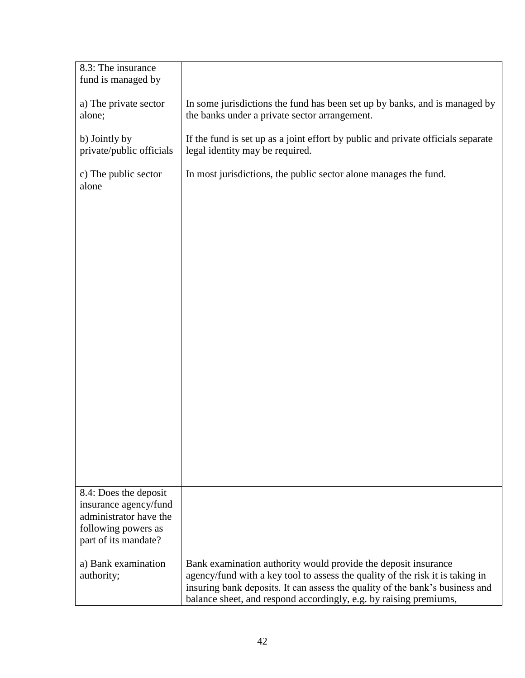| 8.3: The insurance<br>fund is managed by                                                                                |                                                                                                                                                                                                                                                                                                      |
|-------------------------------------------------------------------------------------------------------------------------|------------------------------------------------------------------------------------------------------------------------------------------------------------------------------------------------------------------------------------------------------------------------------------------------------|
| a) The private sector<br>alone;                                                                                         | In some jurisdictions the fund has been set up by banks, and is managed by<br>the banks under a private sector arrangement.                                                                                                                                                                          |
| b) Jointly by<br>private/public officials                                                                               | If the fund is set up as a joint effort by public and private officials separate<br>legal identity may be required.                                                                                                                                                                                  |
| c) The public sector<br>alone                                                                                           | In most jurisdictions, the public sector alone manages the fund.                                                                                                                                                                                                                                     |
|                                                                                                                         |                                                                                                                                                                                                                                                                                                      |
|                                                                                                                         |                                                                                                                                                                                                                                                                                                      |
|                                                                                                                         |                                                                                                                                                                                                                                                                                                      |
|                                                                                                                         |                                                                                                                                                                                                                                                                                                      |
|                                                                                                                         |                                                                                                                                                                                                                                                                                                      |
|                                                                                                                         |                                                                                                                                                                                                                                                                                                      |
|                                                                                                                         |                                                                                                                                                                                                                                                                                                      |
|                                                                                                                         |                                                                                                                                                                                                                                                                                                      |
|                                                                                                                         |                                                                                                                                                                                                                                                                                                      |
| 8.4: Does the deposit<br>insurance agency/fund<br>administrator have the<br>following powers as<br>part of its mandate? |                                                                                                                                                                                                                                                                                                      |
| a) Bank examination<br>authority;                                                                                       | Bank examination authority would provide the deposit insurance<br>agency/fund with a key tool to assess the quality of the risk it is taking in<br>insuring bank deposits. It can assess the quality of the bank's business and<br>balance sheet, and respond accordingly, e.g. by raising premiums, |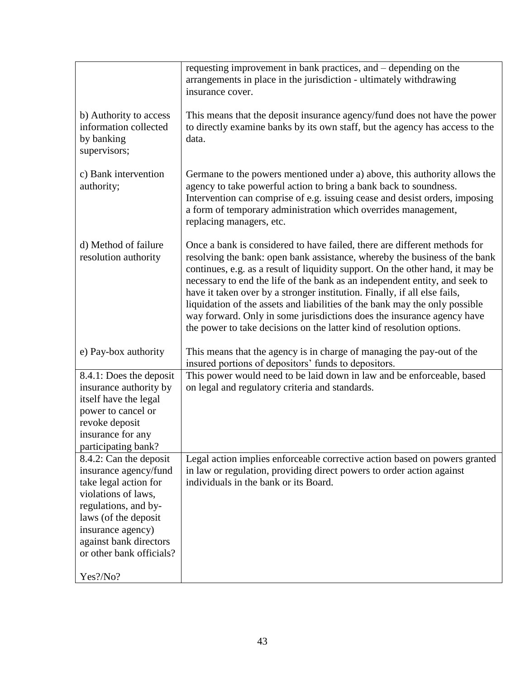|                                                                                                                                                                                                                            | requesting improvement in bank practices, and – depending on the<br>arrangements in place in the jurisdiction - ultimately withdrawing<br>insurance cover.                                                                                                                                                                                                                                                                                                                                                                                                                                                                              |
|----------------------------------------------------------------------------------------------------------------------------------------------------------------------------------------------------------------------------|-----------------------------------------------------------------------------------------------------------------------------------------------------------------------------------------------------------------------------------------------------------------------------------------------------------------------------------------------------------------------------------------------------------------------------------------------------------------------------------------------------------------------------------------------------------------------------------------------------------------------------------------|
| b) Authority to access<br>information collected<br>by banking<br>supervisors;                                                                                                                                              | This means that the deposit insurance agency/fund does not have the power<br>to directly examine banks by its own staff, but the agency has access to the<br>data.                                                                                                                                                                                                                                                                                                                                                                                                                                                                      |
| c) Bank intervention<br>authority;                                                                                                                                                                                         | Germane to the powers mentioned under a) above, this authority allows the<br>agency to take powerful action to bring a bank back to soundness.<br>Intervention can comprise of e.g. issuing cease and desist orders, imposing<br>a form of temporary administration which overrides management,<br>replacing managers, etc.                                                                                                                                                                                                                                                                                                             |
| d) Method of failure<br>resolution authority                                                                                                                                                                               | Once a bank is considered to have failed, there are different methods for<br>resolving the bank: open bank assistance, whereby the business of the bank<br>continues, e.g. as a result of liquidity support. On the other hand, it may be<br>necessary to end the life of the bank as an independent entity, and seek to<br>have it taken over by a stronger institution. Finally, if all else fails,<br>liquidation of the assets and liabilities of the bank may the only possible<br>way forward. Only in some jurisdictions does the insurance agency have<br>the power to take decisions on the latter kind of resolution options. |
| e) Pay-box authority                                                                                                                                                                                                       | This means that the agency is in charge of managing the pay-out of the<br>insured portions of depositors' funds to depositors.                                                                                                                                                                                                                                                                                                                                                                                                                                                                                                          |
| 8.4.1: Does the deposit                                                                                                                                                                                                    | This power would need to be laid down in law and be enforceable, based                                                                                                                                                                                                                                                                                                                                                                                                                                                                                                                                                                  |
| insurance authority by<br>itself have the legal                                                                                                                                                                            | on legal and regulatory criteria and standards.                                                                                                                                                                                                                                                                                                                                                                                                                                                                                                                                                                                         |
| power to cancel or                                                                                                                                                                                                         |                                                                                                                                                                                                                                                                                                                                                                                                                                                                                                                                                                                                                                         |
| revoke deposit                                                                                                                                                                                                             |                                                                                                                                                                                                                                                                                                                                                                                                                                                                                                                                                                                                                                         |
| insurance for any<br>participating bank?                                                                                                                                                                                   |                                                                                                                                                                                                                                                                                                                                                                                                                                                                                                                                                                                                                                         |
| 8.4.2: Can the deposit<br>insurance agency/fund<br>take legal action for<br>violations of laws,<br>regulations, and by-<br>laws (of the deposit<br>insurance agency)<br>against bank directors<br>or other bank officials? | Legal action implies enforceable corrective action based on powers granted<br>in law or regulation, providing direct powers to order action against<br>individuals in the bank or its Board.                                                                                                                                                                                                                                                                                                                                                                                                                                            |
| Yes?/No?                                                                                                                                                                                                                   |                                                                                                                                                                                                                                                                                                                                                                                                                                                                                                                                                                                                                                         |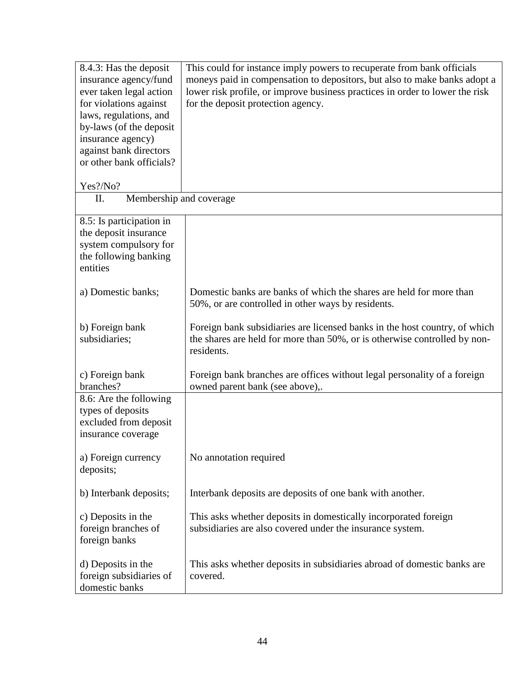| 8.4.3: Has the deposit        | This could for instance imply powers to recuperate from bank officials       |
|-------------------------------|------------------------------------------------------------------------------|
| insurance agency/fund         | moneys paid in compensation to depositors, but also to make banks adopt a    |
| ever taken legal action       | lower risk profile, or improve business practices in order to lower the risk |
| for violations against        | for the deposit protection agency.                                           |
| laws, regulations, and        |                                                                              |
| by-laws (of the deposit       |                                                                              |
| insurance agency)             |                                                                              |
|                               |                                                                              |
| against bank directors        |                                                                              |
| or other bank officials?      |                                                                              |
|                               |                                                                              |
| Yes?/No?                      |                                                                              |
| Membership and coverage<br>П. |                                                                              |
| 8.5: Is participation in      |                                                                              |
| the deposit insurance         |                                                                              |
| system compulsory for         |                                                                              |
| the following banking         |                                                                              |
| entities                      |                                                                              |
|                               |                                                                              |
| a) Domestic banks;            | Domestic banks are banks of which the shares are held for more than          |
|                               | 50%, or are controlled in other ways by residents.                           |
|                               |                                                                              |
| b) Foreign bank               | Foreign bank subsidiaries are licensed banks in the host country, of which   |
|                               |                                                                              |
| subsidiaries;                 | the shares are held for more than 50%, or is otherwise controlled by non-    |
|                               | residents.                                                                   |
| c) Foreign bank               | Foreign bank branches are offices without legal personality of a foreign     |
| branches?                     | owned parent bank (see above),.                                              |
|                               |                                                                              |
| 8.6: Are the following        |                                                                              |
| types of deposits             |                                                                              |
| excluded from deposit         |                                                                              |
| insurance coverage            |                                                                              |
|                               |                                                                              |
| a) Foreign currency           | No annotation required                                                       |
| deposits;                     |                                                                              |
|                               |                                                                              |
| b) Interbank deposits;        | Interbank deposits are deposits of one bank with another.                    |
|                               |                                                                              |
| c) Deposits in the            | This asks whether deposits in domestically incorporated foreign              |
| foreign branches of           | subsidiaries are also covered under the insurance system.                    |
| foreign banks                 |                                                                              |
|                               |                                                                              |
| d) Deposits in the            | This asks whether deposits in subsidiaries abroad of domestic banks are      |
| foreign subsidiaries of       | covered.                                                                     |
| domestic banks                |                                                                              |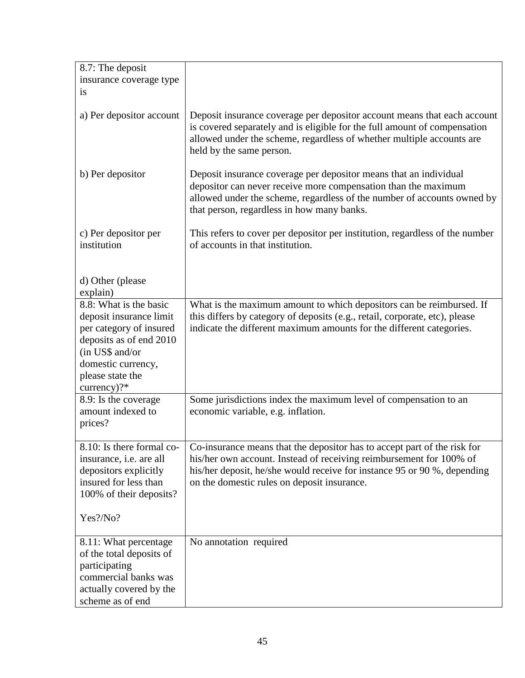| 8.7: The deposit                                                                                                                                                                    |                                                                                                                                                                                                                                                                            |
|-------------------------------------------------------------------------------------------------------------------------------------------------------------------------------------|----------------------------------------------------------------------------------------------------------------------------------------------------------------------------------------------------------------------------------------------------------------------------|
| insurance coverage type                                                                                                                                                             |                                                                                                                                                                                                                                                                            |
| <i>is</i>                                                                                                                                                                           |                                                                                                                                                                                                                                                                            |
| a) Per depositor account                                                                                                                                                            | Deposit insurance coverage per depositor account means that each account<br>is covered separately and is eligible for the full amount of compensation<br>allowed under the scheme, regardless of whether multiple accounts are<br>held by the same person.                 |
| b) Per depositor                                                                                                                                                                    | Deposit insurance coverage per depositor means that an individual<br>depositor can never receive more compensation than the maximum<br>allowed under the scheme, regardless of the number of accounts owned by<br>that person, regardless in how many banks.               |
| c) Per depositor per<br>institution                                                                                                                                                 | This refers to cover per depositor per institution, regardless of the number<br>of accounts in that institution.                                                                                                                                                           |
| d) Other (please<br>explain)                                                                                                                                                        |                                                                                                                                                                                                                                                                            |
| 8.8: What is the basic<br>deposit insurance limit<br>per category of insured<br>deposits as of end 2010<br>(in US\$ and/or<br>domestic currency,<br>please state the<br>currency)?* | What is the maximum amount to which depositors can be reimbursed. If<br>this differs by category of deposits (e.g., retail, corporate, etc), please<br>indicate the different maximum amounts for the different categories.                                                |
| 8.9: Is the coverage<br>amount indexed to<br>prices?                                                                                                                                | Some jurisdictions index the maximum level of compensation to an<br>economic variable, e.g. inflation.                                                                                                                                                                     |
| 8.10: Is there formal co-<br>insurance, <i>i.e.</i> are all<br>depositors explicitly<br>insured for less than<br>100% of their deposits?<br>Yes?/No?                                | Co-insurance means that the depositor has to accept part of the risk for<br>his/her own account. Instead of receiving reimbursement for 100% of<br>his/her deposit, he/she would receive for instance 95 or 90 %, depending<br>on the domestic rules on deposit insurance. |
| 8.11: What percentage<br>of the total deposits of<br>participating<br>commercial banks was<br>actually covered by the<br>scheme as of end                                           | No annotation required                                                                                                                                                                                                                                                     |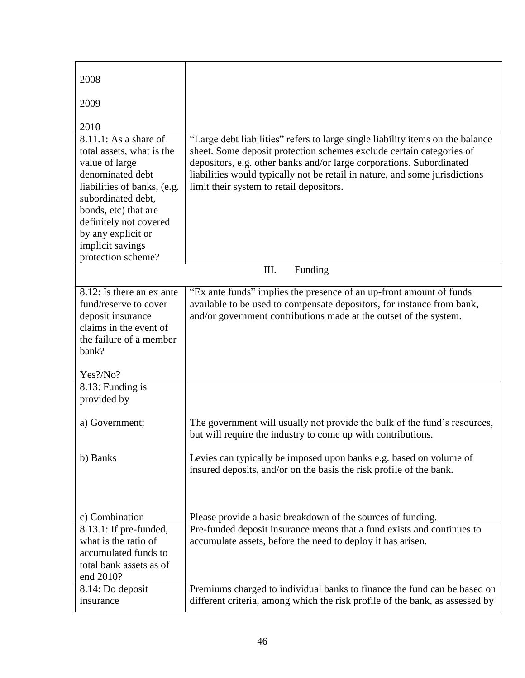| 2008                                                                                                                                                                                                                                                                    |                                                                                                                                                                                                                                                                                                                                                           |  |
|-------------------------------------------------------------------------------------------------------------------------------------------------------------------------------------------------------------------------------------------------------------------------|-----------------------------------------------------------------------------------------------------------------------------------------------------------------------------------------------------------------------------------------------------------------------------------------------------------------------------------------------------------|--|
| 2009                                                                                                                                                                                                                                                                    |                                                                                                                                                                                                                                                                                                                                                           |  |
| 2010<br>8.11.1: As a share of<br>total assets, what is the<br>value of large<br>denominated debt<br>liabilities of banks, (e.g.<br>subordinated debt,<br>bonds, etc) that are<br>definitely not covered<br>by any explicit or<br>implicit savings<br>protection scheme? | "Large debt liabilities" refers to large single liability items on the balance<br>sheet. Some deposit protection schemes exclude certain categories of<br>depositors, e.g. other banks and/or large corporations. Subordinated<br>liabilities would typically not be retail in nature, and some jurisdictions<br>limit their system to retail depositors. |  |
| III.<br>Funding                                                                                                                                                                                                                                                         |                                                                                                                                                                                                                                                                                                                                                           |  |
| 8.12: Is there an ex ante<br>fund/reserve to cover<br>deposit insurance<br>claims in the event of<br>the failure of a member<br>bank?                                                                                                                                   | "Ex ante funds" implies the presence of an up-front amount of funds<br>available to be used to compensate depositors, for instance from bank,<br>and/or government contributions made at the outset of the system.                                                                                                                                        |  |
| Yes?/No?                                                                                                                                                                                                                                                                |                                                                                                                                                                                                                                                                                                                                                           |  |
| 8.13: Funding is<br>provided by                                                                                                                                                                                                                                         |                                                                                                                                                                                                                                                                                                                                                           |  |
| a) Government;                                                                                                                                                                                                                                                          | The government will usually not provide the bulk of the fund's resources,<br>but will require the industry to come up with contributions.                                                                                                                                                                                                                 |  |
| b) Banks                                                                                                                                                                                                                                                                | Levies can typically be imposed upon banks e.g. based on volume of<br>insured deposits, and/or on the basis the risk profile of the bank.                                                                                                                                                                                                                 |  |
| c) Combination                                                                                                                                                                                                                                                          | Please provide a basic breakdown of the sources of funding.                                                                                                                                                                                                                                                                                               |  |
| 8.13.1: If pre-funded,<br>what is the ratio of<br>accumulated funds to<br>total bank assets as of<br>end 2010?                                                                                                                                                          | Pre-funded deposit insurance means that a fund exists and continues to<br>accumulate assets, before the need to deploy it has arisen.                                                                                                                                                                                                                     |  |
| 8.14: Do deposit<br>insurance                                                                                                                                                                                                                                           | Premiums charged to individual banks to finance the fund can be based on<br>different criteria, among which the risk profile of the bank, as assessed by                                                                                                                                                                                                  |  |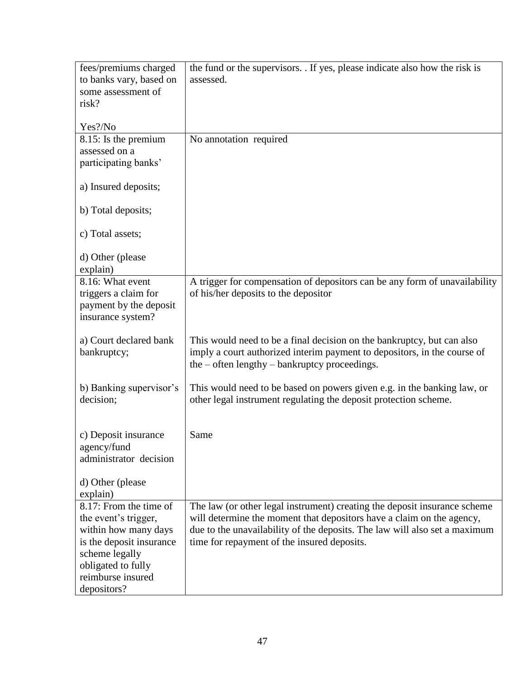| fees/premiums charged                 | the fund or the supervisors. . If yes, please indicate also how the risk is                                                                                                                             |
|---------------------------------------|---------------------------------------------------------------------------------------------------------------------------------------------------------------------------------------------------------|
| to banks vary, based on               | assessed.                                                                                                                                                                                               |
| some assessment of                    |                                                                                                                                                                                                         |
| risk?                                 |                                                                                                                                                                                                         |
| Yes?/No                               |                                                                                                                                                                                                         |
| 8.15: Is the premium                  | No annotation required                                                                                                                                                                                  |
| assessed on a                         |                                                                                                                                                                                                         |
| participating banks'                  |                                                                                                                                                                                                         |
| a) Insured deposits;                  |                                                                                                                                                                                                         |
| b) Total deposits;                    |                                                                                                                                                                                                         |
| c) Total assets;                      |                                                                                                                                                                                                         |
| d) Other (please<br>explain)          |                                                                                                                                                                                                         |
| 8.16: What event                      | A trigger for compensation of depositors can be any form of unavailability                                                                                                                              |
| triggers a claim for                  | of his/her deposits to the depositor                                                                                                                                                                    |
| payment by the deposit                |                                                                                                                                                                                                         |
| insurance system?                     |                                                                                                                                                                                                         |
| a) Court declared bank<br>bankruptcy; | This would need to be a final decision on the bankruptcy, but can also<br>imply a court authorized interim payment to depositors, in the course of<br>the $-$ often lengthy $-$ bankruptcy proceedings. |
| b) Banking supervisor's<br>decision;  | This would need to be based on powers given e.g. in the banking law, or<br>other legal instrument regulating the deposit protection scheme.                                                             |
| c) Deposit insurance                  | Same                                                                                                                                                                                                    |
| agency/fund                           |                                                                                                                                                                                                         |
| administrator decision                |                                                                                                                                                                                                         |
| d) Other (please                      |                                                                                                                                                                                                         |
| explain)<br>8.17: From the time of    | The law (or other legal instrument) creating the deposit insurance scheme                                                                                                                               |
| the event's trigger,                  | will determine the moment that depositors have a claim on the agency,                                                                                                                                   |
| within how many days                  | due to the unavailability of the deposits. The law will also set a maximum                                                                                                                              |
| is the deposit insurance              | time for repayment of the insured deposits.                                                                                                                                                             |
| scheme legally                        |                                                                                                                                                                                                         |
| obligated to fully                    |                                                                                                                                                                                                         |
| reimburse insured                     |                                                                                                                                                                                                         |
| depositors?                           |                                                                                                                                                                                                         |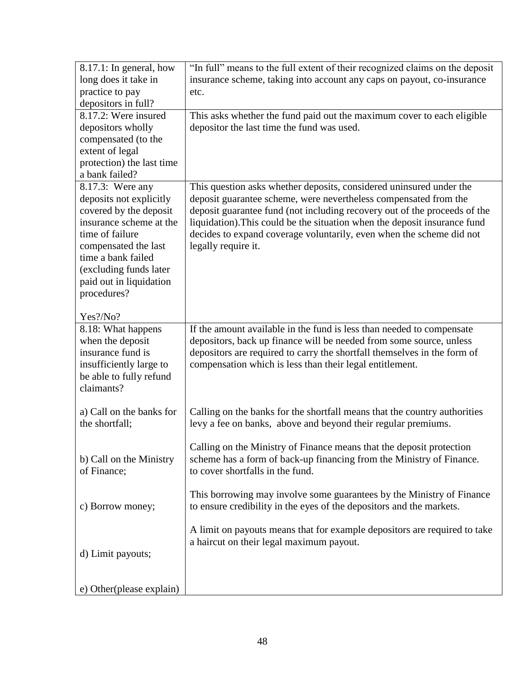| $8.17.1$ : In general, how                 | "In full" means to the full extent of their recognized claims on the deposit                                                                  |
|--------------------------------------------|-----------------------------------------------------------------------------------------------------------------------------------------------|
| long does it take in                       | insurance scheme, taking into account any caps on payout, co-insurance                                                                        |
| practice to pay                            | etc.                                                                                                                                          |
| depositors in full?                        |                                                                                                                                               |
| 8.17.2: Were insured                       | This asks whether the fund paid out the maximum cover to each eligible                                                                        |
| depositors wholly                          | depositor the last time the fund was used.                                                                                                    |
| compensated (to the                        |                                                                                                                                               |
| extent of legal                            |                                                                                                                                               |
| protection) the last time                  |                                                                                                                                               |
| a bank failed?                             |                                                                                                                                               |
| 8.17.3: Were any                           | This question asks whether deposits, considered uninsured under the                                                                           |
| deposits not explicitly                    | deposit guarantee scheme, were nevertheless compensated from the                                                                              |
| covered by the deposit                     | deposit guarantee fund (not including recovery out of the proceeds of the                                                                     |
| insurance scheme at the                    | liquidation). This could be the situation when the deposit insurance fund                                                                     |
| time of failure                            | decides to expand coverage voluntarily, even when the scheme did not                                                                          |
| compensated the last                       | legally require it.                                                                                                                           |
| time a bank failed                         |                                                                                                                                               |
| (excluding funds later                     |                                                                                                                                               |
| paid out in liquidation                    |                                                                                                                                               |
| procedures?                                |                                                                                                                                               |
| Yes?/No?                                   |                                                                                                                                               |
| 8.18: What happens                         | If the amount available in the fund is less than needed to compensate                                                                         |
| when the deposit                           | depositors, back up finance will be needed from some source, unless                                                                           |
| insurance fund is                          | depositors are required to carry the shortfall themselves in the form of                                                                      |
| insufficiently large to                    | compensation which is less than their legal entitlement.                                                                                      |
| be able to fully refund                    |                                                                                                                                               |
| claimants?                                 |                                                                                                                                               |
|                                            |                                                                                                                                               |
| a) Call on the banks for<br>the shortfall; | Calling on the banks for the shortfall means that the country authorities<br>levy a fee on banks, above and beyond their regular premiums.    |
|                                            |                                                                                                                                               |
|                                            | Calling on the Ministry of Finance means that the deposit protection                                                                          |
| b) Call on the Ministry                    | scheme has a form of back-up financing from the Ministry of Finance.                                                                          |
| of Finance;                                | to cover shortfalls in the fund.                                                                                                              |
|                                            |                                                                                                                                               |
| c) Borrow money;                           | This borrowing may involve some guarantees by the Ministry of Finance<br>to ensure credibility in the eyes of the depositors and the markets. |
|                                            |                                                                                                                                               |
|                                            | A limit on payouts means that for example depositors are required to take                                                                     |
|                                            | a haircut on their legal maximum payout.                                                                                                      |
| d) Limit payouts;                          |                                                                                                                                               |
|                                            |                                                                                                                                               |
|                                            |                                                                                                                                               |
| e) Other (please explain)                  |                                                                                                                                               |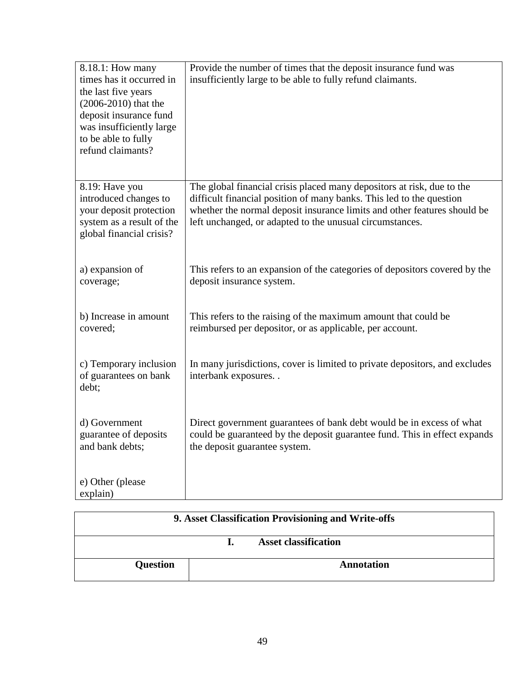| 8.18.1: How many<br>times has it occurred in<br>the last five years<br>$(2006 - 2010)$ that the<br>deposit insurance fund<br>was insufficiently large<br>to be able to fully<br>refund claimants? | Provide the number of times that the deposit insurance fund was<br>insufficiently large to be able to fully refund claimants.                                                                                                                                                          |
|---------------------------------------------------------------------------------------------------------------------------------------------------------------------------------------------------|----------------------------------------------------------------------------------------------------------------------------------------------------------------------------------------------------------------------------------------------------------------------------------------|
| 8.19: Have you<br>introduced changes to<br>your deposit protection<br>system as a result of the<br>global financial crisis?                                                                       | The global financial crisis placed many depositors at risk, due to the<br>difficult financial position of many banks. This led to the question<br>whether the normal deposit insurance limits and other features should be<br>left unchanged, or adapted to the unusual circumstances. |
| a) expansion of<br>coverage;                                                                                                                                                                      | This refers to an expansion of the categories of depositors covered by the<br>deposit insurance system.                                                                                                                                                                                |
| b) Increase in amount<br>covered;                                                                                                                                                                 | This refers to the raising of the maximum amount that could be<br>reimbursed per depositor, or as applicable, per account.                                                                                                                                                             |
| c) Temporary inclusion<br>of guarantees on bank<br>debt;                                                                                                                                          | In many jurisdictions, cover is limited to private depositors, and excludes<br>interbank exposures                                                                                                                                                                                     |
| d) Government<br>guarantee of deposits<br>and bank debts;                                                                                                                                         | Direct government guarantees of bank debt would be in excess of what<br>could be guaranteed by the deposit guarantee fund. This in effect expands<br>the deposit guarantee system.                                                                                                     |
| e) Other (please<br>explain)                                                                                                                                                                      |                                                                                                                                                                                                                                                                                        |

| 9. Asset Classification Provisioning and Write-offs |  |                             |
|-----------------------------------------------------|--|-----------------------------|
|                                                     |  | <b>Asset classification</b> |
| <b>Question</b>                                     |  | Annotation                  |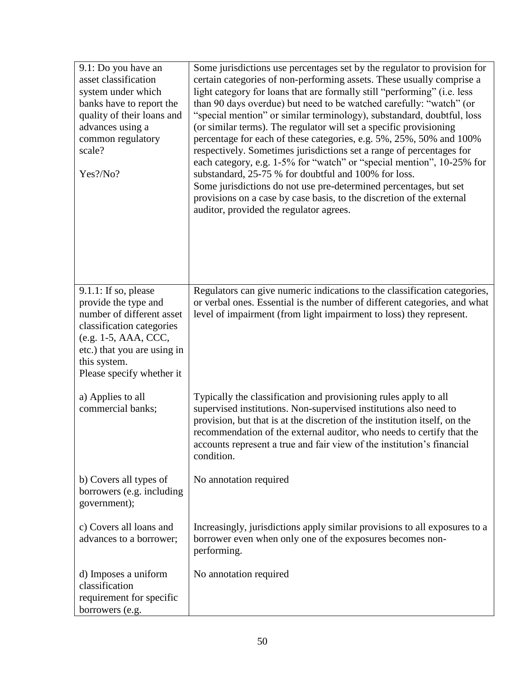| 9.1: Do you have an<br>asset classification<br>system under which<br>banks have to report the<br>quality of their loans and<br>advances using a<br>common regulatory<br>scale?<br>Yes?/No?                    | Some jurisdictions use percentages set by the regulator to provision for<br>certain categories of non-performing assets. These usually comprise a<br>light category for loans that are formally still "performing" (i.e. less<br>than 90 days overdue) but need to be watched carefully: "watch" (or<br>"special mention" or similar terminology), substandard, doubtful, loss<br>(or similar terms). The regulator will set a specific provisioning<br>percentage for each of these categories, e.g. 5%, 25%, 50% and 100%<br>respectively. Sometimes jurisdictions set a range of percentages for<br>each category, e.g. 1-5% for "watch" or "special mention", 10-25% for<br>substandard, 25-75 % for doubtful and 100% for loss.<br>Some jurisdictions do not use pre-determined percentages, but set<br>provisions on a case by case basis, to the discretion of the external<br>auditor, provided the regulator agrees. |
|---------------------------------------------------------------------------------------------------------------------------------------------------------------------------------------------------------------|-------------------------------------------------------------------------------------------------------------------------------------------------------------------------------------------------------------------------------------------------------------------------------------------------------------------------------------------------------------------------------------------------------------------------------------------------------------------------------------------------------------------------------------------------------------------------------------------------------------------------------------------------------------------------------------------------------------------------------------------------------------------------------------------------------------------------------------------------------------------------------------------------------------------------------|
| $9.1.1$ : If so, please<br>provide the type and<br>number of different asset<br>classification categories<br>(e.g. 1-5, AAA, CCC,<br>etc.) that you are using in<br>this system.<br>Please specify whether it | Regulators can give numeric indications to the classification categories,<br>or verbal ones. Essential is the number of different categories, and what<br>level of impairment (from light impairment to loss) they represent.                                                                                                                                                                                                                                                                                                                                                                                                                                                                                                                                                                                                                                                                                                 |
| a) Applies to all<br>commercial banks;                                                                                                                                                                        | Typically the classification and provisioning rules apply to all<br>supervised institutions. Non-supervised institutions also need to<br>provision, but that is at the discretion of the institution itself, on the<br>recommendation of the external auditor, who needs to certify that the<br>accounts represent a true and fair view of the institution's financial<br>condition.                                                                                                                                                                                                                                                                                                                                                                                                                                                                                                                                          |
| b) Covers all types of<br>borrowers (e.g. including<br>government);                                                                                                                                           | No annotation required                                                                                                                                                                                                                                                                                                                                                                                                                                                                                                                                                                                                                                                                                                                                                                                                                                                                                                        |
| c) Covers all loans and<br>advances to a borrower;                                                                                                                                                            | Increasingly, jurisdictions apply similar provisions to all exposures to a<br>borrower even when only one of the exposures becomes non-<br>performing.                                                                                                                                                                                                                                                                                                                                                                                                                                                                                                                                                                                                                                                                                                                                                                        |
| d) Imposes a uniform<br>classification<br>requirement for specific<br>borrowers (e.g.                                                                                                                         | No annotation required                                                                                                                                                                                                                                                                                                                                                                                                                                                                                                                                                                                                                                                                                                                                                                                                                                                                                                        |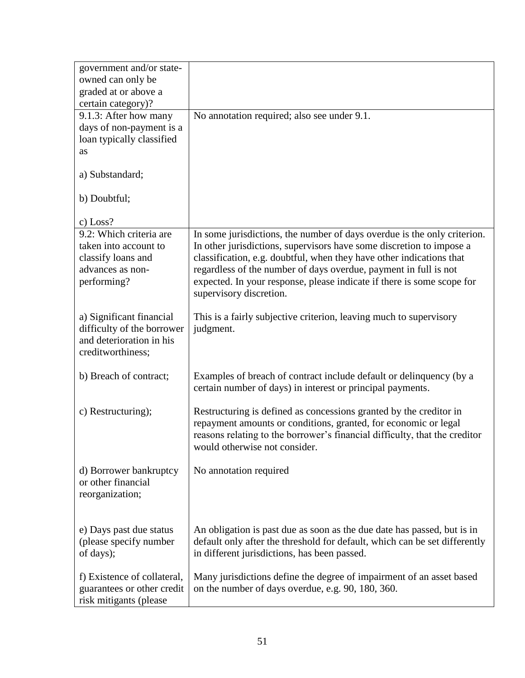| government and/or state-<br>owned can only be                                                             |                                                                                                                                                                                                                                                                                                                                                                                                   |
|-----------------------------------------------------------------------------------------------------------|---------------------------------------------------------------------------------------------------------------------------------------------------------------------------------------------------------------------------------------------------------------------------------------------------------------------------------------------------------------------------------------------------|
| graded at or above a                                                                                      |                                                                                                                                                                                                                                                                                                                                                                                                   |
| certain category)?                                                                                        |                                                                                                                                                                                                                                                                                                                                                                                                   |
| 9.1.3: After how many                                                                                     | No annotation required; also see under 9.1.                                                                                                                                                                                                                                                                                                                                                       |
| days of non-payment is a                                                                                  |                                                                                                                                                                                                                                                                                                                                                                                                   |
| loan typically classified                                                                                 |                                                                                                                                                                                                                                                                                                                                                                                                   |
| as                                                                                                        |                                                                                                                                                                                                                                                                                                                                                                                                   |
| a) Substandard;                                                                                           |                                                                                                                                                                                                                                                                                                                                                                                                   |
| b) Doubtful;                                                                                              |                                                                                                                                                                                                                                                                                                                                                                                                   |
| c) Loss?                                                                                                  |                                                                                                                                                                                                                                                                                                                                                                                                   |
| 9.2: Which criteria are<br>taken into account to<br>classify loans and<br>advances as non-<br>performing? | In some jurisdictions, the number of days overdue is the only criterion.<br>In other jurisdictions, supervisors have some discretion to impose a<br>classification, e.g. doubtful, when they have other indications that<br>regardless of the number of days overdue, payment in full is not<br>expected. In your response, please indicate if there is some scope for<br>supervisory discretion. |
| a) Significant financial<br>difficulty of the borrower<br>and deterioration in his<br>creditworthiness;   | This is a fairly subjective criterion, leaving much to supervisory<br>judgment.                                                                                                                                                                                                                                                                                                                   |
| b) Breach of contract;                                                                                    | Examples of breach of contract include default or delinquency (by a<br>certain number of days) in interest or principal payments.                                                                                                                                                                                                                                                                 |
| c) Restructuring);                                                                                        | Restructuring is defined as concessions granted by the creditor in<br>repayment amounts or conditions, granted, for economic or legal<br>reasons relating to the borrower's financial difficulty, that the creditor<br>would otherwise not consider.                                                                                                                                              |
| d) Borrower bankruptcy<br>or other financial<br>reorganization;                                           | No annotation required                                                                                                                                                                                                                                                                                                                                                                            |
| e) Days past due status<br>(please specify number<br>of days);                                            | An obligation is past due as soon as the due date has passed, but is in<br>default only after the threshold for default, which can be set differently<br>in different jurisdictions, has been passed.                                                                                                                                                                                             |
| f) Existence of collateral,<br>guarantees or other credit<br>risk mitigants (please                       | Many jurisdictions define the degree of impairment of an asset based<br>on the number of days overdue, e.g. 90, 180, 360.                                                                                                                                                                                                                                                                         |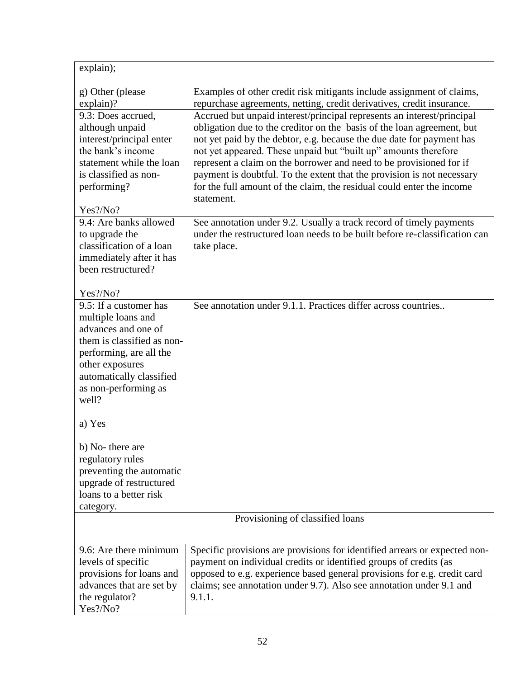| explain);                                                                                                                                                                                                    |                                                                                                                                                                                                                                                                                                                                                                                                                                                                                                                                      |  |
|--------------------------------------------------------------------------------------------------------------------------------------------------------------------------------------------------------------|--------------------------------------------------------------------------------------------------------------------------------------------------------------------------------------------------------------------------------------------------------------------------------------------------------------------------------------------------------------------------------------------------------------------------------------------------------------------------------------------------------------------------------------|--|
| g) Other (please<br>$explain$ ?                                                                                                                                                                              | Examples of other credit risk mitigants include assignment of claims,<br>repurchase agreements, netting, credit derivatives, credit insurance.                                                                                                                                                                                                                                                                                                                                                                                       |  |
| 9.3: Does accrued,<br>although unpaid<br>interest/principal enter<br>the bank's income<br>statement while the loan<br>is classified as non-<br>performing?<br>Yes?/No?                                       | Accrued but unpaid interest/principal represents an interest/principal<br>obligation due to the creditor on the basis of the loan agreement, but<br>not yet paid by the debtor, e.g. because the due date for payment has<br>not yet appeared. These unpaid but "built up" amounts therefore<br>represent a claim on the borrower and need to be provisioned for if<br>payment is doubtful. To the extent that the provision is not necessary<br>for the full amount of the claim, the residual could enter the income<br>statement. |  |
| 9.4: Are banks allowed                                                                                                                                                                                       | See annotation under 9.2. Usually a track record of timely payments                                                                                                                                                                                                                                                                                                                                                                                                                                                                  |  |
| to upgrade the<br>classification of a loan<br>immediately after it has<br>been restructured?                                                                                                                 | under the restructured loan needs to be built before re-classification can<br>take place.                                                                                                                                                                                                                                                                                                                                                                                                                                            |  |
| Yes?/No?                                                                                                                                                                                                     |                                                                                                                                                                                                                                                                                                                                                                                                                                                                                                                                      |  |
| 9.5: If a customer has<br>multiple loans and<br>advances and one of<br>them is classified as non-<br>performing, are all the<br>other exposures<br>automatically classified<br>as non-performing as<br>well? | See annotation under 9.1.1. Practices differ across countries                                                                                                                                                                                                                                                                                                                                                                                                                                                                        |  |
| a) Yes                                                                                                                                                                                                       |                                                                                                                                                                                                                                                                                                                                                                                                                                                                                                                                      |  |
| b) No- there are<br>regulatory rules<br>preventing the automatic<br>upgrade of restructured<br>loans to a better risk<br>category.                                                                           |                                                                                                                                                                                                                                                                                                                                                                                                                                                                                                                                      |  |
| Provisioning of classified loans                                                                                                                                                                             |                                                                                                                                                                                                                                                                                                                                                                                                                                                                                                                                      |  |
| 9.6: Are there minimum<br>levels of specific<br>provisions for loans and<br>advances that are set by<br>the regulator?<br>Yes?/No?                                                                           | Specific provisions are provisions for identified arrears or expected non-<br>payment on individual credits or identified groups of credits (as<br>opposed to e.g. experience based general provisions for e.g. credit card<br>claims; see annotation under 9.7). Also see annotation under 9.1 and<br>9.1.1.                                                                                                                                                                                                                        |  |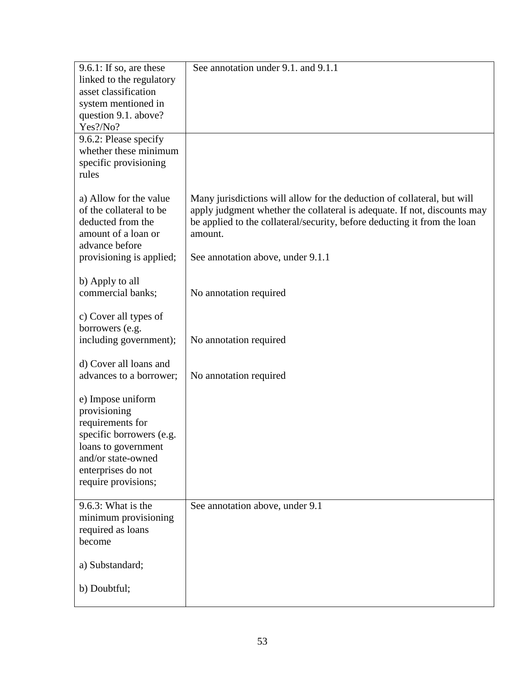| $9.6.1$ : If so, are these                        | See annotation under 9.1. and 9.1.1                                                                                                                 |
|---------------------------------------------------|-----------------------------------------------------------------------------------------------------------------------------------------------------|
| linked to the regulatory<br>asset classification  |                                                                                                                                                     |
| system mentioned in                               |                                                                                                                                                     |
| question 9.1. above?                              |                                                                                                                                                     |
| Yes?/No?                                          |                                                                                                                                                     |
| 9.6.2: Please specify<br>whether these minimum    |                                                                                                                                                     |
| specific provisioning                             |                                                                                                                                                     |
| rules                                             |                                                                                                                                                     |
|                                                   |                                                                                                                                                     |
| a) Allow for the value<br>of the collateral to be | Many jurisdictions will allow for the deduction of collateral, but will<br>apply judgment whether the collateral is adequate. If not, discounts may |
| deducted from the                                 | be applied to the collateral/security, before deducting it from the loan                                                                            |
| amount of a loan or                               | amount.                                                                                                                                             |
| advance before                                    |                                                                                                                                                     |
| provisioning is applied;                          | See annotation above, under 9.1.1                                                                                                                   |
| b) Apply to all                                   |                                                                                                                                                     |
| commercial banks;                                 | No annotation required                                                                                                                              |
| c) Cover all types of                             |                                                                                                                                                     |
| borrowers (e.g.                                   |                                                                                                                                                     |
| including government);                            | No annotation required                                                                                                                              |
| d) Cover all loans and                            |                                                                                                                                                     |
| advances to a borrower;                           | No annotation required                                                                                                                              |
| e) Impose uniform                                 |                                                                                                                                                     |
| provisioning                                      |                                                                                                                                                     |
| requirements for                                  |                                                                                                                                                     |
| specific borrowers (e.g.                          |                                                                                                                                                     |
| loans to government<br>and/or state-owned         |                                                                                                                                                     |
| enterprises do not                                |                                                                                                                                                     |
| require provisions;                               |                                                                                                                                                     |
| $9.6.3$ : What is the                             | See annotation above, under 9.1                                                                                                                     |
| minimum provisioning                              |                                                                                                                                                     |
| required as loans                                 |                                                                                                                                                     |
| become                                            |                                                                                                                                                     |
| a) Substandard;                                   |                                                                                                                                                     |
| b) Doubtful;                                      |                                                                                                                                                     |
|                                                   |                                                                                                                                                     |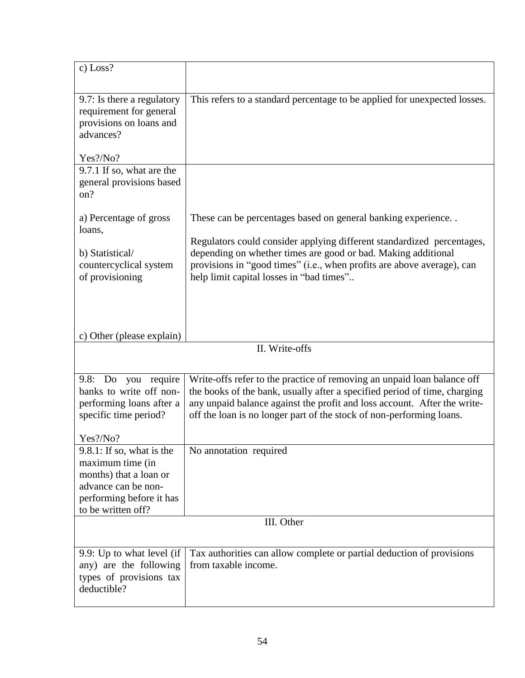| c) Loss?                                                                                                            |                                                                                                                                                                                                                                                                                                          |  |  |
|---------------------------------------------------------------------------------------------------------------------|----------------------------------------------------------------------------------------------------------------------------------------------------------------------------------------------------------------------------------------------------------------------------------------------------------|--|--|
| 9.7: Is there a regulatory<br>requirement for general<br>provisions on loans and<br>advances?                       | This refers to a standard percentage to be applied for unexpected losses.                                                                                                                                                                                                                                |  |  |
| Yes?/No?                                                                                                            |                                                                                                                                                                                                                                                                                                          |  |  |
| 9.7.1 If so, what are the<br>general provisions based<br>on?                                                        |                                                                                                                                                                                                                                                                                                          |  |  |
| a) Percentage of gross<br>loans,                                                                                    | These can be percentages based on general banking experience                                                                                                                                                                                                                                             |  |  |
| b) Statistical/<br>countercyclical system<br>of provisioning                                                        | Regulators could consider applying different standardized percentages,<br>depending on whether times are good or bad. Making additional<br>provisions in "good times" (i.e., when profits are above average), can<br>help limit capital losses in "bad times"                                            |  |  |
| c) Other (please explain)                                                                                           |                                                                                                                                                                                                                                                                                                          |  |  |
| II. Write-offs                                                                                                      |                                                                                                                                                                                                                                                                                                          |  |  |
| 9.8: Do you require<br>banks to write off non-<br>performing loans after a<br>specific time period?                 | Write-offs refer to the practice of removing an unpaid loan balance off<br>the books of the bank, usually after a specified period of time, charging<br>any unpaid balance against the profit and loss account. After the write-<br>off the loan is no longer part of the stock of non-performing loans. |  |  |
| Yes?/No?<br>$9.8.1$ : If so, what is the                                                                            | No annotation required                                                                                                                                                                                                                                                                                   |  |  |
| maximum time (in<br>months) that a loan or<br>advance can be non-<br>performing before it has<br>to be written off? |                                                                                                                                                                                                                                                                                                          |  |  |
|                                                                                                                     | III. Other                                                                                                                                                                                                                                                                                               |  |  |
| 9.9: Up to what level (if<br>any) are the following<br>types of provisions tax<br>deductible?                       | Tax authorities can allow complete or partial deduction of provisions<br>from taxable income.                                                                                                                                                                                                            |  |  |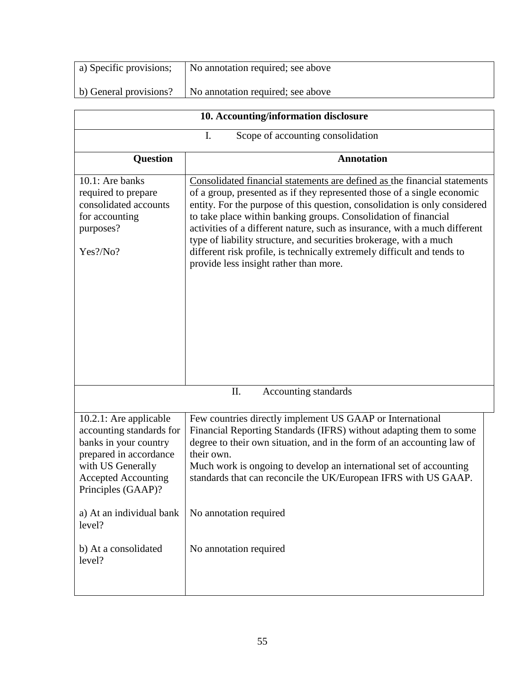| a) Specific provisions;                                                                                                                                                                                              | No annotation required; see above                                                                                                                                                                                                                                                                                                                                                                                                                                                                                                                                              |  |  |
|----------------------------------------------------------------------------------------------------------------------------------------------------------------------------------------------------------------------|--------------------------------------------------------------------------------------------------------------------------------------------------------------------------------------------------------------------------------------------------------------------------------------------------------------------------------------------------------------------------------------------------------------------------------------------------------------------------------------------------------------------------------------------------------------------------------|--|--|
| b) General provisions?                                                                                                                                                                                               | No annotation required; see above                                                                                                                                                                                                                                                                                                                                                                                                                                                                                                                                              |  |  |
|                                                                                                                                                                                                                      |                                                                                                                                                                                                                                                                                                                                                                                                                                                                                                                                                                                |  |  |
|                                                                                                                                                                                                                      | 10. Accounting/information disclosure                                                                                                                                                                                                                                                                                                                                                                                                                                                                                                                                          |  |  |
|                                                                                                                                                                                                                      | Scope of accounting consolidation<br>I.                                                                                                                                                                                                                                                                                                                                                                                                                                                                                                                                        |  |  |
| <b>Question</b>                                                                                                                                                                                                      | <b>Annotation</b>                                                                                                                                                                                                                                                                                                                                                                                                                                                                                                                                                              |  |  |
| $10.1$ : Are banks<br>required to prepare<br>consolidated accounts<br>for accounting<br>purposes?<br>Yes?/No?                                                                                                        | Consolidated financial statements are defined as the financial statements<br>of a group, presented as if they represented those of a single economic<br>entity. For the purpose of this question, consolidation is only considered<br>to take place within banking groups. Consolidation of financial<br>activities of a different nature, such as insurance, with a much different<br>type of liability structure, and securities brokerage, with a much<br>different risk profile, is technically extremely difficult and tends to<br>provide less insight rather than more. |  |  |
| Π.<br>Accounting standards                                                                                                                                                                                           |                                                                                                                                                                                                                                                                                                                                                                                                                                                                                                                                                                                |  |  |
| 10.2.1: Are applicable<br>accounting standards for<br>banks in your country<br>prepared in accordance<br>with US Generally<br><b>Accepted Accounting</b><br>Principles (GAAP)?<br>a) At an individual bank<br>level? | Few countries directly implement US GAAP or International<br>Financial Reporting Standards (IFRS) without adapting them to some<br>degree to their own situation, and in the form of an accounting law of<br>their own.<br>Much work is ongoing to develop an international set of accounting<br>standards that can reconcile the UK/European IFRS with US GAAP.<br>No annotation required                                                                                                                                                                                     |  |  |
| b) At a consolidated<br>level?                                                                                                                                                                                       | No annotation required                                                                                                                                                                                                                                                                                                                                                                                                                                                                                                                                                         |  |  |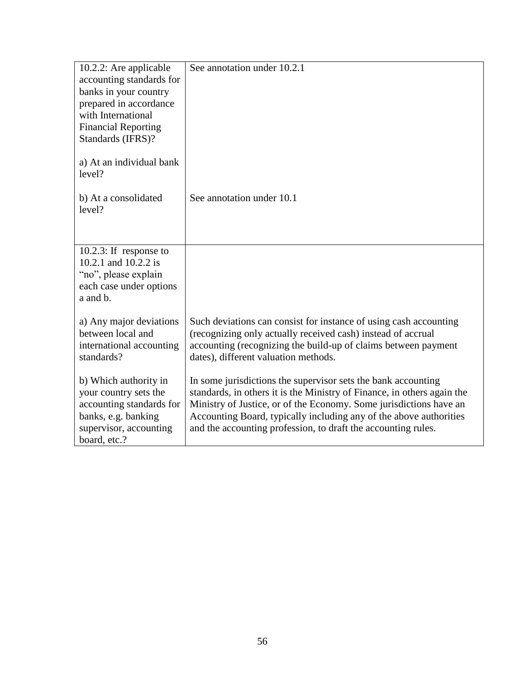| See annotation under 10.2.1<br>10.2.2: Are applicable<br>accounting standards for<br>banks in your country<br>prepared in accordance<br>with International<br><b>Financial Reporting</b><br>Standards (IFRS)?<br>a) At an individual bank<br>level?<br>See annotation under 10.1<br>b) At a consolidated<br>level?<br>10.2.3: If response to |
|----------------------------------------------------------------------------------------------------------------------------------------------------------------------------------------------------------------------------------------------------------------------------------------------------------------------------------------------|
|                                                                                                                                                                                                                                                                                                                                              |
|                                                                                                                                                                                                                                                                                                                                              |
|                                                                                                                                                                                                                                                                                                                                              |
|                                                                                                                                                                                                                                                                                                                                              |
|                                                                                                                                                                                                                                                                                                                                              |
|                                                                                                                                                                                                                                                                                                                                              |
|                                                                                                                                                                                                                                                                                                                                              |
|                                                                                                                                                                                                                                                                                                                                              |
|                                                                                                                                                                                                                                                                                                                                              |
|                                                                                                                                                                                                                                                                                                                                              |
|                                                                                                                                                                                                                                                                                                                                              |
|                                                                                                                                                                                                                                                                                                                                              |
|                                                                                                                                                                                                                                                                                                                                              |
|                                                                                                                                                                                                                                                                                                                                              |
|                                                                                                                                                                                                                                                                                                                                              |
| 10.2.1 and 10.2.2 is                                                                                                                                                                                                                                                                                                                         |
| "no", please explain                                                                                                                                                                                                                                                                                                                         |
| each case under options                                                                                                                                                                                                                                                                                                                      |
| a and b.                                                                                                                                                                                                                                                                                                                                     |
|                                                                                                                                                                                                                                                                                                                                              |
| Such deviations can consist for instance of using cash accounting<br>a) Any major deviations                                                                                                                                                                                                                                                 |
| between local and<br>(recognizing only actually received cash) instead of accrual                                                                                                                                                                                                                                                            |
| accounting (recognizing the build-up of claims between payment<br>international accounting                                                                                                                                                                                                                                                   |
| standards?<br>dates), different valuation methods.                                                                                                                                                                                                                                                                                           |
|                                                                                                                                                                                                                                                                                                                                              |
| b) Which authority in<br>In some jurisdictions the supervisor sets the bank accounting                                                                                                                                                                                                                                                       |
| your country sets the<br>standards, in others it is the Ministry of Finance, in others again the                                                                                                                                                                                                                                             |
| Ministry of Justice, or of the Economy. Some jurisdictions have an<br>accounting standards for                                                                                                                                                                                                                                               |
| Accounting Board, typically including any of the above authorities<br>banks, e.g. banking                                                                                                                                                                                                                                                    |
| supervisor, accounting<br>and the accounting profession, to draft the accounting rules.                                                                                                                                                                                                                                                      |
| board, etc.?                                                                                                                                                                                                                                                                                                                                 |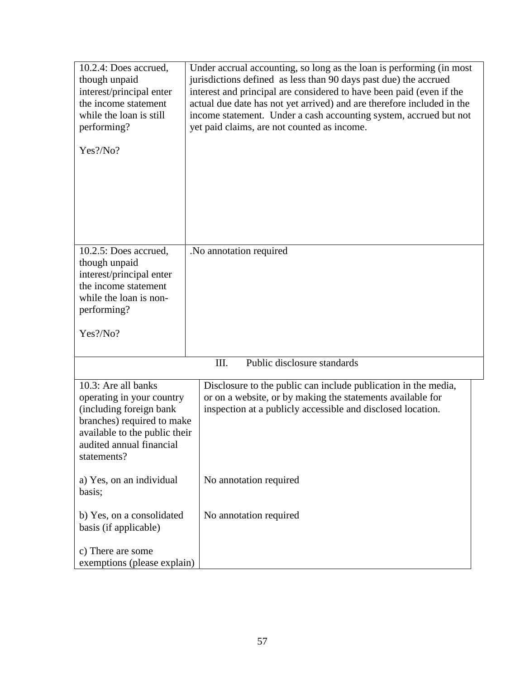| 10.2.4: Does accrued,<br>though unpaid<br>interest/principal enter<br>the income statement<br>while the loan is still<br>performing?                                                  | Under accrual accounting, so long as the loan is performing (in most<br>jurisdictions defined as less than 90 days past due) the accrued<br>interest and principal are considered to have been paid (even if the<br>actual due date has not yet arrived) and are therefore included in the<br>income statement. Under a cash accounting system, accrued but not<br>yet paid claims, are not counted as income. |
|---------------------------------------------------------------------------------------------------------------------------------------------------------------------------------------|----------------------------------------------------------------------------------------------------------------------------------------------------------------------------------------------------------------------------------------------------------------------------------------------------------------------------------------------------------------------------------------------------------------|
| Yes?/No?                                                                                                                                                                              |                                                                                                                                                                                                                                                                                                                                                                                                                |
| 10.2.5: Does accrued,<br>though unpaid<br>interest/principal enter<br>the income statement<br>while the loan is non-<br>performing?<br>Yes?/No?                                       | .No annotation required                                                                                                                                                                                                                                                                                                                                                                                        |
|                                                                                                                                                                                       | Public disclosure standards<br>III.                                                                                                                                                                                                                                                                                                                                                                            |
| 10.3: Are all banks<br>operating in your country<br>(including foreign bank<br>branches) required to make<br>available to the public their<br>audited annual financial<br>statements? | Disclosure to the public can include publication in the media,<br>or on a website, or by making the statements available for<br>inspection at a publicly accessible and disclosed location.                                                                                                                                                                                                                    |
| a) Yes, on an individual<br>basis;                                                                                                                                                    | No annotation required                                                                                                                                                                                                                                                                                                                                                                                         |
| b) Yes, on a consolidated<br>basis (if applicable)                                                                                                                                    | No annotation required                                                                                                                                                                                                                                                                                                                                                                                         |
| c) There are some<br>exemptions (please explain)                                                                                                                                      |                                                                                                                                                                                                                                                                                                                                                                                                                |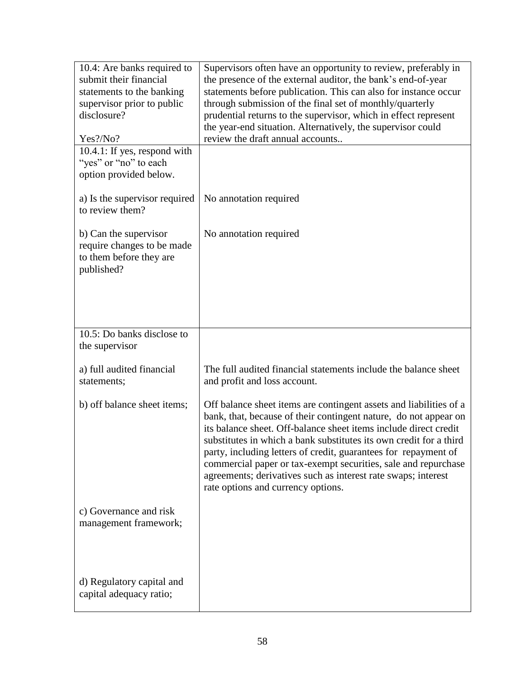| 10.4: Are banks required to                             | Supervisors often have an opportunity to review, preferably in                                                                         |
|---------------------------------------------------------|----------------------------------------------------------------------------------------------------------------------------------------|
| submit their financial                                  | the presence of the external auditor, the bank's end-of-year                                                                           |
| statements to the banking<br>supervisor prior to public | statements before publication. This can also for instance occur<br>through submission of the final set of monthly/quarterly            |
| disclosure?                                             | prudential returns to the supervisor, which in effect represent                                                                        |
|                                                         | the year-end situation. Alternatively, the supervisor could                                                                            |
| Yes?/No?                                                | review the draft annual accounts                                                                                                       |
| 10.4.1: If yes, respond with                            |                                                                                                                                        |
| "yes" or "no" to each                                   |                                                                                                                                        |
| option provided below.                                  |                                                                                                                                        |
| a) Is the supervisor required<br>to review them?        | No annotation required                                                                                                                 |
|                                                         |                                                                                                                                        |
| b) Can the supervisor                                   | No annotation required                                                                                                                 |
| require changes to be made                              |                                                                                                                                        |
| to them before they are                                 |                                                                                                                                        |
| published?                                              |                                                                                                                                        |
|                                                         |                                                                                                                                        |
|                                                         |                                                                                                                                        |
|                                                         |                                                                                                                                        |
|                                                         |                                                                                                                                        |
| 10.5: Do banks disclose to                              |                                                                                                                                        |
| the supervisor                                          |                                                                                                                                        |
| a) full audited financial                               | The full audited financial statements include the balance sheet                                                                        |
| statements;                                             | and profit and loss account.                                                                                                           |
|                                                         |                                                                                                                                        |
| b) off balance sheet items;                             | Off balance sheet items are contingent assets and liabilities of a<br>bank, that, because of their contingent nature, do not appear on |
|                                                         | its balance sheet. Off-balance sheet items include direct credit                                                                       |
|                                                         | substitutes in which a bank substitutes its own credit for a third                                                                     |
|                                                         | party, including letters of credit, guarantees for repayment of                                                                        |
|                                                         | commercial paper or tax-exempt securities, sale and repurchase                                                                         |
|                                                         | agreements; derivatives such as interest rate swaps; interest                                                                          |
|                                                         | rate options and currency options.                                                                                                     |
| c) Governance and risk                                  |                                                                                                                                        |
| management framework;                                   |                                                                                                                                        |
|                                                         |                                                                                                                                        |
|                                                         |                                                                                                                                        |
|                                                         |                                                                                                                                        |
|                                                         |                                                                                                                                        |
| d) Regulatory capital and                               |                                                                                                                                        |
| capital adequacy ratio;                                 |                                                                                                                                        |
|                                                         |                                                                                                                                        |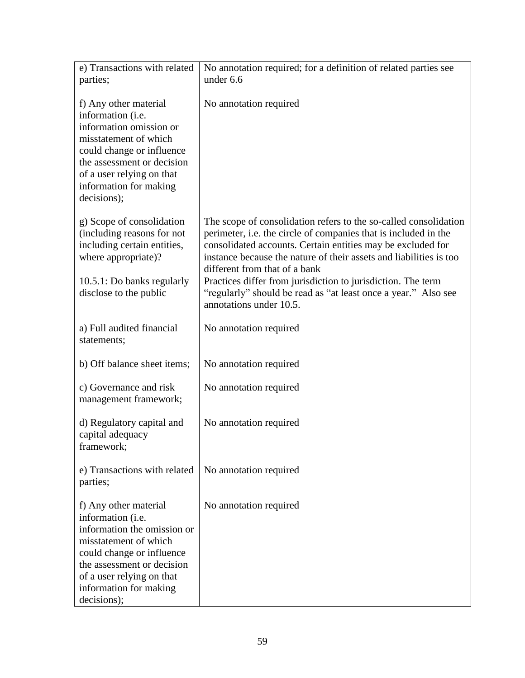| e) Transactions with related<br>parties;                                                                                                                                                                                            | No annotation required; for a definition of related parties see<br>under 6.6                                                                                                                                                                                                                              |
|-------------------------------------------------------------------------------------------------------------------------------------------------------------------------------------------------------------------------------------|-----------------------------------------------------------------------------------------------------------------------------------------------------------------------------------------------------------------------------------------------------------------------------------------------------------|
| f) Any other material<br>information (i.e.<br>information omission or<br>misstatement of which<br>could change or influence<br>the assessment or decision<br>of a user relying on that<br>information for making<br>decisions);     | No annotation required                                                                                                                                                                                                                                                                                    |
| g) Scope of consolidation<br>(including reasons for not<br>including certain entities,<br>where appropriate)?                                                                                                                       | The scope of consolidation refers to the so-called consolidation<br>perimeter, i.e. the circle of companies that is included in the<br>consolidated accounts. Certain entities may be excluded for<br>instance because the nature of their assets and liabilities is too<br>different from that of a bank |
| 10.5.1: Do banks regularly<br>disclose to the public                                                                                                                                                                                | Practices differ from jurisdiction to jurisdiction. The term<br>"regularly" should be read as "at least once a year." Also see<br>annotations under 10.5.                                                                                                                                                 |
| a) Full audited financial<br>statements;                                                                                                                                                                                            | No annotation required                                                                                                                                                                                                                                                                                    |
| b) Off balance sheet items;                                                                                                                                                                                                         | No annotation required                                                                                                                                                                                                                                                                                    |
| c) Governance and risk<br>management framework;                                                                                                                                                                                     | No annotation required                                                                                                                                                                                                                                                                                    |
| d) Regulatory capital and<br>capital adequacy<br>tramework;                                                                                                                                                                         | No annotation required                                                                                                                                                                                                                                                                                    |
| e) Transactions with related<br>parties;                                                                                                                                                                                            | No annotation required                                                                                                                                                                                                                                                                                    |
| f) Any other material<br>information (i.e.<br>information the omission or<br>misstatement of which<br>could change or influence<br>the assessment or decision<br>of a user relying on that<br>information for making<br>decisions); | No annotation required                                                                                                                                                                                                                                                                                    |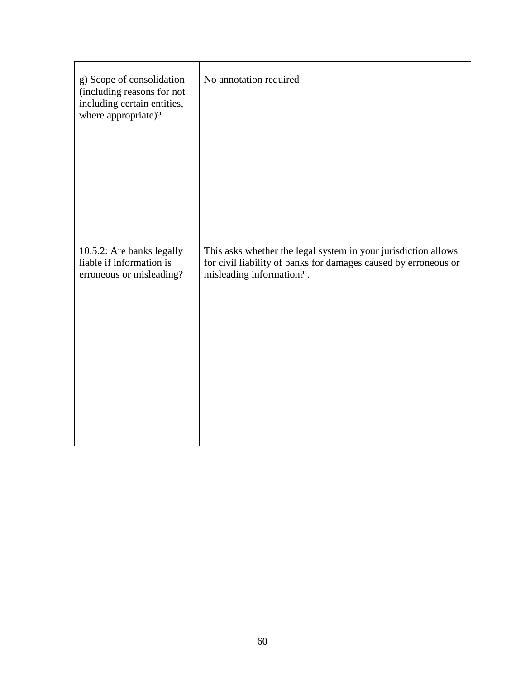| g) Scope of consolidation<br>(including reasons for not<br>including certain entities,<br>where appropriate)? | No annotation required                                          |
|---------------------------------------------------------------------------------------------------------------|-----------------------------------------------------------------|
| 10.5.2: Are banks legally                                                                                     | This asks whether the legal system in your jurisdiction allows  |
| liable if information is                                                                                      | for civil liability of banks for damages caused by erroneous or |
| erroneous or misleading?                                                                                      | misleading information?.                                        |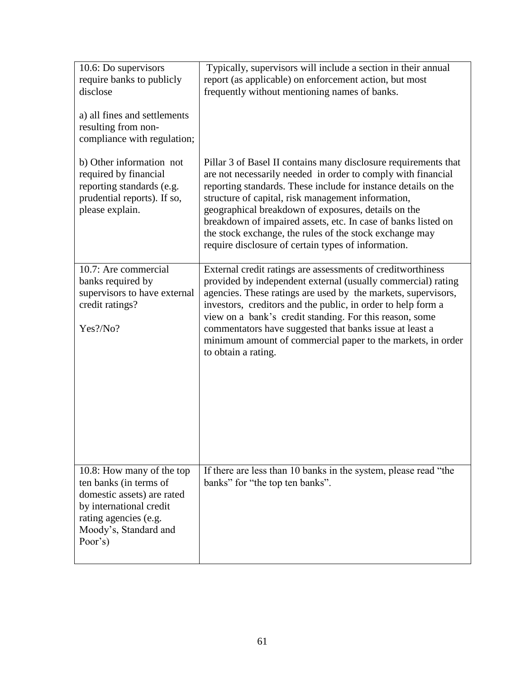| 10.6: Do supervisors<br>require banks to publicly<br>disclose<br>a) all fines and settlements<br>resulting from non-<br>compliance with regulation;                       | Typically, supervisors will include a section in their annual<br>report (as applicable) on enforcement action, but most<br>frequently without mentioning names of banks.                                                                                                                                                                                                                                                                                                                          |
|---------------------------------------------------------------------------------------------------------------------------------------------------------------------------|---------------------------------------------------------------------------------------------------------------------------------------------------------------------------------------------------------------------------------------------------------------------------------------------------------------------------------------------------------------------------------------------------------------------------------------------------------------------------------------------------|
| b) Other information not<br>required by financial<br>reporting standards (e.g.<br>prudential reports). If so,<br>please explain.                                          | Pillar 3 of Basel II contains many disclosure requirements that<br>are not necessarily needed in order to comply with financial<br>reporting standards. These include for instance details on the<br>structure of capital, risk management information,<br>geographical breakdown of exposures, details on the<br>breakdown of impaired assets, etc. In case of banks listed on<br>the stock exchange, the rules of the stock exchange may<br>require disclosure of certain types of information. |
| 10.7: Are commercial<br>banks required by<br>supervisors to have external<br>credit ratings?<br>Yes?/No?                                                                  | External credit ratings are assessments of creditworthiness<br>provided by independent external (usually commercial) rating<br>agencies. These ratings are used by the markets, supervisors,<br>investors, creditors and the public, in order to help form a<br>view on a bank's credit standing. For this reason, some<br>commentators have suggested that banks issue at least a<br>minimum amount of commercial paper to the markets, in order<br>to obtain a rating.                          |
| 10.8: How many of the top<br>ten banks (in terms of<br>domestic assets) are rated<br>by international credit<br>rating agencies (e.g.<br>Moody's, Standard and<br>Poor's) | If there are less than 10 banks in the system, please read "the<br>banks" for "the top ten banks".                                                                                                                                                                                                                                                                                                                                                                                                |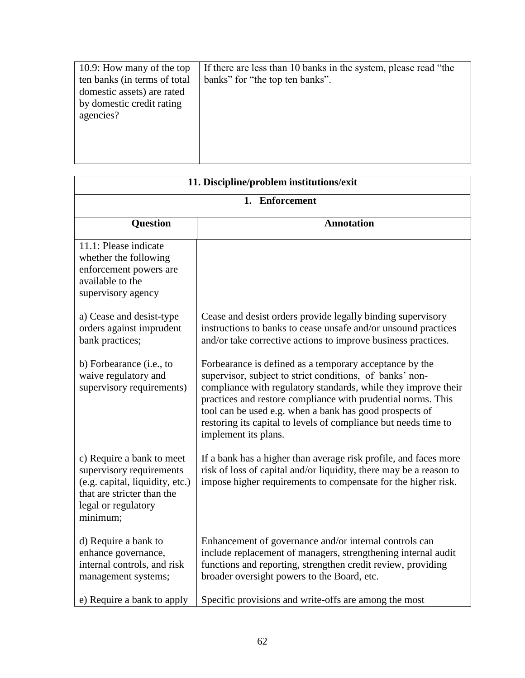| 10.9: How many of the top    | If there are less than 10 banks in the system, please read "the |
|------------------------------|-----------------------------------------------------------------|
| ten banks (in terms of total | banks" for "the top ten banks".                                 |
| domestic assets) are rated   |                                                                 |
| by domestic credit rating    |                                                                 |
| agencies?                    |                                                                 |
|                              |                                                                 |
|                              |                                                                 |
|                              |                                                                 |
|                              |                                                                 |

| 11. Discipline/problem institutions/exit                                                                                                                  |                                                                                                                                                                                                                                                                                                                                                                                                             |
|-----------------------------------------------------------------------------------------------------------------------------------------------------------|-------------------------------------------------------------------------------------------------------------------------------------------------------------------------------------------------------------------------------------------------------------------------------------------------------------------------------------------------------------------------------------------------------------|
| 1. Enforcement                                                                                                                                            |                                                                                                                                                                                                                                                                                                                                                                                                             |
| <b>Question</b>                                                                                                                                           | <b>Annotation</b>                                                                                                                                                                                                                                                                                                                                                                                           |
| 11.1: Please indicate<br>whether the following<br>enforcement powers are<br>available to the<br>supervisory agency                                        |                                                                                                                                                                                                                                                                                                                                                                                                             |
| a) Cease and desist-type<br>orders against imprudent<br>bank practices;                                                                                   | Cease and desist orders provide legally binding supervisory<br>instructions to banks to cease unsafe and/or unsound practices<br>and/or take corrective actions to improve business practices.                                                                                                                                                                                                              |
| b) Forbearance (i.e., to<br>waive regulatory and<br>supervisory requirements)                                                                             | Forbearance is defined as a temporary acceptance by the<br>supervisor, subject to strict conditions, of banks' non-<br>compliance with regulatory standards, while they improve their<br>practices and restore compliance with prudential norms. This<br>tool can be used e.g. when a bank has good prospects of<br>restoring its capital to levels of compliance but needs time to<br>implement its plans. |
| c) Require a bank to meet<br>supervisory requirements<br>(e.g. capital, liquidity, etc.)<br>that are stricter than the<br>legal or regulatory<br>minimum; | If a bank has a higher than average risk profile, and faces more<br>risk of loss of capital and/or liquidity, there may be a reason to<br>impose higher requirements to compensate for the higher risk.                                                                                                                                                                                                     |
| d) Require a bank to<br>enhance governance,<br>internal controls, and risk<br>management systems;                                                         | Enhancement of governance and/or internal controls can<br>include replacement of managers, strengthening internal audit<br>functions and reporting, strengthen credit review, providing<br>broader oversight powers to the Board, etc.                                                                                                                                                                      |
| e) Require a bank to apply                                                                                                                                | Specific provisions and write-offs are among the most                                                                                                                                                                                                                                                                                                                                                       |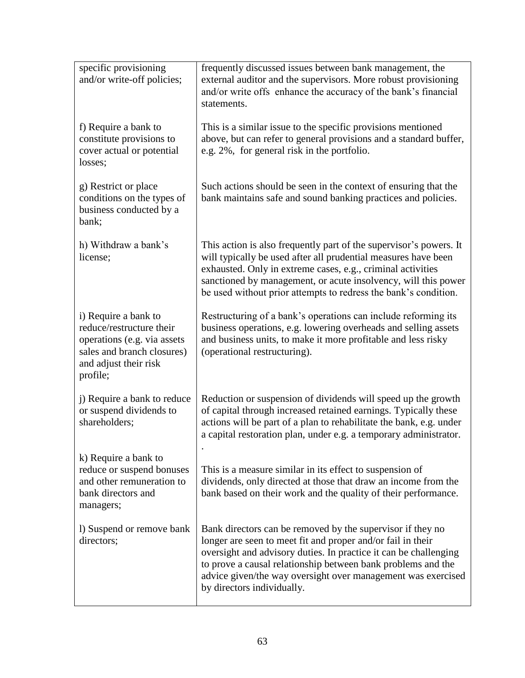| specific provisioning<br>and/or write-off policies;                                                                                                | frequently discussed issues between bank management, the<br>external auditor and the supervisors. More robust provisioning<br>and/or write offs enhance the accuracy of the bank's financial<br>statements.                                                                                                                                                 |
|----------------------------------------------------------------------------------------------------------------------------------------------------|-------------------------------------------------------------------------------------------------------------------------------------------------------------------------------------------------------------------------------------------------------------------------------------------------------------------------------------------------------------|
| f) Require a bank to<br>constitute provisions to<br>cover actual or potential<br>losses;                                                           | This is a similar issue to the specific provisions mentioned<br>above, but can refer to general provisions and a standard buffer,<br>e.g. 2%, for general risk in the portfolio.                                                                                                                                                                            |
| g) Restrict or place<br>conditions on the types of<br>business conducted by a<br>bank;                                                             | Such actions should be seen in the context of ensuring that the<br>bank maintains safe and sound banking practices and policies.                                                                                                                                                                                                                            |
| h) Withdraw a bank's<br>license;                                                                                                                   | This action is also frequently part of the supervisor's powers. It<br>will typically be used after all prudential measures have been<br>exhausted. Only in extreme cases, e.g., criminal activities<br>sanctioned by management, or acute insolvency, will this power<br>be used without prior attempts to redress the bank's condition.                    |
| i) Require a bank to<br>reduce/restructure their<br>operations (e.g. via assets<br>sales and branch closures)<br>and adjust their risk<br>profile; | Restructuring of a bank's operations can include reforming its<br>business operations, e.g. lowering overheads and selling assets<br>and business units, to make it more profitable and less risky<br>(operational restructuring).                                                                                                                          |
| j) Require a bank to reduce<br>or suspend dividends to<br>shareholders;                                                                            | Reduction or suspension of dividends will speed up the growth<br>of capital through increased retained earnings. Typically these<br>actions will be part of a plan to rehabilitate the bank, e.g. under<br>a capital restoration plan, under e.g. a temporary administrator.                                                                                |
| k) Require a bank to<br>reduce or suspend bonuses<br>and other remuneration to<br>bank directors and<br>managers;                                  | This is a measure similar in its effect to suspension of<br>dividends, only directed at those that draw an income from the<br>bank based on their work and the quality of their performance.                                                                                                                                                                |
| 1) Suspend or remove bank<br>directors;                                                                                                            | Bank directors can be removed by the supervisor if they no<br>longer are seen to meet fit and proper and/or fail in their<br>oversight and advisory duties. In practice it can be challenging<br>to prove a causal relationship between bank problems and the<br>advice given/the way oversight over management was exercised<br>by directors individually. |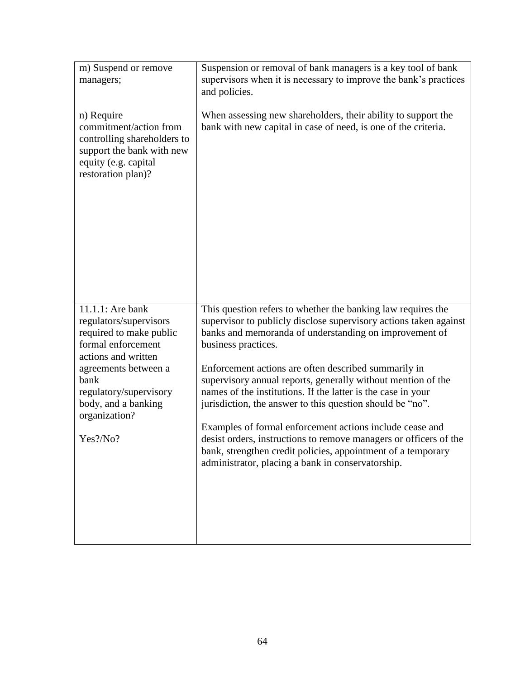| m) Suspend or remove<br>managers;                                                                                                                                                                                                | Suspension or removal of bank managers is a key tool of bank<br>supervisors when it is necessary to improve the bank's practices<br>and policies.                                                                                                                                                                                                                                                                                                                                                                                                                                                                                                                                                                             |
|----------------------------------------------------------------------------------------------------------------------------------------------------------------------------------------------------------------------------------|-------------------------------------------------------------------------------------------------------------------------------------------------------------------------------------------------------------------------------------------------------------------------------------------------------------------------------------------------------------------------------------------------------------------------------------------------------------------------------------------------------------------------------------------------------------------------------------------------------------------------------------------------------------------------------------------------------------------------------|
| n) Require<br>commitment/action from<br>controlling shareholders to<br>support the bank with new<br>equity (e.g. capital<br>restoration plan)?                                                                                   | When assessing new shareholders, their ability to support the<br>bank with new capital in case of need, is one of the criteria.                                                                                                                                                                                                                                                                                                                                                                                                                                                                                                                                                                                               |
| 11.1.1: Are bank<br>regulators/supervisors<br>required to make public<br>formal enforcement<br>actions and written<br>agreements between a<br>bank<br>regulatory/supervisory<br>body, and a banking<br>organization?<br>Yes?/No? | This question refers to whether the banking law requires the<br>supervisor to publicly disclose supervisory actions taken against<br>banks and memoranda of understanding on improvement of<br>business practices.<br>Enforcement actions are often described summarily in<br>supervisory annual reports, generally without mention of the<br>names of the institutions. If the latter is the case in your<br>jurisdiction, the answer to this question should be "no".<br>Examples of formal enforcement actions include cease and<br>desist orders, instructions to remove managers or officers of the<br>bank, strengthen credit policies, appointment of a temporary<br>administrator, placing a bank in conservatorship. |
|                                                                                                                                                                                                                                  |                                                                                                                                                                                                                                                                                                                                                                                                                                                                                                                                                                                                                                                                                                                               |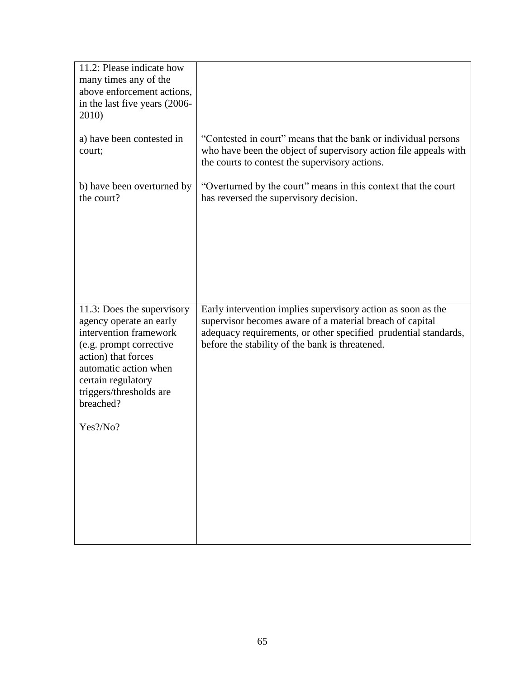| 11.2: Please indicate how<br>many times any of the<br>above enforcement actions,<br>in the last five years (2006-<br>2010)                                                                                                              |                                                                                                                                                                                                                                                |
|-----------------------------------------------------------------------------------------------------------------------------------------------------------------------------------------------------------------------------------------|------------------------------------------------------------------------------------------------------------------------------------------------------------------------------------------------------------------------------------------------|
| a) have been contested in<br>court;                                                                                                                                                                                                     | "Contested in court" means that the bank or individual persons<br>who have been the object of supervisory action file appeals with<br>the courts to contest the supervisory actions.                                                           |
| b) have been overturned by<br>the court?                                                                                                                                                                                                | "Overturned by the court" means in this context that the court<br>has reversed the supervisory decision.                                                                                                                                       |
| 11.3: Does the supervisory<br>agency operate an early<br>intervention framework<br>(e.g. prompt corrective<br>action) that forces<br>automatic action when<br>certain regulatory<br>triggers/thresholds are<br>breached?<br>$Yes$ ?/No? | Early intervention implies supervisory action as soon as the<br>supervisor becomes aware of a material breach of capital<br>adequacy requirements, or other specified prudential standards,<br>before the stability of the bank is threatened. |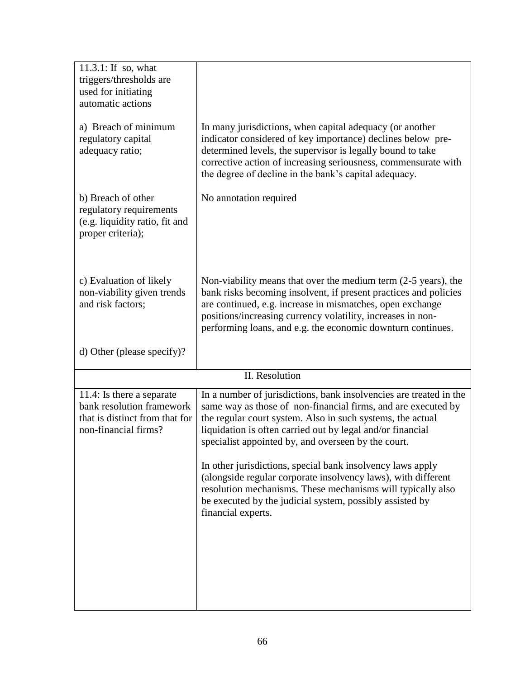| $11.3.1$ : If so, what<br>triggers/thresholds are<br>used for initiating<br>automatic actions                    |                                                                                                                                                                                                                                                                                                                                 |
|------------------------------------------------------------------------------------------------------------------|---------------------------------------------------------------------------------------------------------------------------------------------------------------------------------------------------------------------------------------------------------------------------------------------------------------------------------|
| a) Breach of minimum<br>regulatory capital<br>adequacy ratio;                                                    | In many jurisdictions, when capital adequacy (or another<br>indicator considered of key importance) declines below pre-<br>determined levels, the supervisor is legally bound to take<br>corrective action of increasing seriousness, commensurate with<br>the degree of decline in the bank's capital adequacy.                |
| b) Breach of other<br>regulatory requirements<br>(e.g. liquidity ratio, fit and<br>proper criteria);             | No annotation required                                                                                                                                                                                                                                                                                                          |
| c) Evaluation of likely<br>non-viability given trends<br>and risk factors;                                       | Non-viability means that over the medium term $(2-5$ years), the<br>bank risks becoming insolvent, if present practices and policies<br>are continued, e.g. increase in mismatches, open exchange<br>positions/increasing currency volatility, increases in non-<br>performing loans, and e.g. the economic downturn continues. |
| d) Other (please specify)?                                                                                       |                                                                                                                                                                                                                                                                                                                                 |
|                                                                                                                  | II. Resolution                                                                                                                                                                                                                                                                                                                  |
| 11.4: Is there a separate<br>bank resolution framework<br>that is distinct from that for<br>non-financial firms? | In a number of jurisdictions, bank insolvencies are treated in the<br>same way as those of non-financial firms, and are executed by<br>the regular court system. Also in such systems, the actual<br>liquidation is often carried out by legal and/or financial<br>specialist appointed by, and overseen by the court.          |
|                                                                                                                  | In other jurisdictions, special bank insolvency laws apply<br>(alongside regular corporate insolvency laws), with different<br>resolution mechanisms. These mechanisms will typically also<br>be executed by the judicial system, possibly assisted by<br>financial experts.                                                    |
|                                                                                                                  |                                                                                                                                                                                                                                                                                                                                 |
|                                                                                                                  |                                                                                                                                                                                                                                                                                                                                 |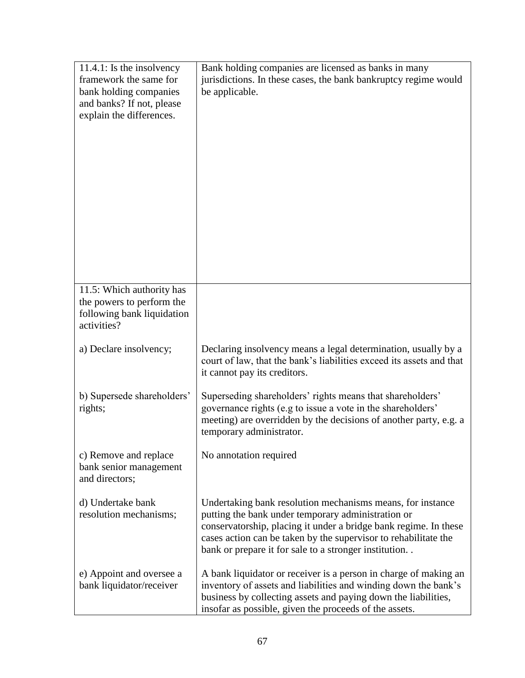| $11.4.1$ : Is the insolvency<br>framework the same for<br>bank holding companies<br>and banks? If not, please<br>explain the differences. | Bank holding companies are licensed as banks in many<br>jurisdictions. In these cases, the bank bankruptcy regime would<br>be applicable.                                                                                                                                                                        |
|-------------------------------------------------------------------------------------------------------------------------------------------|------------------------------------------------------------------------------------------------------------------------------------------------------------------------------------------------------------------------------------------------------------------------------------------------------------------|
| 11.5: Which authority has<br>the powers to perform the<br>following bank liquidation<br>activities?                                       |                                                                                                                                                                                                                                                                                                                  |
| a) Declare insolvency;                                                                                                                    | Declaring insolvency means a legal determination, usually by a<br>court of law, that the bank's liabilities exceed its assets and that<br>it cannot pay its creditors.                                                                                                                                           |
| b) Supersede shareholders'<br>rights;                                                                                                     | Superseding shareholders' rights means that shareholders'<br>governance rights (e.g to issue a vote in the shareholders'<br>meeting) are overridden by the decisions of another party, e.g. a<br>temporary administrator.                                                                                        |
| c) Remove and replace<br>bank senior management<br>and directors;                                                                         | No annotation required                                                                                                                                                                                                                                                                                           |
| d) Undertake bank<br>resolution mechanisms;                                                                                               | Undertaking bank resolution mechanisms means, for instance<br>putting the bank under temporary administration or<br>conservatorship, placing it under a bridge bank regime. In these<br>cases action can be taken by the supervisor to rehabilitate the<br>bank or prepare it for sale to a stronger institution |
| e) Appoint and oversee a<br>bank liquidator/receiver                                                                                      | A bank liquidator or receiver is a person in charge of making an<br>inventory of assets and liabilities and winding down the bank's<br>business by collecting assets and paying down the liabilities,<br>insofar as possible, given the proceeds of the assets.                                                  |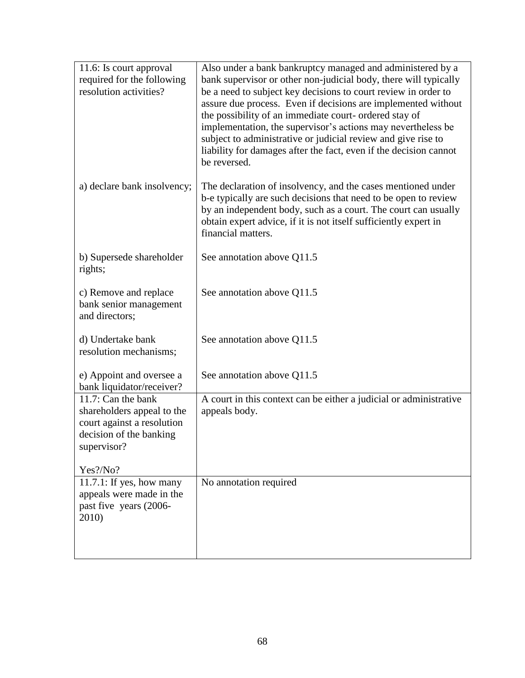| 11.6: Is court approval<br>required for the following                                                                    | Also under a bank bankruptcy managed and administered by a<br>bank supervisor or other non-judicial body, there will typically                                                                                                                                                                                                                                                                                  |
|--------------------------------------------------------------------------------------------------------------------------|-----------------------------------------------------------------------------------------------------------------------------------------------------------------------------------------------------------------------------------------------------------------------------------------------------------------------------------------------------------------------------------------------------------------|
| resolution activities?                                                                                                   | be a need to subject key decisions to court review in order to<br>assure due process. Even if decisions are implemented without<br>the possibility of an immediate court- ordered stay of<br>implementation, the supervisor's actions may nevertheless be<br>subject to administrative or judicial review and give rise to<br>liability for damages after the fact, even if the decision cannot<br>be reversed. |
| a) declare bank insolvency;                                                                                              | The declaration of insolvency, and the cases mentioned under<br>b-e typically are such decisions that need to be open to review<br>by an independent body, such as a court. The court can usually<br>obtain expert advice, if it is not itself sufficiently expert in<br>financial matters.                                                                                                                     |
| b) Supersede shareholder<br>rights;                                                                                      | See annotation above Q11.5                                                                                                                                                                                                                                                                                                                                                                                      |
| c) Remove and replace<br>bank senior management<br>and directors;                                                        | See annotation above Q11.5                                                                                                                                                                                                                                                                                                                                                                                      |
| d) Undertake bank<br>resolution mechanisms;                                                                              | See annotation above Q11.5                                                                                                                                                                                                                                                                                                                                                                                      |
| e) Appoint and oversee a<br>bank liquidator/receiver?                                                                    | See annotation above Q11.5                                                                                                                                                                                                                                                                                                                                                                                      |
| 11.7: Can the bank<br>shareholders appeal to the<br>court against a resolution<br>decision of the banking<br>supervisor? | A court in this context can be either a judicial or administrative<br>appeals body.                                                                                                                                                                                                                                                                                                                             |
| Yes?/No?                                                                                                                 |                                                                                                                                                                                                                                                                                                                                                                                                                 |
| $11.7.1$ : If yes, how many<br>appeals were made in the<br>past five years (2006-<br>2010)                               | No annotation required                                                                                                                                                                                                                                                                                                                                                                                          |
|                                                                                                                          |                                                                                                                                                                                                                                                                                                                                                                                                                 |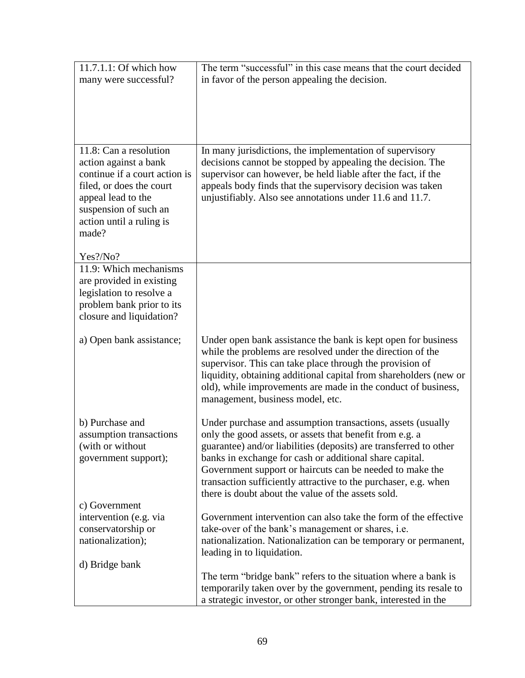| 11.7.1.1: Of which how            | The term "successful" in this case means that the court decided                                                                                                                                                                                                                                                                                                   |
|-----------------------------------|-------------------------------------------------------------------------------------------------------------------------------------------------------------------------------------------------------------------------------------------------------------------------------------------------------------------------------------------------------------------|
| many were successful?             | in favor of the person appealing the decision.                                                                                                                                                                                                                                                                                                                    |
|                                   |                                                                                                                                                                                                                                                                                                                                                                   |
|                                   |                                                                                                                                                                                                                                                                                                                                                                   |
|                                   |                                                                                                                                                                                                                                                                                                                                                                   |
|                                   |                                                                                                                                                                                                                                                                                                                                                                   |
|                                   |                                                                                                                                                                                                                                                                                                                                                                   |
| 11.8: Can a resolution            | In many jurisdictions, the implementation of supervisory                                                                                                                                                                                                                                                                                                          |
| action against a bank             | decisions cannot be stopped by appealing the decision. The                                                                                                                                                                                                                                                                                                        |
| continue if a court action is     | supervisor can however, be held liable after the fact, if the                                                                                                                                                                                                                                                                                                     |
| filed, or does the court          | appeals body finds that the supervisory decision was taken                                                                                                                                                                                                                                                                                                        |
| appeal lead to the                | unjustifiably. Also see annotations under 11.6 and 11.7.                                                                                                                                                                                                                                                                                                          |
| suspension of such an             |                                                                                                                                                                                                                                                                                                                                                                   |
| action until a ruling is<br>made? |                                                                                                                                                                                                                                                                                                                                                                   |
|                                   |                                                                                                                                                                                                                                                                                                                                                                   |
| Yes?/No?                          |                                                                                                                                                                                                                                                                                                                                                                   |
| 11.9: Which mechanisms            |                                                                                                                                                                                                                                                                                                                                                                   |
| are provided in existing          |                                                                                                                                                                                                                                                                                                                                                                   |
| legislation to resolve a          |                                                                                                                                                                                                                                                                                                                                                                   |
| problem bank prior to its         |                                                                                                                                                                                                                                                                                                                                                                   |
| closure and liquidation?          |                                                                                                                                                                                                                                                                                                                                                                   |
|                                   |                                                                                                                                                                                                                                                                                                                                                                   |
| a) Open bank assistance;          | Under open bank assistance the bank is kept open for business<br>while the problems are resolved under the direction of the<br>supervisor. This can take place through the provision of<br>liquidity, obtaining additional capital from shareholders (new or<br>old), while improvements are made in the conduct of business,<br>management, business model, etc. |
| b) Purchase and                   | Under purchase and assumption transactions, assets (usually                                                                                                                                                                                                                                                                                                       |
| assumption transactions           | only the good assets, or assets that benefit from e.g. a                                                                                                                                                                                                                                                                                                          |
| (with or without                  | guarantee) and/or liabilities (deposits) are transferred to other                                                                                                                                                                                                                                                                                                 |
| government support);              | banks in exchange for cash or additional share capital.                                                                                                                                                                                                                                                                                                           |
|                                   | Government support or haircuts can be needed to make the                                                                                                                                                                                                                                                                                                          |
|                                   | transaction sufficiently attractive to the purchaser, e.g. when                                                                                                                                                                                                                                                                                                   |
|                                   | there is doubt about the value of the assets sold.                                                                                                                                                                                                                                                                                                                |
| c) Government                     |                                                                                                                                                                                                                                                                                                                                                                   |
| intervention (e.g. via            | Government intervention can also take the form of the effective                                                                                                                                                                                                                                                                                                   |
| conservatorship or                | take-over of the bank's management or shares, i.e.                                                                                                                                                                                                                                                                                                                |
| nationalization);                 | nationalization. Nationalization can be temporary or permanent,                                                                                                                                                                                                                                                                                                   |
| d) Bridge bank                    | leading in to liquidation.                                                                                                                                                                                                                                                                                                                                        |
|                                   | The term "bridge bank" refers to the situation where a bank is                                                                                                                                                                                                                                                                                                    |
|                                   | temporarily taken over by the government, pending its resale to                                                                                                                                                                                                                                                                                                   |
|                                   | a strategic investor, or other stronger bank, interested in the                                                                                                                                                                                                                                                                                                   |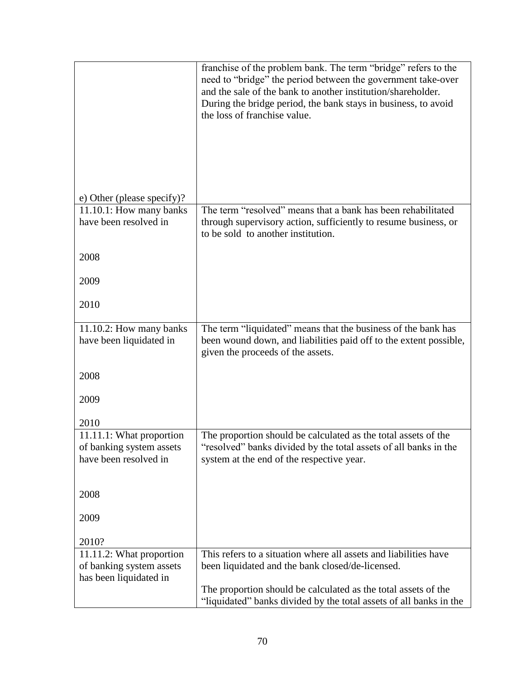|                                                    | franchise of the problem bank. The term "bridge" refers to the<br>need to "bridge" the period between the government take-over<br>and the sale of the bank to another institution/shareholder.<br>During the bridge period, the bank stays in business, to avoid<br>the loss of franchise value. |
|----------------------------------------------------|--------------------------------------------------------------------------------------------------------------------------------------------------------------------------------------------------------------------------------------------------------------------------------------------------|
| e) Other (please specify)?                         |                                                                                                                                                                                                                                                                                                  |
| 11.10.1: How many banks<br>have been resolved in   | The term "resolved" means that a bank has been rehabilitated<br>through supervisory action, sufficiently to resume business, or<br>to be sold to another institution.                                                                                                                            |
| 2008                                               |                                                                                                                                                                                                                                                                                                  |
| 2009                                               |                                                                                                                                                                                                                                                                                                  |
| 2010                                               |                                                                                                                                                                                                                                                                                                  |
| 11.10.2: How many banks                            | The term "liquidated" means that the business of the bank has                                                                                                                                                                                                                                    |
| have been liquidated in                            | been wound down, and liabilities paid off to the extent possible,<br>given the proceeds of the assets.                                                                                                                                                                                           |
| 2008                                               |                                                                                                                                                                                                                                                                                                  |
| 2009                                               |                                                                                                                                                                                                                                                                                                  |
| 2010                                               |                                                                                                                                                                                                                                                                                                  |
| 11.11.1: What proportion                           | The proportion should be calculated as the total assets of the                                                                                                                                                                                                                                   |
| of banking system assets                           | 'resolved'' banks divided by the total assets of all banks in the                                                                                                                                                                                                                                |
| have been resolved in                              | system at the end of the respective year.                                                                                                                                                                                                                                                        |
| 2008                                               |                                                                                                                                                                                                                                                                                                  |
| 2009                                               |                                                                                                                                                                                                                                                                                                  |
| 2010?                                              |                                                                                                                                                                                                                                                                                                  |
| 11.11.2: What proportion                           | This refers to a situation where all assets and liabilities have                                                                                                                                                                                                                                 |
| of banking system assets<br>has been liquidated in | been liquidated and the bank closed/de-licensed.                                                                                                                                                                                                                                                 |
|                                                    | The proportion should be calculated as the total assets of the                                                                                                                                                                                                                                   |
|                                                    | "liquidated" banks divided by the total assets of all banks in the                                                                                                                                                                                                                               |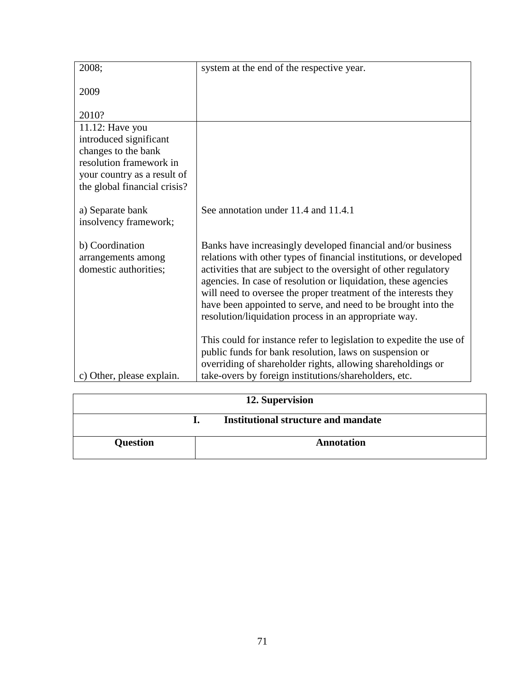| 2008;                                                          | system at the end of the respective year.                                                                                                                                                                                                                                                                                                                                                                                                                            |
|----------------------------------------------------------------|----------------------------------------------------------------------------------------------------------------------------------------------------------------------------------------------------------------------------------------------------------------------------------------------------------------------------------------------------------------------------------------------------------------------------------------------------------------------|
| 2009                                                           |                                                                                                                                                                                                                                                                                                                                                                                                                                                                      |
| 2010?                                                          |                                                                                                                                                                                                                                                                                                                                                                                                                                                                      |
| 11.12: Have you                                                |                                                                                                                                                                                                                                                                                                                                                                                                                                                                      |
| introduced significant                                         |                                                                                                                                                                                                                                                                                                                                                                                                                                                                      |
| changes to the bank<br>resolution framework in                 |                                                                                                                                                                                                                                                                                                                                                                                                                                                                      |
| your country as a result of                                    |                                                                                                                                                                                                                                                                                                                                                                                                                                                                      |
| the global financial crisis?                                   |                                                                                                                                                                                                                                                                                                                                                                                                                                                                      |
| a) Separate bank                                               | See annotation under 11.4 and 11.4.1                                                                                                                                                                                                                                                                                                                                                                                                                                 |
| insolvency framework;                                          |                                                                                                                                                                                                                                                                                                                                                                                                                                                                      |
| b) Coordination<br>arrangements among<br>domestic authorities; | Banks have increasingly developed financial and/or business<br>relations with other types of financial institutions, or developed<br>activities that are subject to the oversight of other regulatory<br>agencies. In case of resolution or liquidation, these agencies<br>will need to oversee the proper treatment of the interests they<br>have been appointed to serve, and need to be brought into the<br>resolution/liquidation process in an appropriate way. |
| c) Other, please explain.                                      | This could for instance refer to legislation to expedite the use of<br>public funds for bank resolution, laws on suspension or<br>overriding of shareholder rights, allowing shareholdings or<br>take-overs by foreign institutions/shareholders, etc.                                                                                                                                                                                                               |

| 12. Supervision |  |                                            |
|-----------------|--|--------------------------------------------|
|                 |  | <b>Institutional structure and mandate</b> |
| <b>Question</b> |  | <b>Annotation</b>                          |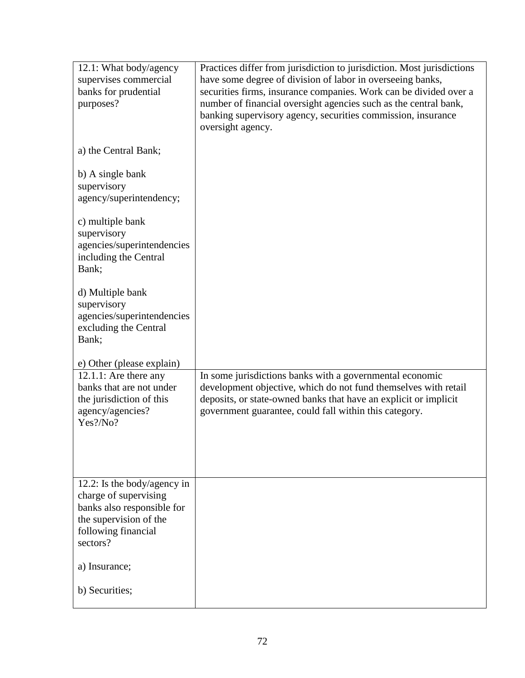| 12.1: What body/agency<br>supervises commercial<br>banks for prudential<br>purposes?                                                            | Practices differ from jurisdiction to jurisdiction. Most jurisdictions<br>have some degree of division of labor in overseeing banks,<br>securities firms, insurance companies. Work can be divided over a<br>number of financial oversight agencies such as the central bank,<br>banking supervisory agency, securities commission, insurance<br>oversight agency. |
|-------------------------------------------------------------------------------------------------------------------------------------------------|--------------------------------------------------------------------------------------------------------------------------------------------------------------------------------------------------------------------------------------------------------------------------------------------------------------------------------------------------------------------|
| a) the Central Bank;                                                                                                                            |                                                                                                                                                                                                                                                                                                                                                                    |
| b) A single bank<br>supervisory<br>agency/superintendency;                                                                                      |                                                                                                                                                                                                                                                                                                                                                                    |
| c) multiple bank<br>supervisory<br>agencies/superintendencies<br>including the Central<br>Bank;                                                 |                                                                                                                                                                                                                                                                                                                                                                    |
| d) Multiple bank<br>supervisory<br>agencies/superintendencies<br>excluding the Central<br>Bank;                                                 |                                                                                                                                                                                                                                                                                                                                                                    |
| e) Other (please explain)                                                                                                                       |                                                                                                                                                                                                                                                                                                                                                                    |
| 12.1.1: Are there any<br>banks that are not under<br>the jurisdiction of this<br>agency/agencies?<br>Yes?/No?                                   | In some jurisdictions banks with a governmental economic<br>development objective, which do not fund themselves with retail<br>deposits, or state-owned banks that have an explicit or implicit<br>government guarantee, could fall within this category.                                                                                                          |
| 12.2: Is the body/agency in<br>charge of supervising<br>banks also responsible for<br>the supervision of the<br>following financial<br>sectors? |                                                                                                                                                                                                                                                                                                                                                                    |
| a) Insurance;                                                                                                                                   |                                                                                                                                                                                                                                                                                                                                                                    |
| b) Securities;                                                                                                                                  |                                                                                                                                                                                                                                                                                                                                                                    |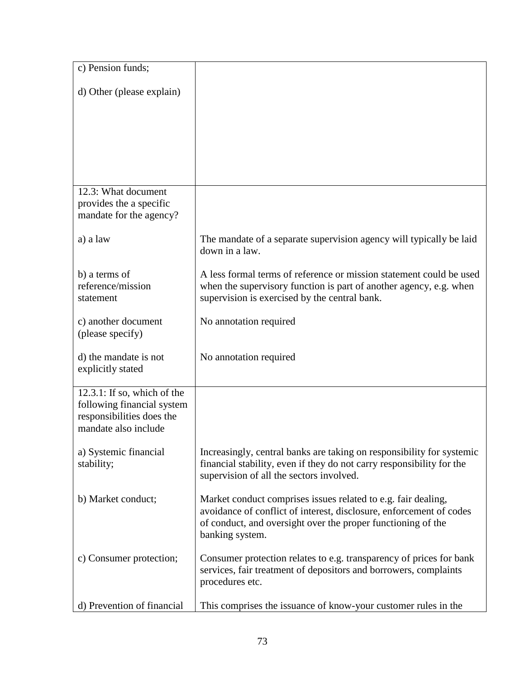| c) Pension funds;                                                                                                 |                                                                                                                                                                                                                         |
|-------------------------------------------------------------------------------------------------------------------|-------------------------------------------------------------------------------------------------------------------------------------------------------------------------------------------------------------------------|
| d) Other (please explain)                                                                                         |                                                                                                                                                                                                                         |
|                                                                                                                   |                                                                                                                                                                                                                         |
|                                                                                                                   |                                                                                                                                                                                                                         |
|                                                                                                                   |                                                                                                                                                                                                                         |
|                                                                                                                   |                                                                                                                                                                                                                         |
| 12.3: What document<br>provides the a specific<br>mandate for the agency?                                         |                                                                                                                                                                                                                         |
| a) a law                                                                                                          | The mandate of a separate supervision agency will typically be laid<br>down in a law.                                                                                                                                   |
| b) a terms of<br>reference/mission<br>statement                                                                   | A less formal terms of reference or mission statement could be used<br>when the supervisory function is part of another agency, e.g. when<br>supervision is exercised by the central bank.                              |
| c) another document<br>(please specify)                                                                           | No annotation required                                                                                                                                                                                                  |
| d) the mandate is not<br>explicitly stated                                                                        | No annotation required                                                                                                                                                                                                  |
| $12.3.1$ : If so, which of the<br>following financial system<br>responsibilities does the<br>mandate also include |                                                                                                                                                                                                                         |
| a) Systemic financial<br>stability;                                                                               | Increasingly, central banks are taking on responsibility for systemic<br>financial stability, even if they do not carry responsibility for the<br>supervision of all the sectors involved.                              |
| b) Market conduct;                                                                                                | Market conduct comprises issues related to e.g. fair dealing,<br>avoidance of conflict of interest, disclosure, enforcement of codes<br>of conduct, and oversight over the proper functioning of the<br>banking system. |
| c) Consumer protection;                                                                                           | Consumer protection relates to e.g. transparency of prices for bank<br>services, fair treatment of depositors and borrowers, complaints<br>procedures etc.                                                              |
| d) Prevention of financial                                                                                        | This comprises the issuance of know-your customer rules in the                                                                                                                                                          |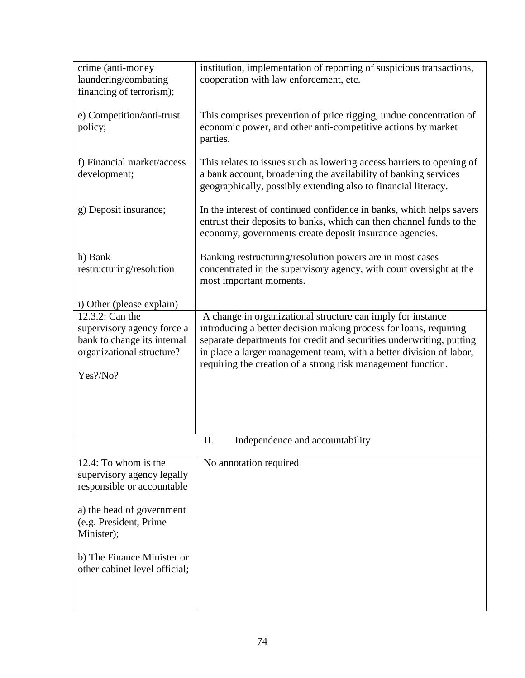| crime (anti-money<br>laundering/combating<br>financing of terrorism);                                                                                                                                                | institution, implementation of reporting of suspicious transactions,<br>cooperation with law enforcement, etc.                                                                                                                                                                                                                                  |
|----------------------------------------------------------------------------------------------------------------------------------------------------------------------------------------------------------------------|-------------------------------------------------------------------------------------------------------------------------------------------------------------------------------------------------------------------------------------------------------------------------------------------------------------------------------------------------|
| e) Competition/anti-trust<br>policy;                                                                                                                                                                                 | This comprises prevention of price rigging, undue concentration of<br>economic power, and other anti-competitive actions by market<br>parties.                                                                                                                                                                                                  |
| f) Financial market/access<br>development;                                                                                                                                                                           | This relates to issues such as lowering access barriers to opening of<br>a bank account, broadening the availability of banking services<br>geographically, possibly extending also to financial literacy.                                                                                                                                      |
| g) Deposit insurance;                                                                                                                                                                                                | In the interest of continued confidence in banks, which helps savers<br>entrust their deposits to banks, which can then channel funds to the<br>economy, governments create deposit insurance agencies.                                                                                                                                         |
| h) Bank<br>restructuring/resolution                                                                                                                                                                                  | Banking restructuring/resolution powers are in most cases<br>concentrated in the supervisory agency, with court oversight at the<br>most important moments.                                                                                                                                                                                     |
| i) Other (please explain)                                                                                                                                                                                            |                                                                                                                                                                                                                                                                                                                                                 |
| 12.3.2: Can the<br>supervisory agency force a<br>bank to change its internal<br>organizational structure?<br>Yes?/No?                                                                                                | A change in organizational structure can imply for instance<br>introducing a better decision making process for loans, requiring<br>separate departments for credit and securities underwriting, putting<br>in place a larger management team, with a better division of labor,<br>requiring the creation of a strong risk management function. |
|                                                                                                                                                                                                                      | Π.<br>Independence and accountability                                                                                                                                                                                                                                                                                                           |
| 12.4: To whom is the<br>supervisory agency legally<br>responsible or accountable<br>a) the head of government<br>(e.g. President, Prime<br>Minister);<br>b) The Finance Minister or<br>other cabinet level official; | No annotation required                                                                                                                                                                                                                                                                                                                          |
|                                                                                                                                                                                                                      |                                                                                                                                                                                                                                                                                                                                                 |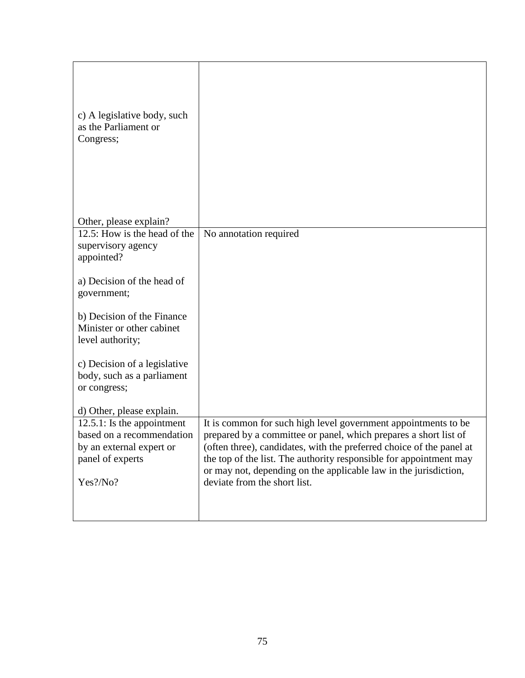| c) A legislative body, such<br>as the Parliament or<br>Congress;                                                                                                                                                                                                           |                                                                                                                                                                                                                                                                                                                                                                                      |
|----------------------------------------------------------------------------------------------------------------------------------------------------------------------------------------------------------------------------------------------------------------------------|--------------------------------------------------------------------------------------------------------------------------------------------------------------------------------------------------------------------------------------------------------------------------------------------------------------------------------------------------------------------------------------|
| Other, please explain?                                                                                                                                                                                                                                                     |                                                                                                                                                                                                                                                                                                                                                                                      |
| 12.5: How is the head of the<br>supervisory agency<br>appointed?<br>a) Decision of the head of<br>government;<br>b) Decision of the Finance<br>Minister or other cabinet<br>level authority;<br>c) Decision of a legislative<br>body, such as a parliament<br>or congress; | No annotation required                                                                                                                                                                                                                                                                                                                                                               |
|                                                                                                                                                                                                                                                                            |                                                                                                                                                                                                                                                                                                                                                                                      |
| d) Other, please explain.<br>$12.5.1$ : Is the appointment<br>based on a recommendation<br>by an external expert or<br>panel of experts<br>Yes?/No?                                                                                                                        | It is common for such high level government appointments to be<br>prepared by a committee or panel, which prepares a short list of<br>(often three), candidates, with the preferred choice of the panel at<br>the top of the list. The authority responsible for appointment may<br>or may not, depending on the applicable law in the jurisdiction,<br>deviate from the short list. |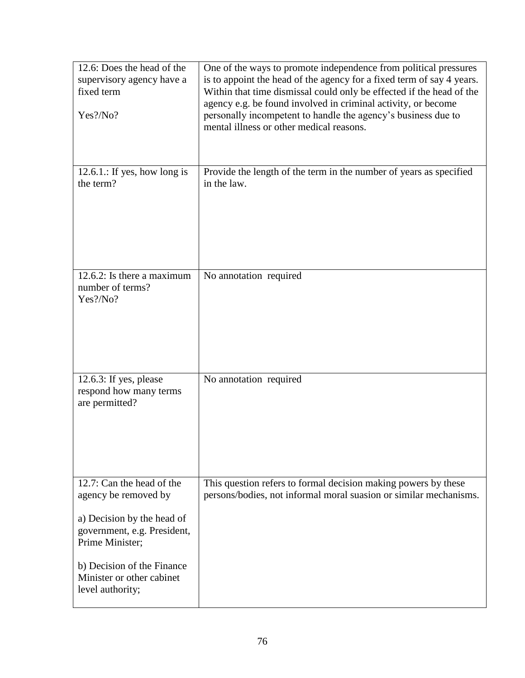| 12.6: Does the head of the<br>supervisory agency have a<br>fixed term<br>Yes?/No?                                                 | One of the ways to promote independence from political pressures<br>is to appoint the head of the agency for a fixed term of say 4 years.<br>Within that time dismissal could only be effected if the head of the<br>agency e.g. be found involved in criminal activity, or become<br>personally incompetent to handle the agency's business due to<br>mental illness or other medical reasons. |
|-----------------------------------------------------------------------------------------------------------------------------------|-------------------------------------------------------------------------------------------------------------------------------------------------------------------------------------------------------------------------------------------------------------------------------------------------------------------------------------------------------------------------------------------------|
| 12.6.1.: If yes, how long is<br>the term?                                                                                         | Provide the length of the term in the number of years as specified<br>in the law.                                                                                                                                                                                                                                                                                                               |
| 12.6.2: Is there a maximum<br>number of terms?<br>Yes?/No?                                                                        | No annotation required                                                                                                                                                                                                                                                                                                                                                                          |
| 12.6.3: If yes, please<br>respond how many terms<br>are permitted?                                                                | No annotation required                                                                                                                                                                                                                                                                                                                                                                          |
| 12.7: Can the head of the<br>agency be removed by<br>a) Decision by the head of<br>government, e.g. President,<br>Prime Minister; | This question refers to formal decision making powers by these<br>persons/bodies, not informal moral suasion or similar mechanisms.                                                                                                                                                                                                                                                             |
| b) Decision of the Finance<br>Minister or other cabinet<br>level authority;                                                       |                                                                                                                                                                                                                                                                                                                                                                                                 |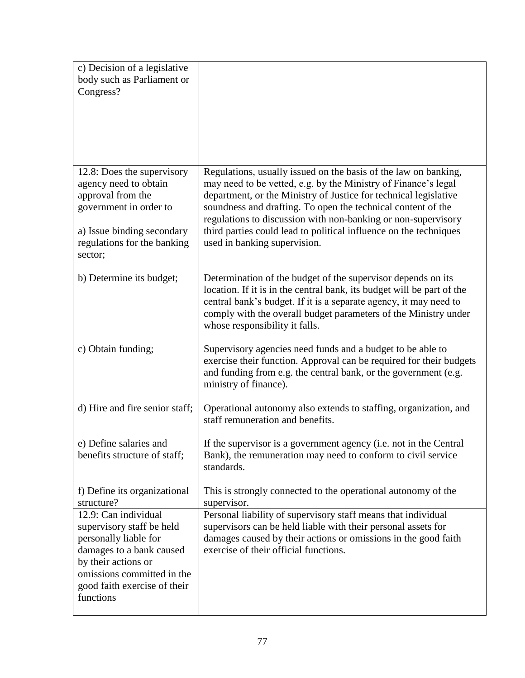| c) Decision of a legislative<br>body such as Parliament or<br>Congress?                                                                                                                                  |                                                                                                                                                                                                                                                                                                                                                                                                                                             |
|----------------------------------------------------------------------------------------------------------------------------------------------------------------------------------------------------------|---------------------------------------------------------------------------------------------------------------------------------------------------------------------------------------------------------------------------------------------------------------------------------------------------------------------------------------------------------------------------------------------------------------------------------------------|
| 12.8: Does the supervisory<br>agency need to obtain<br>approval from the<br>government in order to<br>a) Issue binding secondary<br>regulations for the banking<br>sector;                               | Regulations, usually issued on the basis of the law on banking,<br>may need to be vetted, e.g. by the Ministry of Finance's legal<br>department, or the Ministry of Justice for technical legislative<br>soundness and drafting. To open the technical content of the<br>regulations to discussion with non-banking or non-supervisory<br>third parties could lead to political influence on the techniques<br>used in banking supervision. |
| b) Determine its budget;                                                                                                                                                                                 | Determination of the budget of the supervisor depends on its<br>location. If it is in the central bank, its budget will be part of the<br>central bank's budget. If it is a separate agency, it may need to<br>comply with the overall budget parameters of the Ministry under<br>whose responsibility it falls.                                                                                                                            |
| c) Obtain funding;                                                                                                                                                                                       | Supervisory agencies need funds and a budget to be able to<br>exercise their function. Approval can be required for their budgets<br>and funding from e.g. the central bank, or the government (e.g.<br>ministry of finance).                                                                                                                                                                                                               |
| d) Hire and fire senior staff;                                                                                                                                                                           | Operational autonomy also extends to staffing, organization, and<br>staff remuneration and benefits.                                                                                                                                                                                                                                                                                                                                        |
| e) Define salaries and<br>benefits structure of staff;                                                                                                                                                   | If the supervisor is a government agency (i.e. not in the Central<br>Bank), the remuneration may need to conform to civil service<br>standards.                                                                                                                                                                                                                                                                                             |
| f) Define its organizational<br>structure?                                                                                                                                                               | This is strongly connected to the operational autonomy of the<br>supervisor.                                                                                                                                                                                                                                                                                                                                                                |
| 12.9: Can individual<br>supervisory staff be held<br>personally liable for<br>damages to a bank caused<br>by their actions or<br>omissions committed in the<br>good faith exercise of their<br>functions | Personal liability of supervisory staff means that individual<br>supervisors can be held liable with their personal assets for<br>damages caused by their actions or omissions in the good faith<br>exercise of their official functions.                                                                                                                                                                                                   |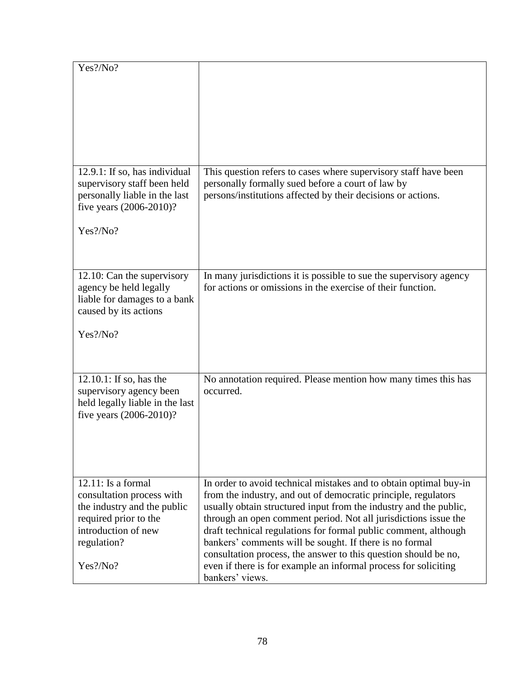| Yes?/No?                                                                                                                                                        |                                                                                                                                                                                                                                                                                                                                                                                                                                                                                                                                                                    |
|-----------------------------------------------------------------------------------------------------------------------------------------------------------------|--------------------------------------------------------------------------------------------------------------------------------------------------------------------------------------------------------------------------------------------------------------------------------------------------------------------------------------------------------------------------------------------------------------------------------------------------------------------------------------------------------------------------------------------------------------------|
|                                                                                                                                                                 |                                                                                                                                                                                                                                                                                                                                                                                                                                                                                                                                                                    |
| 12.9.1: If so, has individual<br>supervisory staff been held<br>personally liable in the last<br>five years (2006-2010)?                                        | This question refers to cases where supervisory staff have been<br>personally formally sued before a court of law by<br>persons/institutions affected by their decisions or actions.                                                                                                                                                                                                                                                                                                                                                                               |
| Yes?/No?                                                                                                                                                        |                                                                                                                                                                                                                                                                                                                                                                                                                                                                                                                                                                    |
| 12.10: Can the supervisory<br>agency be held legally<br>liable for damages to a bank<br>caused by its actions                                                   | In many jurisdictions it is possible to sue the supervisory agency<br>for actions or omissions in the exercise of their function.                                                                                                                                                                                                                                                                                                                                                                                                                                  |
| Yes?/No?                                                                                                                                                        |                                                                                                                                                                                                                                                                                                                                                                                                                                                                                                                                                                    |
| $12.10.1$ : If so, has the<br>supervisory agency been<br>held legally liable in the last<br>five years (2006-2010)?                                             | No annotation required. Please mention how many times this has<br>occurred.                                                                                                                                                                                                                                                                                                                                                                                                                                                                                        |
| $12.11$ : Is a formal<br>consultation process with<br>the industry and the public<br>required prior to the<br>introduction of new<br>regulation?<br>$Yes$ ?/No? | In order to avoid technical mistakes and to obtain optimal buy-in<br>from the industry, and out of democratic principle, regulators<br>usually obtain structured input from the industry and the public,<br>through an open comment period. Not all jurisdictions issue the<br>draft technical regulations for formal public comment, although<br>bankers' comments will be sought. If there is no formal<br>consultation process, the answer to this question should be no,<br>even if there is for example an informal process for soliciting<br>bankers' views. |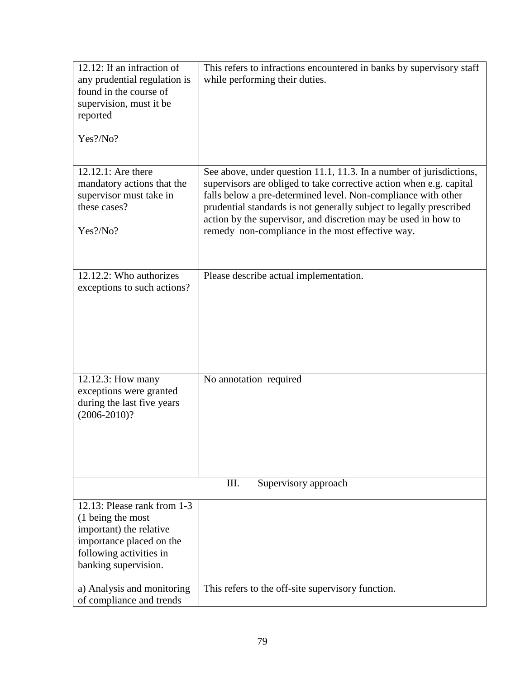| 12.12: If an infraction of<br>any prudential regulation is<br>found in the course of<br>supervision, must it be<br>reported                                | This refers to infractions encountered in banks by supervisory staff<br>while performing their duties.                                                                                                                                                                                                                                                                                                   |
|------------------------------------------------------------------------------------------------------------------------------------------------------------|----------------------------------------------------------------------------------------------------------------------------------------------------------------------------------------------------------------------------------------------------------------------------------------------------------------------------------------------------------------------------------------------------------|
| Yes?/No?                                                                                                                                                   |                                                                                                                                                                                                                                                                                                                                                                                                          |
| 12.12.1: Are there<br>mandatory actions that the<br>supervisor must take in<br>these cases?<br>Yes?/No?                                                    | See above, under question 11.1, 11.3. In a number of jurisdictions,<br>supervisors are obliged to take corrective action when e.g. capital<br>falls below a pre-determined level. Non-compliance with other<br>prudential standards is not generally subject to legally prescribed<br>action by the supervisor, and discretion may be used in how to<br>remedy non-compliance in the most effective way. |
| 12.12.2: Who authorizes<br>exceptions to such actions?                                                                                                     | Please describe actual implementation.                                                                                                                                                                                                                                                                                                                                                                   |
| 12.12.3: How many<br>exceptions were granted<br>during the last five years<br>$(2006 - 2010)?$                                                             | No annotation required                                                                                                                                                                                                                                                                                                                                                                                   |
| III.<br>Supervisory approach                                                                                                                               |                                                                                                                                                                                                                                                                                                                                                                                                          |
| 12.13: Please rank from 1-3<br>(1 being the most<br>important) the relative<br>importance placed on the<br>following activities in<br>banking supervision. |                                                                                                                                                                                                                                                                                                                                                                                                          |
| a) Analysis and monitoring<br>of compliance and trends                                                                                                     | This refers to the off-site supervisory function.                                                                                                                                                                                                                                                                                                                                                        |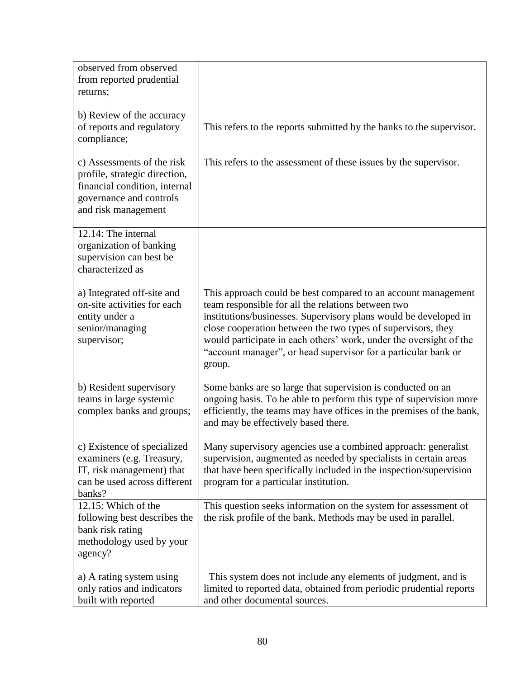| observed from observed<br>from reported prudential<br>returns;<br>b) Review of the accuracy<br>of reports and regulatory                                      | This refers to the reports submitted by the banks to the supervisor.                                                                                                                                                                                                                                                                                                                                      |
|---------------------------------------------------------------------------------------------------------------------------------------------------------------|-----------------------------------------------------------------------------------------------------------------------------------------------------------------------------------------------------------------------------------------------------------------------------------------------------------------------------------------------------------------------------------------------------------|
| compliance;<br>c) Assessments of the risk<br>profile, strategic direction,<br>financial condition, internal<br>governance and controls<br>and risk management | This refers to the assessment of these issues by the supervisor.                                                                                                                                                                                                                                                                                                                                          |
| 12.14: The internal<br>organization of banking<br>supervision can best be<br>characterized as                                                                 |                                                                                                                                                                                                                                                                                                                                                                                                           |
| a) Integrated off-site and<br>on-site activities for each<br>entity under a<br>senior/managing<br>supervisor;                                                 | This approach could be best compared to an account management<br>team responsible for all the relations between two<br>institutions/businesses. Supervisory plans would be developed in<br>close cooperation between the two types of supervisors, they<br>would participate in each others' work, under the oversight of the<br>"account manager", or head supervisor for a particular bank or<br>group. |
| b) Resident supervisory<br>teams in large systemic<br>complex banks and groups;                                                                               | Some banks are so large that supervision is conducted on an<br>ongoing basis. To be able to perform this type of supervision more<br>efficiently, the teams may have offices in the premises of the bank,<br>and may be effectively based there.                                                                                                                                                          |
| c) Existence of specialized<br>examiners (e.g. Treasury,<br>IT, risk management) that<br>can be used across different<br>banks?                               | Many supervisory agencies use a combined approach: generalist<br>supervision, augmented as needed by specialists in certain areas<br>that have been specifically included in the inspection/supervision<br>program for a particular institution.                                                                                                                                                          |
| 12.15: Which of the<br>following best describes the<br>bank risk rating<br>methodology used by your<br>agency?                                                | This question seeks information on the system for assessment of<br>the risk profile of the bank. Methods may be used in parallel.                                                                                                                                                                                                                                                                         |
| a) A rating system using<br>only ratios and indicators<br>built with reported                                                                                 | This system does not include any elements of judgment, and is<br>limited to reported data, obtained from periodic prudential reports<br>and other documental sources.                                                                                                                                                                                                                                     |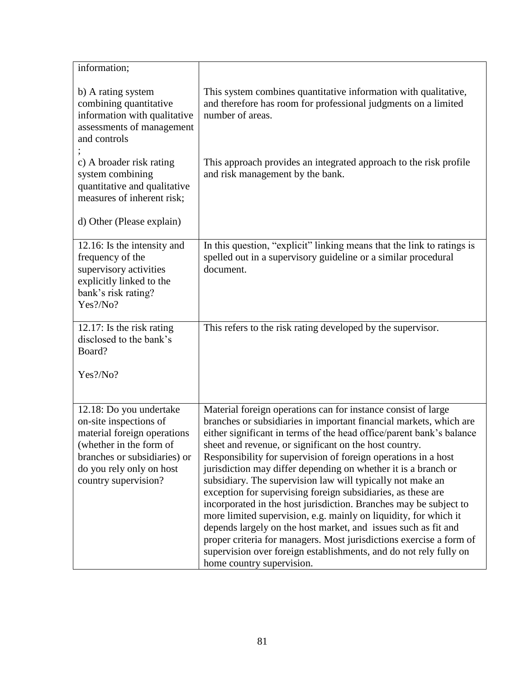| information;                                                                                                                                                                                    |                                                                                                                                                                                                                                                                                                                                                                                                                                                                                                                                                                                                                                                                                                                                                                                                                                                                                                                             |
|-------------------------------------------------------------------------------------------------------------------------------------------------------------------------------------------------|-----------------------------------------------------------------------------------------------------------------------------------------------------------------------------------------------------------------------------------------------------------------------------------------------------------------------------------------------------------------------------------------------------------------------------------------------------------------------------------------------------------------------------------------------------------------------------------------------------------------------------------------------------------------------------------------------------------------------------------------------------------------------------------------------------------------------------------------------------------------------------------------------------------------------------|
| b) A rating system<br>combining quantitative<br>information with qualitative<br>assessments of management<br>and controls                                                                       | This system combines quantitative information with qualitative,<br>and therefore has room for professional judgments on a limited<br>number of areas.                                                                                                                                                                                                                                                                                                                                                                                                                                                                                                                                                                                                                                                                                                                                                                       |
| c) A broader risk rating<br>system combining<br>quantitative and qualitative<br>measures of inherent risk;                                                                                      | This approach provides an integrated approach to the risk profile<br>and risk management by the bank.                                                                                                                                                                                                                                                                                                                                                                                                                                                                                                                                                                                                                                                                                                                                                                                                                       |
| d) Other (Please explain)                                                                                                                                                                       |                                                                                                                                                                                                                                                                                                                                                                                                                                                                                                                                                                                                                                                                                                                                                                                                                                                                                                                             |
| 12.16: Is the intensity and<br>frequency of the<br>supervisory activities<br>explicitly linked to the<br>bank's risk rating?<br>Yes?/No?                                                        | In this question, "explicit" linking means that the link to ratings is<br>spelled out in a supervisory guideline or a similar procedural<br>document.                                                                                                                                                                                                                                                                                                                                                                                                                                                                                                                                                                                                                                                                                                                                                                       |
| $12.17$ : Is the risk rating<br>disclosed to the bank's<br>Board?                                                                                                                               | This refers to the risk rating developed by the supervisor.                                                                                                                                                                                                                                                                                                                                                                                                                                                                                                                                                                                                                                                                                                                                                                                                                                                                 |
| Yes?/No?                                                                                                                                                                                        |                                                                                                                                                                                                                                                                                                                                                                                                                                                                                                                                                                                                                                                                                                                                                                                                                                                                                                                             |
| 12.18: Do you undertake<br>on-site inspections of<br>material foreign operations<br>(whether in the form of<br>branches or subsidiaries) or<br>do you rely only on host<br>country supervision? | Material foreign operations can for instance consist of large<br>branches or subsidiaries in important financial markets, which are<br>either significant in terms of the head office/parent bank's balance<br>sheet and revenue, or significant on the host country.<br>Responsibility for supervision of foreign operations in a host<br>jurisdiction may differ depending on whether it is a branch or<br>subsidiary. The supervision law will typically not make an<br>exception for supervising foreign subsidiaries, as these are<br>incorporated in the host jurisdiction. Branches may be subject to<br>more limited supervision, e.g. mainly on liquidity, for which it<br>depends largely on the host market, and issues such as fit and<br>proper criteria for managers. Most jurisdictions exercise a form of<br>supervision over foreign establishments, and do not rely fully on<br>home country supervision. |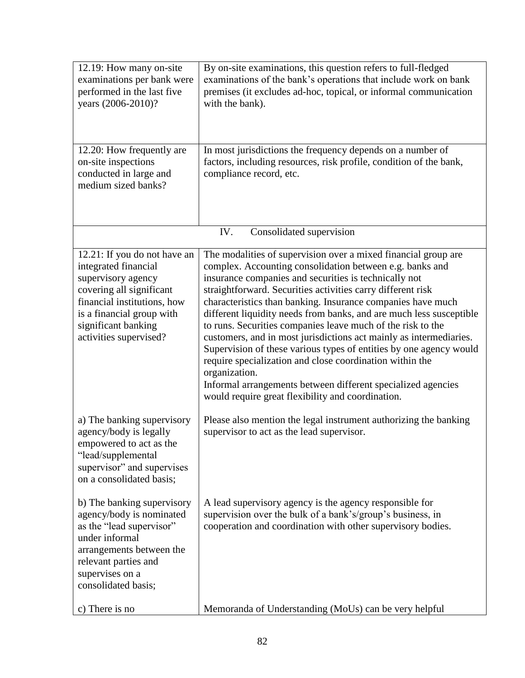| 12.19: How many on-site<br>examinations per bank were<br>performed in the last five<br>years (2006-2010)?<br>12.20: How frequently are                                                                              | By on-site examinations, this question refers to full-fledged<br>examinations of the bank's operations that include work on bank<br>premises (it excludes ad-hoc, topical, or informal communication<br>with the bank).<br>In most jurisdictions the frequency depends on a number of                                                                                                                                                                                                                                                                                                                                                                                                                                                                                                                 |
|---------------------------------------------------------------------------------------------------------------------------------------------------------------------------------------------------------------------|-------------------------------------------------------------------------------------------------------------------------------------------------------------------------------------------------------------------------------------------------------------------------------------------------------------------------------------------------------------------------------------------------------------------------------------------------------------------------------------------------------------------------------------------------------------------------------------------------------------------------------------------------------------------------------------------------------------------------------------------------------------------------------------------------------|
| on-site inspections<br>conducted in large and<br>medium sized banks?                                                                                                                                                | factors, including resources, risk profile, condition of the bank,<br>compliance record, etc.                                                                                                                                                                                                                                                                                                                                                                                                                                                                                                                                                                                                                                                                                                         |
|                                                                                                                                                                                                                     | IV.<br>Consolidated supervision                                                                                                                                                                                                                                                                                                                                                                                                                                                                                                                                                                                                                                                                                                                                                                       |
| 12.21: If you do not have an<br>integrated financial<br>supervisory agency<br>covering all significant<br>financial institutions, how<br>is a financial group with<br>significant banking<br>activities supervised? | The modalities of supervision over a mixed financial group are<br>complex. Accounting consolidation between e.g. banks and<br>insurance companies and securities is technically not<br>straightforward. Securities activities carry different risk<br>characteristics than banking. Insurance companies have much<br>different liquidity needs from banks, and are much less susceptible<br>to runs. Securities companies leave much of the risk to the<br>customers, and in most jurisdictions act mainly as intermediaries.<br>Supervision of these various types of entities by one agency would<br>require specialization and close coordination within the<br>organization.<br>Informal arrangements between different specialized agencies<br>would require great flexibility and coordination. |
| a) The banking supervisory<br>agency/body is legally<br>empowered to act as the<br>"lead/supplemental<br>supervisor" and supervises<br>on a consolidated basis;                                                     | Please also mention the legal instrument authorizing the banking<br>supervisor to act as the lead supervisor.                                                                                                                                                                                                                                                                                                                                                                                                                                                                                                                                                                                                                                                                                         |
| b) The banking supervisory<br>agency/body is nominated<br>as the "lead supervisor"<br>under informal<br>arrangements between the<br>relevant parties and<br>supervises on a<br>consolidated basis;                  | A lead supervisory agency is the agency responsible for<br>supervision over the bulk of a bank's/group's business, in<br>cooperation and coordination with other supervisory bodies.                                                                                                                                                                                                                                                                                                                                                                                                                                                                                                                                                                                                                  |
| c) There is no                                                                                                                                                                                                      | Memoranda of Understanding (MoUs) can be very helpful                                                                                                                                                                                                                                                                                                                                                                                                                                                                                                                                                                                                                                                                                                                                                 |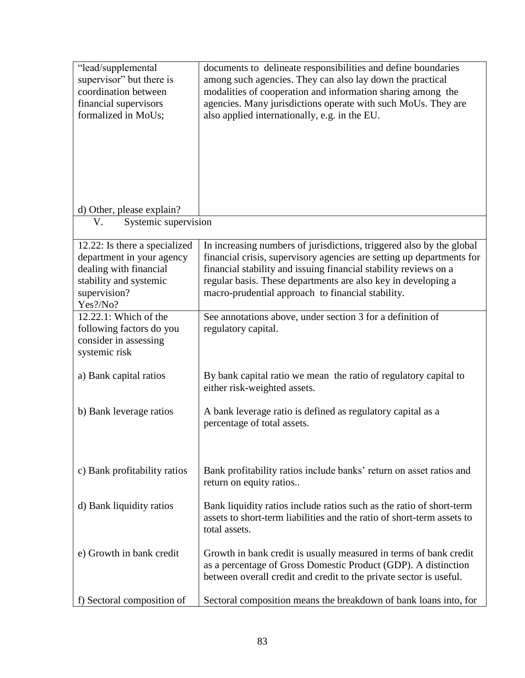| "lead/supplemental<br>supervisor" but there is<br>coordination between                                                                     | documents to delineate responsibilities and define boundaries<br>among such agencies. They can also lay down the practical<br>modalities of cooperation and information sharing among the                                                                                                                                               |
|--------------------------------------------------------------------------------------------------------------------------------------------|-----------------------------------------------------------------------------------------------------------------------------------------------------------------------------------------------------------------------------------------------------------------------------------------------------------------------------------------|
| financial supervisors                                                                                                                      | agencies. Many jurisdictions operate with such MoUs. They are                                                                                                                                                                                                                                                                           |
| formalized in MoUs;                                                                                                                        | also applied internationally, e.g. in the EU.                                                                                                                                                                                                                                                                                           |
|                                                                                                                                            |                                                                                                                                                                                                                                                                                                                                         |
| d) Other, please explain?                                                                                                                  |                                                                                                                                                                                                                                                                                                                                         |
| Systemic supervision<br>V.                                                                                                                 |                                                                                                                                                                                                                                                                                                                                         |
| 12.22: Is there a specialized<br>department in your agency<br>dealing with financial<br>stability and systemic<br>supervision?<br>Yes?/No? | In increasing numbers of jurisdictions, triggered also by the global<br>financial crisis, supervisory agencies are setting up departments for<br>financial stability and issuing financial stability reviews on a<br>regular basis. These departments are also key in developing a<br>macro-prudential approach to financial stability. |
| 12.22.1: Which of the<br>following factors do you<br>consider in assessing<br>systemic risk                                                | See annotations above, under section 3 for a definition of<br>regulatory capital.                                                                                                                                                                                                                                                       |
| a) Bank capital ratios                                                                                                                     | By bank capital ratio we mean the ratio of regulatory capital to<br>either risk-weighted assets.                                                                                                                                                                                                                                        |
| b) Bank leverage ratios                                                                                                                    | A bank leverage ratio is defined as regulatory capital as a<br>percentage of total assets.                                                                                                                                                                                                                                              |
| c) Bank profitability ratios                                                                                                               | Bank profitability ratios include banks' return on asset ratios and<br>return on equity ratios                                                                                                                                                                                                                                          |
| d) Bank liquidity ratios                                                                                                                   | Bank liquidity ratios include ratios such as the ratio of short-term<br>assets to short-term liabilities and the ratio of short-term assets to<br>total assets.                                                                                                                                                                         |
| e) Growth in bank credit                                                                                                                   | Growth in bank credit is usually measured in terms of bank credit<br>as a percentage of Gross Domestic Product (GDP). A distinction<br>between overall credit and credit to the private sector is useful.                                                                                                                               |
| f) Sectoral composition of                                                                                                                 | Sectoral composition means the breakdown of bank loans into, for                                                                                                                                                                                                                                                                        |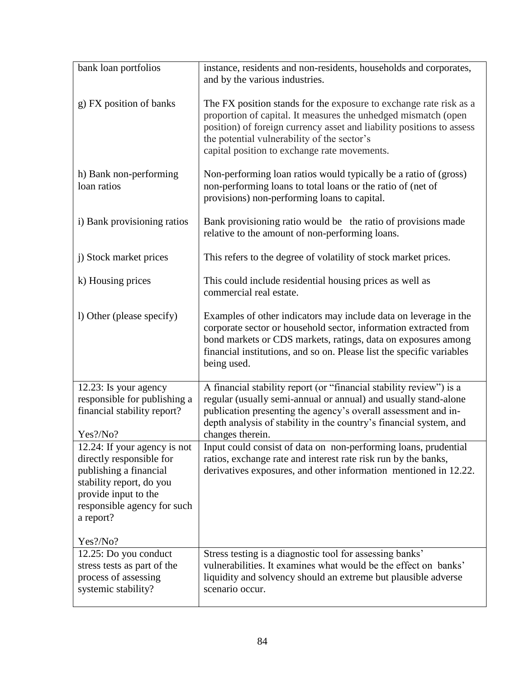| bank loan portfolios                                                                                                                                                               | instance, residents and non-residents, households and corporates,<br>and by the various industries.                                                                                                                                                                                                          |
|------------------------------------------------------------------------------------------------------------------------------------------------------------------------------------|--------------------------------------------------------------------------------------------------------------------------------------------------------------------------------------------------------------------------------------------------------------------------------------------------------------|
| g) FX position of banks                                                                                                                                                            | The FX position stands for the exposure to exchange rate risk as a<br>proportion of capital. It measures the unhedged mismatch (open<br>position) of foreign currency asset and liability positions to assess<br>the potential vulnerability of the sector's<br>capital position to exchange rate movements. |
| h) Bank non-performing<br>loan ratios                                                                                                                                              | Non-performing loan ratios would typically be a ratio of (gross)<br>non-performing loans to total loans or the ratio of (net of<br>provisions) non-performing loans to capital.                                                                                                                              |
| i) Bank provisioning ratios                                                                                                                                                        | Bank provisioning ratio would be the ratio of provisions made<br>relative to the amount of non-performing loans.                                                                                                                                                                                             |
| j) Stock market prices                                                                                                                                                             | This refers to the degree of volatility of stock market prices.                                                                                                                                                                                                                                              |
| k) Housing prices                                                                                                                                                                  | This could include residential housing prices as well as<br>commercial real estate.                                                                                                                                                                                                                          |
| 1) Other (please specify)                                                                                                                                                          | Examples of other indicators may include data on leverage in the<br>corporate sector or household sector, information extracted from<br>bond markets or CDS markets, ratings, data on exposures among<br>financial institutions, and so on. Please list the specific variables<br>being used.                |
| 12.23: Is your agency<br>responsible for publishing a<br>financial stability report?<br>Yes?/No?                                                                                   | A financial stability report (or "financial stability review") is a<br>regular (usually semi-annual or annual) and usually stand-alone<br>publication presenting the agency's overall assessment and in-<br>depth analysis of stability in the country's financial system, and<br>changes therein.           |
| 12.24: If your agency is not<br>directly responsible for<br>publishing a financial<br>stability report, do you<br>provide input to the<br>responsible agency for such<br>a report? | Input could consist of data on non-performing loans, prudential<br>ratios, exchange rate and interest rate risk run by the banks,<br>derivatives exposures, and other information mentioned in 12.22.                                                                                                        |
| Yes?/No?<br>12.25: Do you conduct<br>stress tests as part of the<br>process of assessing<br>systemic stability?                                                                    | Stress testing is a diagnostic tool for assessing banks'<br>vulnerabilities. It examines what would be the effect on banks'<br>liquidity and solvency should an extreme but plausible adverse<br>scenario occur.                                                                                             |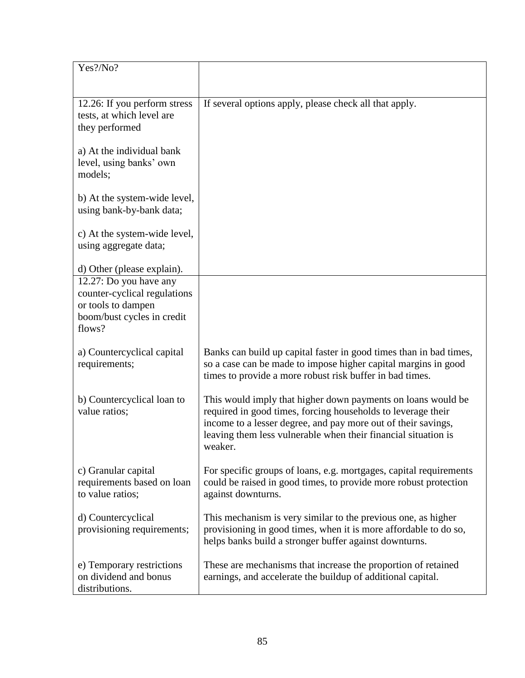| Yes?/No?                                             |                                                                    |
|------------------------------------------------------|--------------------------------------------------------------------|
|                                                      |                                                                    |
|                                                      |                                                                    |
| 12.26: If you perform stress                         | If several options apply, please check all that apply.             |
| tests, at which level are                            |                                                                    |
| they performed                                       |                                                                    |
| a) At the individual bank                            |                                                                    |
| level, using banks' own                              |                                                                    |
| models;                                              |                                                                    |
|                                                      |                                                                    |
| b) At the system-wide level,                         |                                                                    |
| using bank-by-bank data;                             |                                                                    |
|                                                      |                                                                    |
| c) At the system-wide level,                         |                                                                    |
| using aggregate data;                                |                                                                    |
|                                                      |                                                                    |
| d) Other (please explain).<br>12.27: Do you have any |                                                                    |
| counter-cyclical regulations                         |                                                                    |
| or tools to dampen                                   |                                                                    |
| boom/bust cycles in credit                           |                                                                    |
| flows?                                               |                                                                    |
|                                                      |                                                                    |
| a) Countercyclical capital                           | Banks can build up capital faster in good times than in bad times, |
| requirements;                                        | so a case can be made to impose higher capital margins in good     |
|                                                      | times to provide a more robust risk buffer in bad times.           |
| b) Countercyclical loan to                           | This would imply that higher down payments on loans would be       |
| value ratios;                                        | required in good times, forcing households to leverage their       |
|                                                      | income to a lesser degree, and pay more out of their savings,      |
|                                                      | leaving them less vulnerable when their financial situation is     |
|                                                      | weaker.                                                            |
|                                                      |                                                                    |
| c) Granular capital                                  | For specific groups of loans, e.g. mortgages, capital requirements |
| requirements based on loan                           | could be raised in good times, to provide more robust protection   |
| to value ratios;                                     | against downturns.                                                 |
| d) Countercyclical                                   | This mechanism is very similar to the previous one, as higher      |
| provisioning requirements;                           | provisioning in good times, when it is more affordable to do so,   |
|                                                      | helps banks build a stronger buffer against downturns.             |
|                                                      |                                                                    |
| e) Temporary restrictions                            | These are mechanisms that increase the proportion of retained      |
| on dividend and bonus                                | earnings, and accelerate the buildup of additional capital.        |
| distributions.                                       |                                                                    |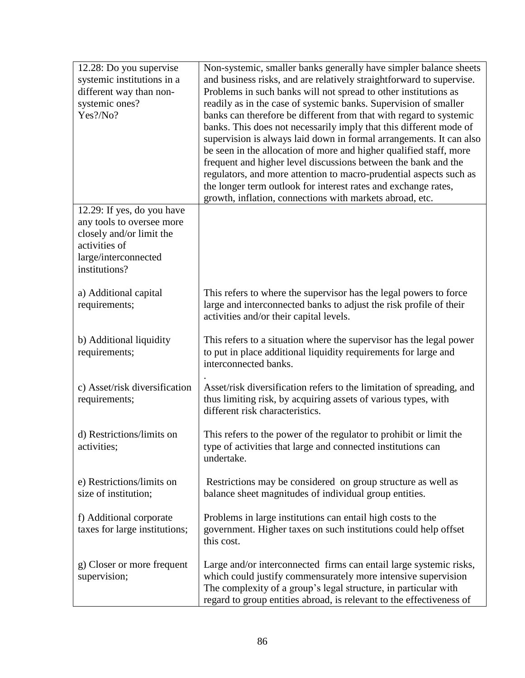| 12.28: Do you supervise<br>systemic institutions in a<br>different way than non-<br>systemic ones?<br>Yes?/No?                                | Non-systemic, smaller banks generally have simpler balance sheets<br>and business risks, and are relatively straightforward to supervise.<br>Problems in such banks will not spread to other institutions as<br>readily as in the case of systemic banks. Supervision of smaller<br>banks can therefore be different from that with regard to systemic<br>banks. This does not necessarily imply that this different mode of<br>supervision is always laid down in formal arrangements. It can also<br>be seen in the allocation of more and higher qualified staff, more<br>frequent and higher level discussions between the bank and the<br>regulators, and more attention to macro-prudential aspects such as<br>the longer term outlook for interest rates and exchange rates,<br>growth, inflation, connections with markets abroad, etc. |
|-----------------------------------------------------------------------------------------------------------------------------------------------|-------------------------------------------------------------------------------------------------------------------------------------------------------------------------------------------------------------------------------------------------------------------------------------------------------------------------------------------------------------------------------------------------------------------------------------------------------------------------------------------------------------------------------------------------------------------------------------------------------------------------------------------------------------------------------------------------------------------------------------------------------------------------------------------------------------------------------------------------|
| 12.29: If yes, do you have<br>any tools to oversee more<br>closely and/or limit the<br>activities of<br>large/interconnected<br>institutions? |                                                                                                                                                                                                                                                                                                                                                                                                                                                                                                                                                                                                                                                                                                                                                                                                                                                 |
| a) Additional capital<br>requirements;                                                                                                        | This refers to where the supervisor has the legal powers to force<br>large and interconnected banks to adjust the risk profile of their<br>activities and/or their capital levels.                                                                                                                                                                                                                                                                                                                                                                                                                                                                                                                                                                                                                                                              |
| b) Additional liquidity<br>requirements;                                                                                                      | This refers to a situation where the supervisor has the legal power<br>to put in place additional liquidity requirements for large and<br>interconnected banks.                                                                                                                                                                                                                                                                                                                                                                                                                                                                                                                                                                                                                                                                                 |
| c) Asset/risk diversification<br>requirements;                                                                                                | Asset/risk diversification refers to the limitation of spreading, and<br>thus limiting risk, by acquiring assets of various types, with<br>different risk characteristics.                                                                                                                                                                                                                                                                                                                                                                                                                                                                                                                                                                                                                                                                      |
| d) Restrictions/limits on<br>activities;                                                                                                      | This refers to the power of the regulator to prohibit or limit the<br>type of activities that large and connected institutions can<br>undertake.                                                                                                                                                                                                                                                                                                                                                                                                                                                                                                                                                                                                                                                                                                |
| e) Restrictions/limits on<br>size of institution;                                                                                             | Restrictions may be considered on group structure as well as<br>balance sheet magnitudes of individual group entities.                                                                                                                                                                                                                                                                                                                                                                                                                                                                                                                                                                                                                                                                                                                          |
| f) Additional corporate<br>taxes for large institutions;                                                                                      | Problems in large institutions can entail high costs to the<br>government. Higher taxes on such institutions could help offset<br>this cost.                                                                                                                                                                                                                                                                                                                                                                                                                                                                                                                                                                                                                                                                                                    |
| g) Closer or more frequent<br>supervision;                                                                                                    | Large and/or interconnected firms can entail large systemic risks,<br>which could justify commensurately more intensive supervision<br>The complexity of a group's legal structure, in particular with<br>regard to group entities abroad, is relevant to the effectiveness of                                                                                                                                                                                                                                                                                                                                                                                                                                                                                                                                                                  |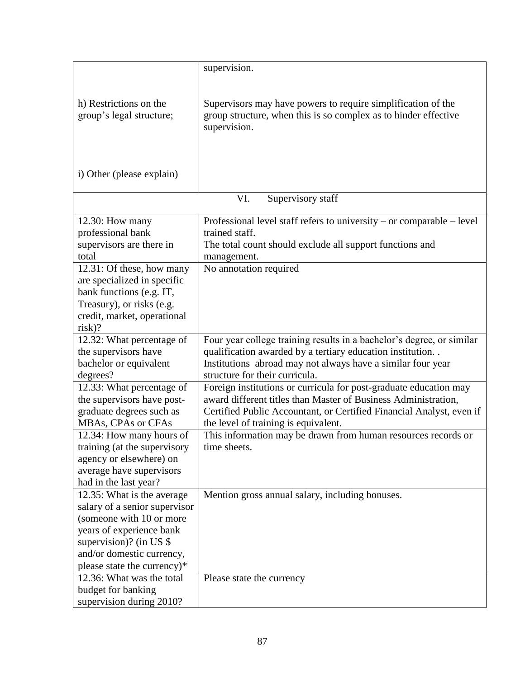|                                                           | supervision.                                                                                                                                    |
|-----------------------------------------------------------|-------------------------------------------------------------------------------------------------------------------------------------------------|
|                                                           |                                                                                                                                                 |
| h) Restrictions on the<br>group's legal structure;        | Supervisors may have powers to require simplification of the<br>group structure, when this is so complex as to hinder effective<br>supervision. |
| i) Other (please explain)                                 |                                                                                                                                                 |
|                                                           |                                                                                                                                                 |
|                                                           | VI.<br>Supervisory staff                                                                                                                        |
| 12.30: How many                                           | Professional level staff refers to university - or comparable - level                                                                           |
| professional bank                                         | trained staff.                                                                                                                                  |
| supervisors are there in                                  | The total count should exclude all support functions and                                                                                        |
| total<br>12.31: Of these, how many                        | management.<br>No annotation required                                                                                                           |
| are specialized in specific                               |                                                                                                                                                 |
| bank functions (e.g. IT,                                  |                                                                                                                                                 |
| Treasury), or risks (e.g.                                 |                                                                                                                                                 |
| credit, market, operational                               |                                                                                                                                                 |
| $risk$ ?                                                  |                                                                                                                                                 |
| 12.32: What percentage of                                 | Four year college training results in a bachelor's degree, or similar                                                                           |
| the supervisors have                                      | qualification awarded by a tertiary education institution. .                                                                                    |
| bachelor or equivalent                                    | Institutions abroad may not always have a similar four year                                                                                     |
| degrees?                                                  | structure for their curricula.                                                                                                                  |
| 12.33: What percentage of<br>the supervisors have post-   | Foreign institutions or curricula for post-graduate education may<br>award different titles than Master of Business Administration,             |
| graduate degrees such as                                  | Certified Public Accountant, or Certified Financial Analyst, even if                                                                            |
| MBAs, CPAs or CFAs                                        | the level of training is equivalent.                                                                                                            |
| 12.34: How many hours of                                  | This information may be drawn from human resources records or                                                                                   |
| training (at the supervisory                              | time sheets.                                                                                                                                    |
| agency or elsewhere) on                                   |                                                                                                                                                 |
| average have supervisors                                  |                                                                                                                                                 |
| had in the last year?                                     |                                                                                                                                                 |
| 12.35: What is the average                                | Mention gross annual salary, including bonuses.                                                                                                 |
| salary of a senior supervisor<br>(someone with 10 or more |                                                                                                                                                 |
| years of experience bank                                  |                                                                                                                                                 |
| supervision)? (in US $$$                                  |                                                                                                                                                 |
| and/or domestic currency,                                 |                                                                                                                                                 |
| please state the currency)*                               |                                                                                                                                                 |
| 12.36: What was the total                                 | Please state the currency                                                                                                                       |
| budget for banking                                        |                                                                                                                                                 |
| supervision during 2010?                                  |                                                                                                                                                 |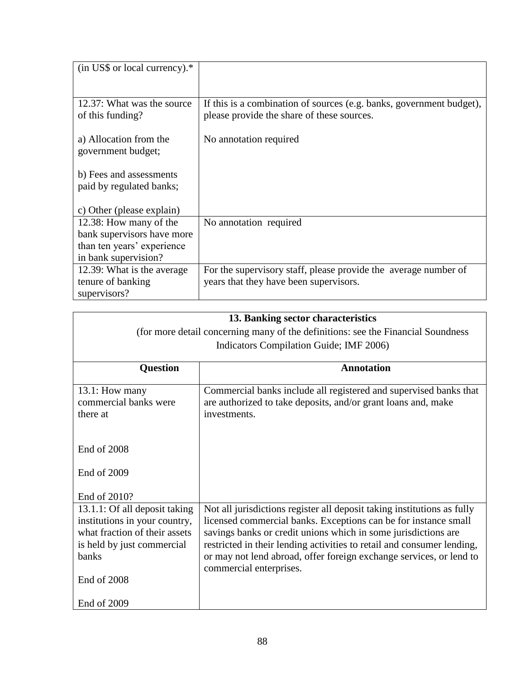| $(in$ US\$ or local currency). $*$             |                                                                                                                    |
|------------------------------------------------|--------------------------------------------------------------------------------------------------------------------|
|                                                |                                                                                                                    |
| 12.37: What was the source<br>of this funding? | If this is a combination of sources (e.g. banks, government budget),<br>please provide the share of these sources. |
| a) Allocation from the<br>government budget;   | No annotation required                                                                                             |
| b) Fees and assessments                        |                                                                                                                    |
| paid by regulated banks;                       |                                                                                                                    |
| c) Other (please explain)                      |                                                                                                                    |
| 12.38: How many of the                         | No annotation required                                                                                             |
| bank supervisors have more                     |                                                                                                                    |
| than ten years' experience                     |                                                                                                                    |
| in bank supervision?                           |                                                                                                                    |
| 12.39: What is the average                     | For the supervisory staff, please provide the average number of                                                    |
| tenure of banking                              | years that they have been supervisors.                                                                             |
| supervisors?                                   |                                                                                                                    |

|                                                                | 13. Banking sector characteristics                                                                                                                 |  |
|----------------------------------------------------------------|----------------------------------------------------------------------------------------------------------------------------------------------------|--|
|                                                                | (for more detail concerning many of the definitions: see the Financial Soundness                                                                   |  |
|                                                                | Indicators Compilation Guide; IMF 2006)                                                                                                            |  |
| <b>Question</b>                                                | <b>Annotation</b>                                                                                                                                  |  |
| $13.1$ : How many<br>commercial banks were<br>there at         | Commercial banks include all registered and supervised banks that<br>are authorized to take deposits, and/or grant loans and, make<br>investments. |  |
| <b>End of 2008</b>                                             |                                                                                                                                                    |  |
| End of 2009                                                    |                                                                                                                                                    |  |
| End of 2010?                                                   |                                                                                                                                                    |  |
| 13.1.1: Of all deposit taking<br>institutions in your country, | Not all jurisdictions register all deposit taking institutions as fully<br>licensed commercial banks. Exceptions can be for instance small         |  |
| what fraction of their assets                                  | savings banks or credit unions which in some jurisdictions are                                                                                     |  |
| is held by just commercial                                     | restricted in their lending activities to retail and consumer lending,                                                                             |  |
| banks                                                          | or may not lend abroad, offer foreign exchange services, or lend to                                                                                |  |
|                                                                | commercial enterprises.                                                                                                                            |  |
| End of 2008                                                    |                                                                                                                                                    |  |
| End of 2009                                                    |                                                                                                                                                    |  |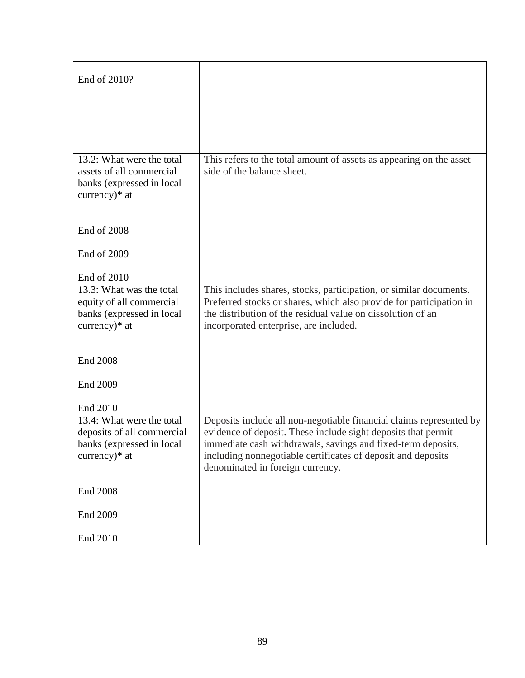| End of 2010?                                                                                           |                                                                                                                                    |
|--------------------------------------------------------------------------------------------------------|------------------------------------------------------------------------------------------------------------------------------------|
|                                                                                                        |                                                                                                                                    |
|                                                                                                        |                                                                                                                                    |
| 13.2: What were the total<br>assets of all commercial<br>banks (expressed in local<br>currency) $*$ at | This refers to the total amount of assets as appearing on the asset<br>side of the balance sheet.                                  |
| End of 2008                                                                                            |                                                                                                                                    |
| End of 2009                                                                                            |                                                                                                                                    |
| End of 2010                                                                                            |                                                                                                                                    |
| 13.3: What was the total                                                                               | This includes shares, stocks, participation, or similar documents.                                                                 |
| equity of all commercial<br>banks (expressed in local                                                  | Preferred stocks or shares, which also provide for participation in<br>the distribution of the residual value on dissolution of an |
| currency) $*$ at                                                                                       | incorporated enterprise, are included.                                                                                             |
|                                                                                                        |                                                                                                                                    |
| <b>End 2008</b>                                                                                        |                                                                                                                                    |
| End 2009                                                                                               |                                                                                                                                    |
| End 2010                                                                                               |                                                                                                                                    |
| 13.4: What were the total                                                                              | Deposits include all non-negotiable financial claims represented by                                                                |
| deposits of all commercial<br>banks (expressed in local                                                | evidence of deposit. These include sight deposits that permit<br>immediate cash withdrawals, savings and fixed-term deposits,      |
| currency) $*$ at                                                                                       | including nonnegotiable certificates of deposit and deposits                                                                       |
|                                                                                                        | denominated in foreign currency.                                                                                                   |
| <b>End 2008</b>                                                                                        |                                                                                                                                    |
| End 2009                                                                                               |                                                                                                                                    |
| End 2010                                                                                               |                                                                                                                                    |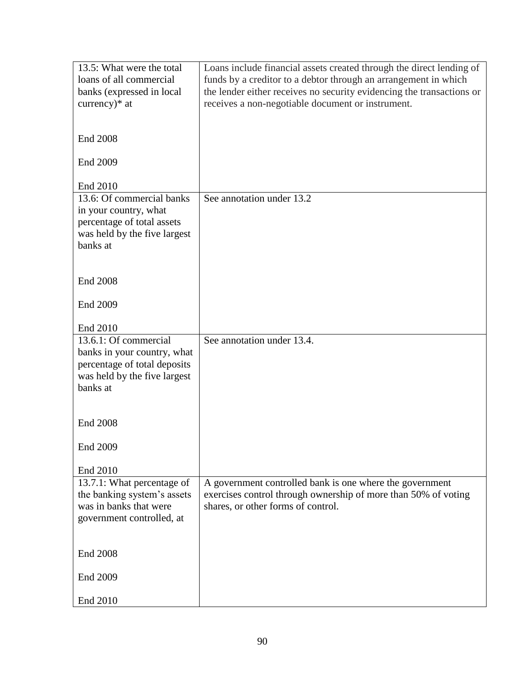| loans of all commercial<br>funds by a creditor to a debtor through an arrangement in which<br>the lender either receives no security evidencing the transactions or<br>banks (expressed in local<br>currency)* at<br>receives a non-negotiable document or instrument.<br><b>End 2008</b><br>End 2009<br>End 2010<br>13.6: Of commercial banks<br>See annotation under 13.2<br>in your country, what<br>percentage of total assets<br>was held by the five largest<br>banks at<br><b>End 2008</b><br>End 2009<br>End 2010<br>See annotation under 13.4.<br>13.6.1: Of commercial<br>banks in your country, what<br>percentage of total deposits<br>was held by the five largest<br>banks at<br><b>End 2008</b> |
|----------------------------------------------------------------------------------------------------------------------------------------------------------------------------------------------------------------------------------------------------------------------------------------------------------------------------------------------------------------------------------------------------------------------------------------------------------------------------------------------------------------------------------------------------------------------------------------------------------------------------------------------------------------------------------------------------------------|
|                                                                                                                                                                                                                                                                                                                                                                                                                                                                                                                                                                                                                                                                                                                |
|                                                                                                                                                                                                                                                                                                                                                                                                                                                                                                                                                                                                                                                                                                                |
|                                                                                                                                                                                                                                                                                                                                                                                                                                                                                                                                                                                                                                                                                                                |
|                                                                                                                                                                                                                                                                                                                                                                                                                                                                                                                                                                                                                                                                                                                |
|                                                                                                                                                                                                                                                                                                                                                                                                                                                                                                                                                                                                                                                                                                                |
|                                                                                                                                                                                                                                                                                                                                                                                                                                                                                                                                                                                                                                                                                                                |
|                                                                                                                                                                                                                                                                                                                                                                                                                                                                                                                                                                                                                                                                                                                |
|                                                                                                                                                                                                                                                                                                                                                                                                                                                                                                                                                                                                                                                                                                                |
|                                                                                                                                                                                                                                                                                                                                                                                                                                                                                                                                                                                                                                                                                                                |
|                                                                                                                                                                                                                                                                                                                                                                                                                                                                                                                                                                                                                                                                                                                |
|                                                                                                                                                                                                                                                                                                                                                                                                                                                                                                                                                                                                                                                                                                                |
|                                                                                                                                                                                                                                                                                                                                                                                                                                                                                                                                                                                                                                                                                                                |
|                                                                                                                                                                                                                                                                                                                                                                                                                                                                                                                                                                                                                                                                                                                |
|                                                                                                                                                                                                                                                                                                                                                                                                                                                                                                                                                                                                                                                                                                                |
|                                                                                                                                                                                                                                                                                                                                                                                                                                                                                                                                                                                                                                                                                                                |
|                                                                                                                                                                                                                                                                                                                                                                                                                                                                                                                                                                                                                                                                                                                |
|                                                                                                                                                                                                                                                                                                                                                                                                                                                                                                                                                                                                                                                                                                                |
|                                                                                                                                                                                                                                                                                                                                                                                                                                                                                                                                                                                                                                                                                                                |
|                                                                                                                                                                                                                                                                                                                                                                                                                                                                                                                                                                                                                                                                                                                |
|                                                                                                                                                                                                                                                                                                                                                                                                                                                                                                                                                                                                                                                                                                                |
|                                                                                                                                                                                                                                                                                                                                                                                                                                                                                                                                                                                                                                                                                                                |
|                                                                                                                                                                                                                                                                                                                                                                                                                                                                                                                                                                                                                                                                                                                |
|                                                                                                                                                                                                                                                                                                                                                                                                                                                                                                                                                                                                                                                                                                                |
|                                                                                                                                                                                                                                                                                                                                                                                                                                                                                                                                                                                                                                                                                                                |
|                                                                                                                                                                                                                                                                                                                                                                                                                                                                                                                                                                                                                                                                                                                |
|                                                                                                                                                                                                                                                                                                                                                                                                                                                                                                                                                                                                                                                                                                                |
|                                                                                                                                                                                                                                                                                                                                                                                                                                                                                                                                                                                                                                                                                                                |
|                                                                                                                                                                                                                                                                                                                                                                                                                                                                                                                                                                                                                                                                                                                |
|                                                                                                                                                                                                                                                                                                                                                                                                                                                                                                                                                                                                                                                                                                                |
|                                                                                                                                                                                                                                                                                                                                                                                                                                                                                                                                                                                                                                                                                                                |
| End 2009                                                                                                                                                                                                                                                                                                                                                                                                                                                                                                                                                                                                                                                                                                       |
|                                                                                                                                                                                                                                                                                                                                                                                                                                                                                                                                                                                                                                                                                                                |
| End 2010                                                                                                                                                                                                                                                                                                                                                                                                                                                                                                                                                                                                                                                                                                       |
| 13.7.1: What percentage of<br>A government controlled bank is one where the government                                                                                                                                                                                                                                                                                                                                                                                                                                                                                                                                                                                                                         |
| the banking system's assets<br>exercises control through ownership of more than 50% of voting                                                                                                                                                                                                                                                                                                                                                                                                                                                                                                                                                                                                                  |
| was in banks that were<br>shares, or other forms of control.                                                                                                                                                                                                                                                                                                                                                                                                                                                                                                                                                                                                                                                   |
| government controlled, at                                                                                                                                                                                                                                                                                                                                                                                                                                                                                                                                                                                                                                                                                      |
|                                                                                                                                                                                                                                                                                                                                                                                                                                                                                                                                                                                                                                                                                                                |
|                                                                                                                                                                                                                                                                                                                                                                                                                                                                                                                                                                                                                                                                                                                |
| <b>End 2008</b>                                                                                                                                                                                                                                                                                                                                                                                                                                                                                                                                                                                                                                                                                                |
|                                                                                                                                                                                                                                                                                                                                                                                                                                                                                                                                                                                                                                                                                                                |
| End 2009                                                                                                                                                                                                                                                                                                                                                                                                                                                                                                                                                                                                                                                                                                       |
|                                                                                                                                                                                                                                                                                                                                                                                                                                                                                                                                                                                                                                                                                                                |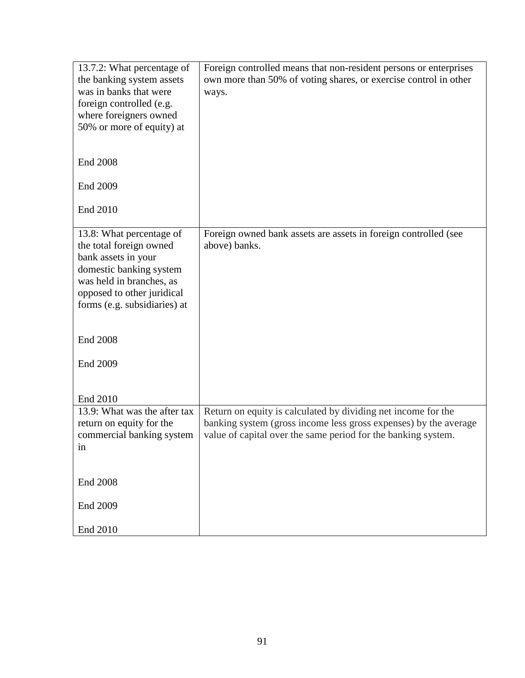| 13.7.2: What percentage of<br>the banking system assets<br>was in banks that were<br>foreign controlled (e.g.<br>where foreigners owned<br>50% or more of equity) at                                                           | Foreign controlled means that non-resident persons or enterprises<br>own more than 50% of voting shares, or exercise control in other<br>ways.                                                     |
|--------------------------------------------------------------------------------------------------------------------------------------------------------------------------------------------------------------------------------|----------------------------------------------------------------------------------------------------------------------------------------------------------------------------------------------------|
| <b>End 2008</b>                                                                                                                                                                                                                |                                                                                                                                                                                                    |
| End 2009                                                                                                                                                                                                                       |                                                                                                                                                                                                    |
| End 2010                                                                                                                                                                                                                       |                                                                                                                                                                                                    |
| 13.8: What percentage of<br>the total foreign owned<br>bank assets in your<br>domestic banking system<br>was held in branches, as<br>opposed to other juridical<br>forms (e.g. subsidiaries) at<br><b>End 2008</b><br>End 2009 | Foreign owned bank assets are assets in foreign controlled (see<br>above) banks.                                                                                                                   |
| End 2010                                                                                                                                                                                                                       |                                                                                                                                                                                                    |
| 13.9: What was the after tax<br>return on equity for the<br>commercial banking system<br>1n                                                                                                                                    | Return on equity is calculated by dividing net income for the<br>banking system (gross income less gross expenses) by the average<br>value of capital over the same period for the banking system. |
| <b>End 2008</b>                                                                                                                                                                                                                |                                                                                                                                                                                                    |
| End 2009                                                                                                                                                                                                                       |                                                                                                                                                                                                    |
| End 2010                                                                                                                                                                                                                       |                                                                                                                                                                                                    |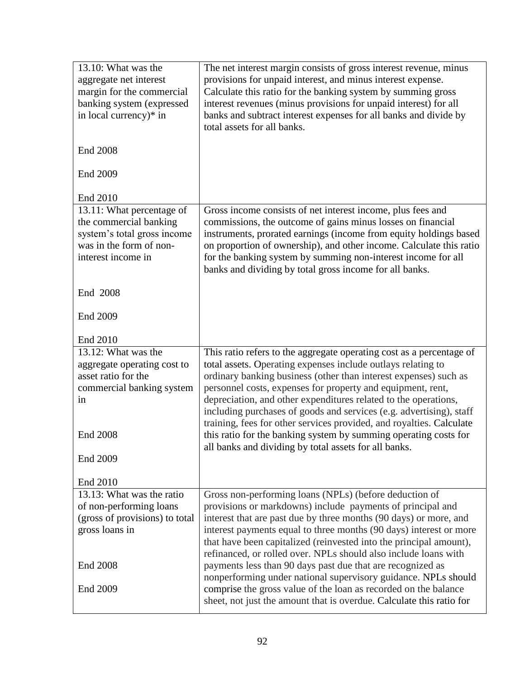| 13.10: What was the<br>aggregate net interest<br>margin for the commercial<br>banking system (expressed<br>in local currency)* in   | The net interest margin consists of gross interest revenue, minus<br>provisions for unpaid interest, and minus interest expense.<br>Calculate this ratio for the banking system by summing gross<br>interest revenues (minus provisions for unpaid interest) for all<br>banks and subtract interest expenses for all banks and divide by<br>total assets for all banks.                                                                                                                   |
|-------------------------------------------------------------------------------------------------------------------------------------|-------------------------------------------------------------------------------------------------------------------------------------------------------------------------------------------------------------------------------------------------------------------------------------------------------------------------------------------------------------------------------------------------------------------------------------------------------------------------------------------|
| <b>End 2008</b>                                                                                                                     |                                                                                                                                                                                                                                                                                                                                                                                                                                                                                           |
| End 2009                                                                                                                            |                                                                                                                                                                                                                                                                                                                                                                                                                                                                                           |
| End 2010                                                                                                                            |                                                                                                                                                                                                                                                                                                                                                                                                                                                                                           |
| 13.11: What percentage of<br>the commercial banking<br>system's total gross income<br>was in the form of non-<br>interest income in | Gross income consists of net interest income, plus fees and<br>commissions, the outcome of gains minus losses on financial<br>instruments, prorated earnings (income from equity holdings based<br>on proportion of ownership), and other income. Calculate this ratio<br>for the banking system by summing non-interest income for all<br>banks and dividing by total gross income for all banks.                                                                                        |
| End 2008                                                                                                                            |                                                                                                                                                                                                                                                                                                                                                                                                                                                                                           |
| End 2009                                                                                                                            |                                                                                                                                                                                                                                                                                                                                                                                                                                                                                           |
| End 2010                                                                                                                            |                                                                                                                                                                                                                                                                                                                                                                                                                                                                                           |
| 13.12: What was the<br>aggregate operating cost to<br>asset ratio for the<br>commercial banking system<br>in                        | This ratio refers to the aggregate operating cost as a percentage of<br>total assets. Operating expenses include outlays relating to<br>ordinary banking business (other than interest expenses) such as<br>personnel costs, expenses for property and equipment, rent,<br>depreciation, and other expenditures related to the operations,<br>including purchases of goods and services (e.g. advertising), staff<br>training, fees for other services provided, and royalties. Calculate |
| <b>End 2008</b>                                                                                                                     | this ratio for the banking system by summing operating costs for<br>all banks and dividing by total assets for all banks.                                                                                                                                                                                                                                                                                                                                                                 |
| End 2009                                                                                                                            |                                                                                                                                                                                                                                                                                                                                                                                                                                                                                           |
| End 2010                                                                                                                            |                                                                                                                                                                                                                                                                                                                                                                                                                                                                                           |
| 13.13: What was the ratio                                                                                                           | Gross non-performing loans (NPLs) (before deduction of                                                                                                                                                                                                                                                                                                                                                                                                                                    |
| of non-performing loans                                                                                                             | provisions or markdowns) include payments of principal and                                                                                                                                                                                                                                                                                                                                                                                                                                |
| (gross of provisions) to total<br>gross loans in                                                                                    | interest that are past due by three months (90 days) or more, and<br>interest payments equal to three months (90 days) interest or more<br>that have been capitalized (reinvested into the principal amount),<br>refinanced, or rolled over. NPLs should also include loans with                                                                                                                                                                                                          |
| <b>End 2008</b>                                                                                                                     | payments less than 90 days past due that are recognized as<br>nonperforming under national supervisory guidance. NPLs should                                                                                                                                                                                                                                                                                                                                                              |
| End 2009                                                                                                                            | comprise the gross value of the loan as recorded on the balance<br>sheet, not just the amount that is overdue. Calculate this ratio for                                                                                                                                                                                                                                                                                                                                                   |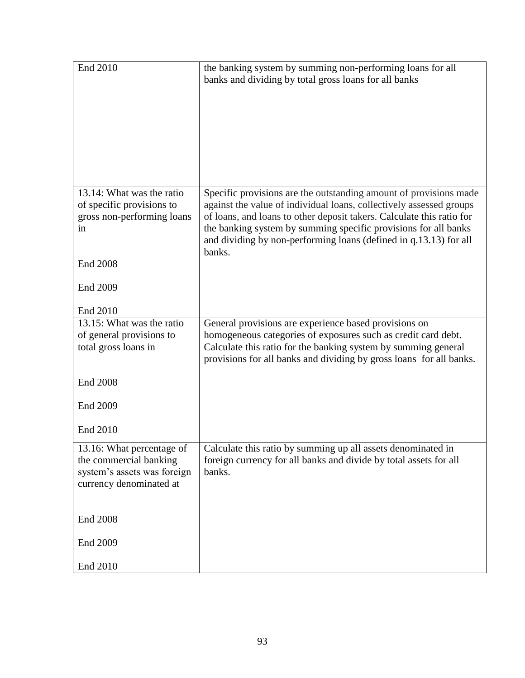| End 2010                                                                                                      | the banking system by summing non-performing loans for all<br>banks and dividing by total gross loans for all banks                                                                                                                                                                                                                                                 |
|---------------------------------------------------------------------------------------------------------------|---------------------------------------------------------------------------------------------------------------------------------------------------------------------------------------------------------------------------------------------------------------------------------------------------------------------------------------------------------------------|
| 13.14: What was the ratio<br>of specific provisions to<br>gross non-performing loans<br><sub>in</sub>         | Specific provisions are the outstanding amount of provisions made<br>against the value of individual loans, collectively assessed groups<br>of loans, and loans to other deposit takers. Calculate this ratio for<br>the banking system by summing specific provisions for all banks<br>and dividing by non-performing loans (defined in q.13.13) for all<br>banks. |
| <b>End 2008</b>                                                                                               |                                                                                                                                                                                                                                                                                                                                                                     |
| End 2009                                                                                                      |                                                                                                                                                                                                                                                                                                                                                                     |
| End 2010                                                                                                      |                                                                                                                                                                                                                                                                                                                                                                     |
| 13.15: What was the ratio<br>of general provisions to<br>total gross loans in                                 | General provisions are experience based provisions on<br>homogeneous categories of exposures such as credit card debt.<br>Calculate this ratio for the banking system by summing general<br>provisions for all banks and dividing by gross loans for all banks.                                                                                                     |
| <b>End 2008</b>                                                                                               |                                                                                                                                                                                                                                                                                                                                                                     |
| End 2009                                                                                                      |                                                                                                                                                                                                                                                                                                                                                                     |
| End 2010                                                                                                      |                                                                                                                                                                                                                                                                                                                                                                     |
| 13.16: What percentage of<br>the commercial banking<br>system's assets was foreign<br>currency denominated at | Calculate this ratio by summing up all assets denominated in<br>foreign currency for all banks and divide by total assets for all<br>banks.                                                                                                                                                                                                                         |
| <b>End 2008</b>                                                                                               |                                                                                                                                                                                                                                                                                                                                                                     |
| End 2009                                                                                                      |                                                                                                                                                                                                                                                                                                                                                                     |
| End 2010                                                                                                      |                                                                                                                                                                                                                                                                                                                                                                     |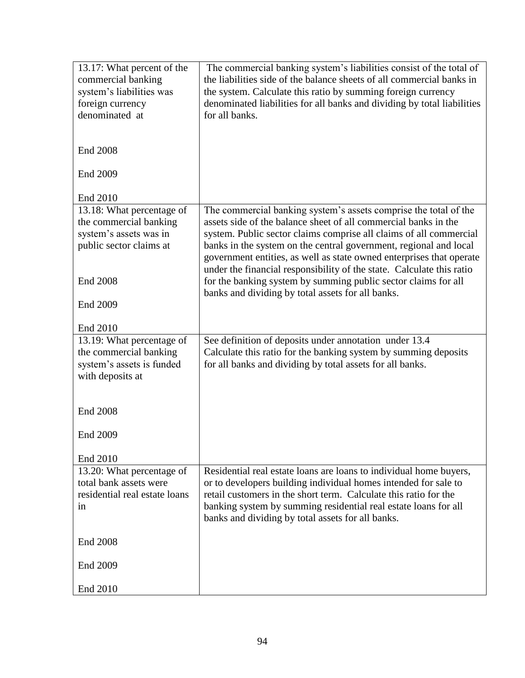| 13.17: What percent of the<br>commercial banking<br>system's liabilities was<br>foreign currency<br>denominated at | The commercial banking system's liabilities consist of the total of<br>the liabilities side of the balance sheets of all commercial banks in<br>the system. Calculate this ratio by summing foreign currency<br>denominated liabilities for all banks and dividing by total liabilities<br>for all banks. |
|--------------------------------------------------------------------------------------------------------------------|-----------------------------------------------------------------------------------------------------------------------------------------------------------------------------------------------------------------------------------------------------------------------------------------------------------|
| <b>End 2008</b>                                                                                                    |                                                                                                                                                                                                                                                                                                           |
| End 2009                                                                                                           |                                                                                                                                                                                                                                                                                                           |
| End 2010                                                                                                           |                                                                                                                                                                                                                                                                                                           |
| 13.18: What percentage of                                                                                          | The commercial banking system's assets comprise the total of the                                                                                                                                                                                                                                          |
| the commercial banking                                                                                             | assets side of the balance sheet of all commercial banks in the                                                                                                                                                                                                                                           |
| system's assets was in<br>public sector claims at                                                                  | system. Public sector claims comprise all claims of all commercial<br>banks in the system on the central government, regional and local<br>government entities, as well as state owned enterprises that operate                                                                                           |
| <b>End 2008</b>                                                                                                    | under the financial responsibility of the state. Calculate this ratio<br>for the banking system by summing public sector claims for all<br>banks and dividing by total assets for all banks.                                                                                                              |
| End 2009                                                                                                           |                                                                                                                                                                                                                                                                                                           |
| End 2010                                                                                                           |                                                                                                                                                                                                                                                                                                           |
| 13.19: What percentage of<br>the commercial banking<br>system's assets is funded<br>with deposits at               | See definition of deposits under annotation under 13.4<br>Calculate this ratio for the banking system by summing deposits<br>for all banks and dividing by total assets for all banks.                                                                                                                    |
| <b>End 2008</b>                                                                                                    |                                                                                                                                                                                                                                                                                                           |
| End 2009                                                                                                           |                                                                                                                                                                                                                                                                                                           |
| End 2010                                                                                                           |                                                                                                                                                                                                                                                                                                           |
| 13.20: What percentage of                                                                                          | Residential real estate loans are loans to individual home buyers,                                                                                                                                                                                                                                        |
| total bank assets were<br>residential real estate loans                                                            | or to developers building individual homes intended for sale to<br>retail customers in the short term. Calculate this ratio for the                                                                                                                                                                       |
| in                                                                                                                 | banking system by summing residential real estate loans for all<br>banks and dividing by total assets for all banks.                                                                                                                                                                                      |
| <b>End 2008</b>                                                                                                    |                                                                                                                                                                                                                                                                                                           |
| End 2009                                                                                                           |                                                                                                                                                                                                                                                                                                           |
| End 2010                                                                                                           |                                                                                                                                                                                                                                                                                                           |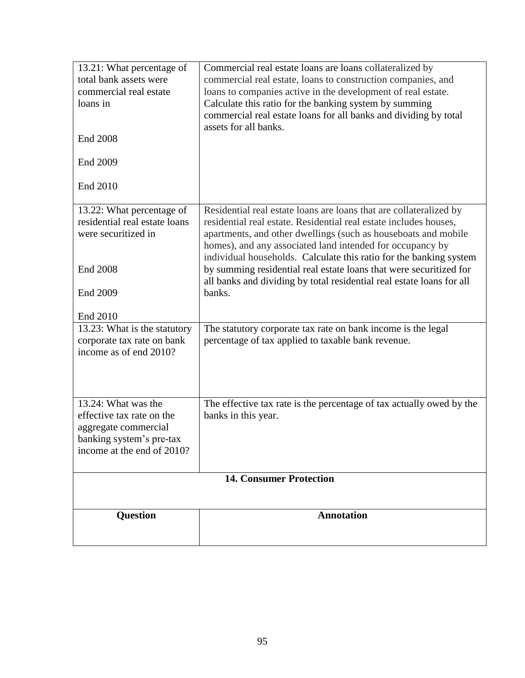| 13.21: What percentage of<br>total bank assets were<br>commercial real estate<br>loans in<br><b>End 2008</b><br>End 2009<br>End 2010 | Commercial real estate loans are loans collateralized by<br>commercial real estate, loans to construction companies, and<br>loans to companies active in the development of real estate.<br>Calculate this ratio for the banking system by summing<br>commercial real estate loans for all banks and dividing by total<br>assets for all banks.                                                                                                                                                       |
|--------------------------------------------------------------------------------------------------------------------------------------|-------------------------------------------------------------------------------------------------------------------------------------------------------------------------------------------------------------------------------------------------------------------------------------------------------------------------------------------------------------------------------------------------------------------------------------------------------------------------------------------------------|
| 13.22: What percentage of<br>residential real estate loans<br>were securitized in<br><b>End 2008</b><br>End 2009<br>End 2010         | Residential real estate loans are loans that are collateralized by<br>residential real estate. Residential real estate includes houses,<br>apartments, and other dwellings (such as houseboats and mobile<br>homes), and any associated land intended for occupancy by<br>individual households. Calculate this ratio for the banking system<br>by summing residential real estate loans that were securitized for<br>all banks and dividing by total residential real estate loans for all<br>banks. |
| 13.23: What is the statutory<br>corporate tax rate on bank<br>income as of end 2010?                                                 | The statutory corporate tax rate on bank income is the legal<br>percentage of tax applied to taxable bank revenue.                                                                                                                                                                                                                                                                                                                                                                                    |
| 13.24: What was the<br>effective tax rate on the<br>aggregate commercial<br>banking system's pre-tax<br>income at the end of 2010?   | The effective tax rate is the percentage of tax actually owed by the<br>banks in this year.                                                                                                                                                                                                                                                                                                                                                                                                           |
| <b>14. Consumer Protection</b>                                                                                                       |                                                                                                                                                                                                                                                                                                                                                                                                                                                                                                       |
| <b>Question</b>                                                                                                                      | <b>Annotation</b>                                                                                                                                                                                                                                                                                                                                                                                                                                                                                     |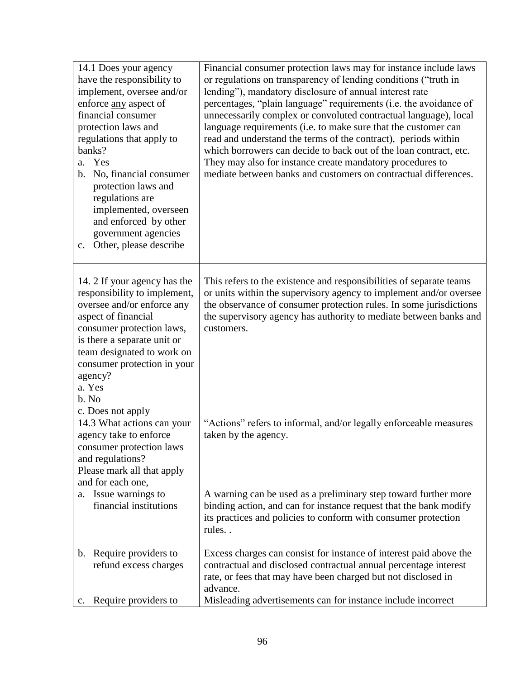| 14.1 Does your agency<br>have the responsibility to<br>implement, oversee and/or<br>enforce any aspect of<br>financial consumer<br>protection laws and<br>regulations that apply to<br>banks?<br>a. Yes<br>No, financial consumer<br>b.<br>protection laws and<br>regulations are<br>implemented, overseen<br>and enforced by other<br>government agencies<br>Other, please describe<br>$c_{\cdot}$ | Financial consumer protection laws may for instance include laws<br>or regulations on transparency of lending conditions ("truth in<br>lending"), mandatory disclosure of annual interest rate<br>percentages, "plain language" requirements (i.e. the avoidance of<br>unnecessarily complex or convoluted contractual language), local<br>language requirements (i.e. to make sure that the customer can<br>read and understand the terms of the contract), periods within<br>which borrowers can decide to back out of the loan contract, etc.<br>They may also for instance create mandatory procedures to<br>mediate between banks and customers on contractual differences. |
|-----------------------------------------------------------------------------------------------------------------------------------------------------------------------------------------------------------------------------------------------------------------------------------------------------------------------------------------------------------------------------------------------------|----------------------------------------------------------------------------------------------------------------------------------------------------------------------------------------------------------------------------------------------------------------------------------------------------------------------------------------------------------------------------------------------------------------------------------------------------------------------------------------------------------------------------------------------------------------------------------------------------------------------------------------------------------------------------------|
| 14. 2 If your agency has the<br>responsibility to implement,<br>oversee and/or enforce any<br>aspect of financial<br>consumer protection laws,<br>is there a separate unit or<br>team designated to work on<br>consumer protection in your<br>agency?<br>a. Yes<br>b. No<br>c. Does not apply                                                                                                       | This refers to the existence and responsibilities of separate teams<br>or units within the supervisory agency to implement and/or oversee<br>the observance of consumer protection rules. In some jurisdictions<br>the supervisory agency has authority to mediate between banks and<br>customers.                                                                                                                                                                                                                                                                                                                                                                               |
| 14.3 What actions can your<br>agency take to enforce<br>consumer protection laws<br>and regulations?<br>Please mark all that apply<br>and for each one,                                                                                                                                                                                                                                             | "Actions" refers to informal, and/or legally enforceable measures<br>taken by the agency.                                                                                                                                                                                                                                                                                                                                                                                                                                                                                                                                                                                        |
| Issue warnings to<br>a.<br>financial institutions                                                                                                                                                                                                                                                                                                                                                   | A warning can be used as a preliminary step toward further more<br>binding action, and can for instance request that the bank modify<br>its practices and policies to conform with consumer protection<br>rules                                                                                                                                                                                                                                                                                                                                                                                                                                                                  |
| Require providers to<br>$\mathbf{b}$ .<br>refund excess charges<br>Require providers to<br>c.                                                                                                                                                                                                                                                                                                       | Excess charges can consist for instance of interest paid above the<br>contractual and disclosed contractual annual percentage interest<br>rate, or fees that may have been charged but not disclosed in<br>advance.<br>Misleading advertisements can for instance include incorrect                                                                                                                                                                                                                                                                                                                                                                                              |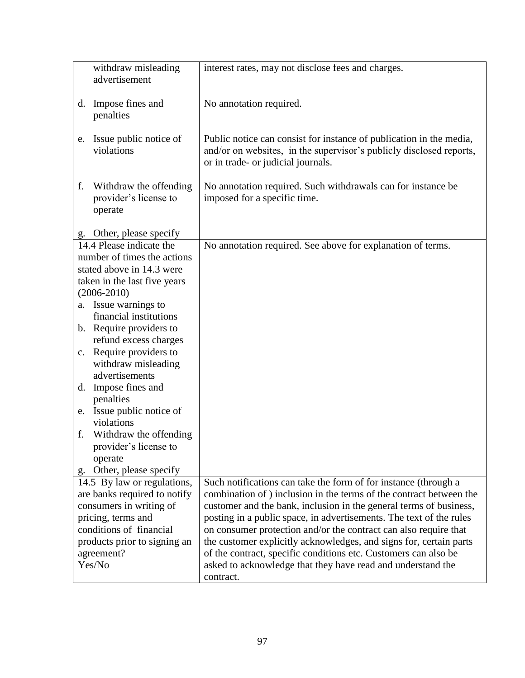|    | withdraw misleading<br>advertisement                       | interest rates, may not disclose fees and charges.                                                                                                                               |
|----|------------------------------------------------------------|----------------------------------------------------------------------------------------------------------------------------------------------------------------------------------|
|    |                                                            |                                                                                                                                                                                  |
|    | d. Impose fines and<br>penalties                           | No annotation required.                                                                                                                                                          |
| e. | Issue public notice of<br>violations                       | Public notice can consist for instance of publication in the media,<br>and/or on websites, in the supervisor's publicly disclosed reports,<br>or in trade- or judicial journals. |
| f. | Withdraw the offending<br>provider's license to<br>operate | No annotation required. Such withdrawals can for instance be<br>imposed for a specific time.                                                                                     |
|    | g. Other, please specify                                   |                                                                                                                                                                                  |
|    | 14.4 Please indicate the<br>number of times the actions    | No annotation required. See above for explanation of terms.                                                                                                                      |
|    | stated above in 14.3 were                                  |                                                                                                                                                                                  |
|    | taken in the last five years                               |                                                                                                                                                                                  |
|    | $(2006 - 2010)$                                            |                                                                                                                                                                                  |
|    | a. Issue warnings to                                       |                                                                                                                                                                                  |
|    | financial institutions                                     |                                                                                                                                                                                  |
|    | b. Require providers to                                    |                                                                                                                                                                                  |
|    | refund excess charges                                      |                                                                                                                                                                                  |
| c. | Require providers to                                       |                                                                                                                                                                                  |
|    | withdraw misleading<br>advertisements                      |                                                                                                                                                                                  |
| d. | Impose fines and                                           |                                                                                                                                                                                  |
|    | penalties                                                  |                                                                                                                                                                                  |
| e. | Issue public notice of                                     |                                                                                                                                                                                  |
|    | violations                                                 |                                                                                                                                                                                  |
| f. | Withdraw the offending                                     |                                                                                                                                                                                  |
|    | provider's license to                                      |                                                                                                                                                                                  |
|    | operate                                                    |                                                                                                                                                                                  |
| g. | Other, please specify                                      |                                                                                                                                                                                  |
|    | 14.5 By law or regulations,                                | Such notifications can take the form of for instance (through a                                                                                                                  |
|    | are banks required to notify                               | combination of ) inclusion in the terms of the contract between the                                                                                                              |
|    | consumers in writing of                                    | customer and the bank, inclusion in the general terms of business,                                                                                                               |
|    | pricing, terms and                                         | posting in a public space, in advertisements. The text of the rules                                                                                                              |
|    | conditions of financial                                    | on consumer protection and/or the contract can also require that                                                                                                                 |
|    | products prior to signing an                               | the customer explicitly acknowledges, and signs for, certain parts                                                                                                               |
|    | agreement?                                                 | of the contract, specific conditions etc. Customers can also be                                                                                                                  |
|    | Yes/No                                                     | asked to acknowledge that they have read and understand the                                                                                                                      |
|    |                                                            | contract.                                                                                                                                                                        |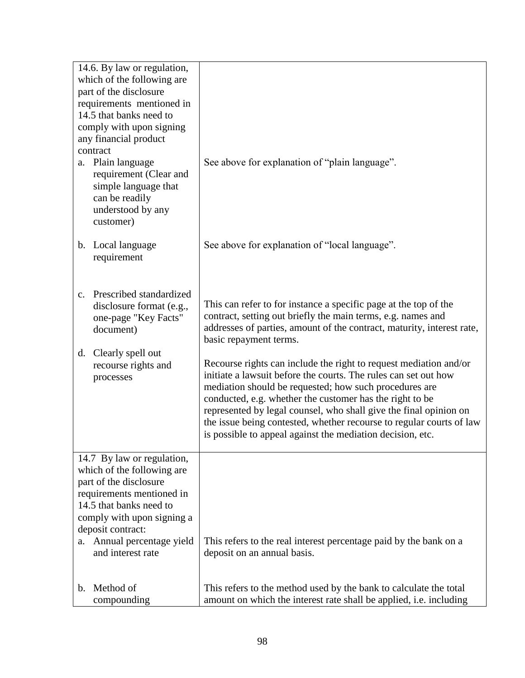|                        | 14.6. By law or regulation,                 |                                                                                                                                           |
|------------------------|---------------------------------------------|-------------------------------------------------------------------------------------------------------------------------------------------|
|                        | which of the following are                  |                                                                                                                                           |
| part of the disclosure |                                             |                                                                                                                                           |
|                        | requirements mentioned in                   |                                                                                                                                           |
|                        | 14.5 that banks need to                     |                                                                                                                                           |
|                        | comply with upon signing                    |                                                                                                                                           |
|                        | any financial product<br>contract           |                                                                                                                                           |
|                        |                                             |                                                                                                                                           |
|                        | a. Plain language<br>requirement (Clear and | See above for explanation of "plain language".                                                                                            |
|                        | simple language that                        |                                                                                                                                           |
|                        | can be readily                              |                                                                                                                                           |
|                        | understood by any                           |                                                                                                                                           |
|                        | customer)                                   |                                                                                                                                           |
|                        |                                             |                                                                                                                                           |
|                        | b. Local language                           | See above for explanation of "local language".                                                                                            |
|                        | requirement                                 |                                                                                                                                           |
|                        |                                             |                                                                                                                                           |
| $c_{\cdot}$            | Prescribed standardized                     |                                                                                                                                           |
|                        | disclosure format (e.g.,                    | This can refer to for instance a specific page at the top of the                                                                          |
|                        | one-page "Key Facts"                        | contract, setting out briefly the main terms, e.g. names and                                                                              |
|                        | document)                                   | addresses of parties, amount of the contract, maturity, interest rate,                                                                    |
|                        |                                             | basic repayment terms.                                                                                                                    |
| d.                     | Clearly spell out                           |                                                                                                                                           |
|                        | recourse rights and                         | Recourse rights can include the right to request mediation and/or                                                                         |
|                        | processes                                   | initiate a lawsuit before the courts. The rules can set out how                                                                           |
|                        |                                             | mediation should be requested; how such procedures are                                                                                    |
|                        |                                             | conducted, e.g. whether the customer has the right to be                                                                                  |
|                        |                                             | represented by legal counsel, who shall give the final opinion on<br>the issue being contested, whether recourse to regular courts of law |
|                        |                                             | is possible to appeal against the mediation decision, etc.                                                                                |
|                        |                                             |                                                                                                                                           |
|                        | 14.7 By law or regulation,                  |                                                                                                                                           |
|                        | which of the following are                  |                                                                                                                                           |
|                        | part of the disclosure                      |                                                                                                                                           |
|                        | requirements mentioned in                   |                                                                                                                                           |
|                        | 14.5 that banks need to                     |                                                                                                                                           |
|                        | comply with upon signing a                  |                                                                                                                                           |
|                        | deposit contract:                           |                                                                                                                                           |
|                        | a. Annual percentage yield                  | This refers to the real interest percentage paid by the bank on a                                                                         |
|                        | and interest rate                           | deposit on an annual basis.                                                                                                               |
|                        |                                             |                                                                                                                                           |
|                        | b. Method of                                | This refers to the method used by the bank to calculate the total                                                                         |
|                        | compounding                                 | amount on which the interest rate shall be applied, i.e. including                                                                        |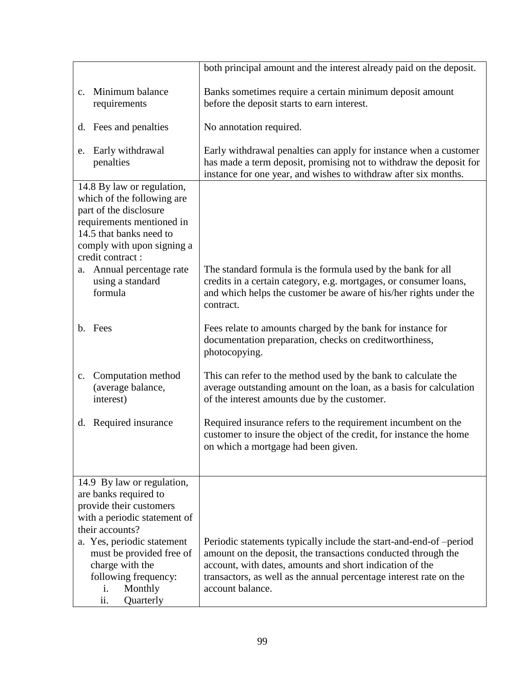| both principal amount and the interest already paid on the deposit.                                                                    |
|----------------------------------------------------------------------------------------------------------------------------------------|
| Banks sometimes require a certain minimum deposit amount                                                                               |
| before the deposit starts to earn interest.                                                                                            |
| No annotation required.                                                                                                                |
| Early withdrawal penalties can apply for instance when a customer                                                                      |
| has made a term deposit, promising not to withdraw the deposit for<br>instance for one year, and wishes to withdraw after six months.  |
|                                                                                                                                        |
|                                                                                                                                        |
|                                                                                                                                        |
|                                                                                                                                        |
| The standard formula is the formula used by the bank for all                                                                           |
| credits in a certain category, e.g. mortgages, or consumer loans,<br>and which helps the customer be aware of his/her rights under the |
| contract.                                                                                                                              |
| Fees relate to amounts charged by the bank for instance for                                                                            |
| documentation preparation, checks on creditworthiness,<br>photocopying.                                                                |
| This can refer to the method used by the bank to calculate the                                                                         |
| average outstanding amount on the loan, as a basis for calculation<br>of the interest amounts due by the customer.                     |
| Required insurance refers to the requirement incumbent on the                                                                          |
| customer to insure the object of the credit, for instance the home<br>on which a mortgage had been given.                              |
|                                                                                                                                        |
|                                                                                                                                        |
|                                                                                                                                        |
|                                                                                                                                        |
| Periodic statements typically include the start-and-end-of-period                                                                      |
| amount on the deposit, the transactions conducted through the<br>account, with dates, amounts and short indication of the              |
| transactors, as well as the annual percentage interest rate on the                                                                     |
| account balance.                                                                                                                       |
|                                                                                                                                        |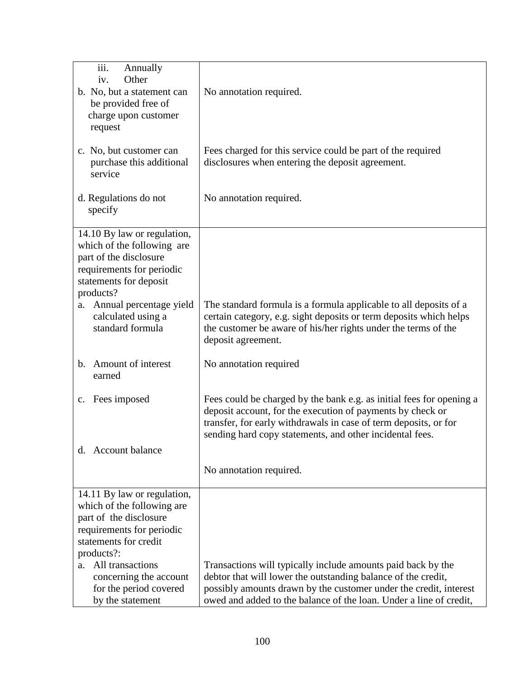| iii.<br>Annually<br>Other<br>iv.<br>b. No, but a statement can<br>be provided free of<br>charge upon customer<br>request                                | No annotation required.                                                                                                                                                                                                                                                  |
|---------------------------------------------------------------------------------------------------------------------------------------------------------|--------------------------------------------------------------------------------------------------------------------------------------------------------------------------------------------------------------------------------------------------------------------------|
| c. No, but customer can<br>purchase this additional<br>service                                                                                          | Fees charged for this service could be part of the required<br>disclosures when entering the deposit agreement.                                                                                                                                                          |
| d. Regulations do not<br>specify                                                                                                                        | No annotation required.                                                                                                                                                                                                                                                  |
| 14.10 By law or regulation,<br>which of the following are<br>part of the disclosure<br>requirements for periodic<br>statements for deposit<br>products? |                                                                                                                                                                                                                                                                          |
| a. Annual percentage yield<br>calculated using a<br>standard formula                                                                                    | The standard formula is a formula applicable to all deposits of a<br>certain category, e.g. sight deposits or term deposits which helps<br>the customer be aware of his/her rights under the terms of the<br>deposit agreement.                                          |
| Amount of interest<br>b.<br>earned                                                                                                                      | No annotation required                                                                                                                                                                                                                                                   |
| Fees imposed<br>$\mathbf{c}$ .                                                                                                                          | Fees could be charged by the bank e.g. as initial fees for opening a<br>deposit account, for the execution of payments by check or<br>transfer, for early withdrawals in case of term deposits, or for<br>sending hard copy statements, and other incidental fees.       |
| d. Account balance                                                                                                                                      |                                                                                                                                                                                                                                                                          |
|                                                                                                                                                         | No annotation required.                                                                                                                                                                                                                                                  |
| 14.11 By law or regulation,<br>which of the following are<br>part of the disclosure<br>requirements for periodic<br>statements for credit<br>products?: |                                                                                                                                                                                                                                                                          |
| All transactions<br>a.<br>concerning the account<br>for the period covered<br>by the statement                                                          | Transactions will typically include amounts paid back by the<br>debtor that will lower the outstanding balance of the credit,<br>possibly amounts drawn by the customer under the credit, interest<br>owed and added to the balance of the loan. Under a line of credit, |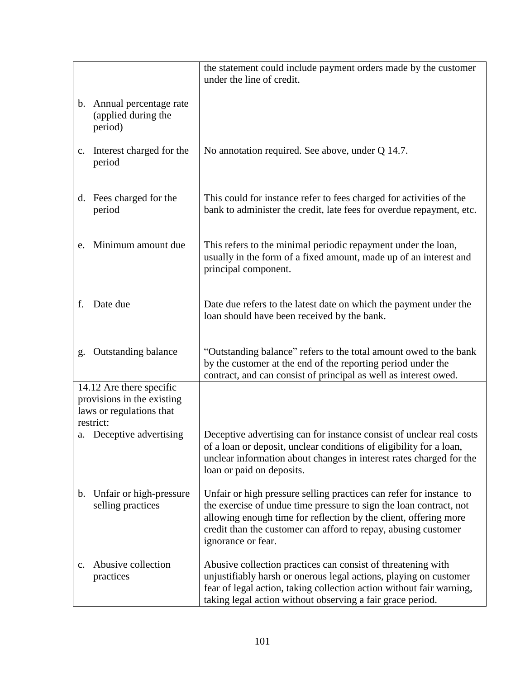|                |                                                                                                 | the statement could include payment orders made by the customer<br>under the line of credit.                                                                                                                                                                                                          |
|----------------|-------------------------------------------------------------------------------------------------|-------------------------------------------------------------------------------------------------------------------------------------------------------------------------------------------------------------------------------------------------------------------------------------------------------|
|                | b. Annual percentage rate<br>(applied during the<br>period)                                     |                                                                                                                                                                                                                                                                                                       |
| c.             | Interest charged for the<br>period                                                              | No annotation required. See above, under Q 14.7.                                                                                                                                                                                                                                                      |
|                | d. Fees charged for the<br>period                                                               | This could for instance refer to fees charged for activities of the<br>bank to administer the credit, late fees for overdue repayment, etc.                                                                                                                                                           |
| e.             | Minimum amount due                                                                              | This refers to the minimal periodic repayment under the loan,<br>usually in the form of a fixed amount, made up of an interest and<br>principal component.                                                                                                                                            |
| f.             | Date due                                                                                        | Date due refers to the latest date on which the payment under the<br>loan should have been received by the bank.                                                                                                                                                                                      |
| g.             | <b>Outstanding balance</b>                                                                      | "Outstanding balance" refers to the total amount owed to the bank<br>by the customer at the end of the reporting period under the<br>contract, and can consist of principal as well as interest owed.                                                                                                 |
|                | 14.12 Are there specific<br>provisions in the existing<br>laws or regulations that<br>restrict: |                                                                                                                                                                                                                                                                                                       |
|                | a. Deceptive advertising                                                                        | Deceptive advertising can for instance consist of unclear real costs<br>of a loan or deposit, unclear conditions of eligibility for a loan,<br>unclear information about changes in interest rates charged for the<br>loan or paid on deposits.                                                       |
| b.             | Unfair or high-pressure<br>selling practices                                                    | Unfair or high pressure selling practices can refer for instance to<br>the exercise of undue time pressure to sign the loan contract, not<br>allowing enough time for reflection by the client, offering more<br>credit than the customer can afford to repay, abusing customer<br>ignorance or fear. |
| $\mathbf{c}$ . | Abusive collection<br>practices                                                                 | Abusive collection practices can consist of threatening with<br>unjustifiably harsh or onerous legal actions, playing on customer<br>fear of legal action, taking collection action without fair warning,<br>taking legal action without observing a fair grace period.                               |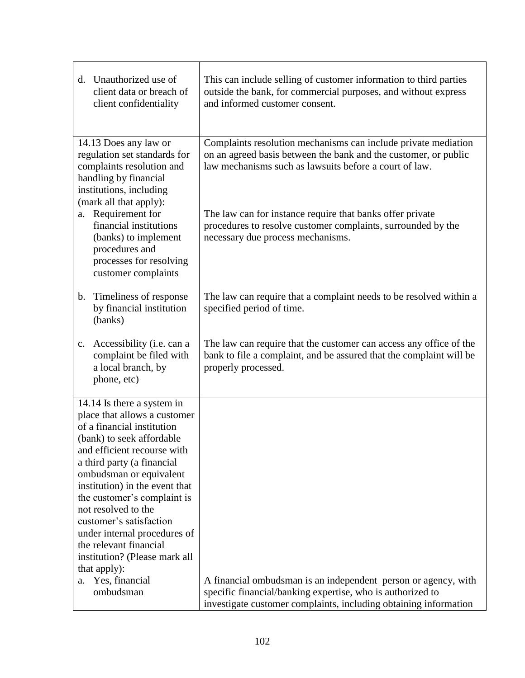| d. Unauthorized use of<br>client data or breach of<br>client confidentiality                                                                                                                                                                                                                                                                                                                                                                                                     | This can include selling of customer information to third parties<br>outside the bank, for commercial purposes, and without express<br>and informed customer consent.                                                                                                                                                                                         |
|----------------------------------------------------------------------------------------------------------------------------------------------------------------------------------------------------------------------------------------------------------------------------------------------------------------------------------------------------------------------------------------------------------------------------------------------------------------------------------|---------------------------------------------------------------------------------------------------------------------------------------------------------------------------------------------------------------------------------------------------------------------------------------------------------------------------------------------------------------|
| 14.13 Does any law or<br>regulation set standards for<br>complaints resolution and<br>handling by financial<br>institutions, including<br>(mark all that apply):<br>a. Requirement for<br>financial institutions<br>(banks) to implement<br>procedures and<br>processes for resolving<br>customer complaints                                                                                                                                                                     | Complaints resolution mechanisms can include private mediation<br>on an agreed basis between the bank and the customer, or public<br>law mechanisms such as lawsuits before a court of law.<br>The law can for instance require that banks offer private<br>procedures to resolve customer complaints, surrounded by the<br>necessary due process mechanisms. |
| Timeliness of response<br>b.<br>by financial institution<br>(banks)                                                                                                                                                                                                                                                                                                                                                                                                              | The law can require that a complaint needs to be resolved within a<br>specified period of time.                                                                                                                                                                                                                                                               |
| Accessibility (i.e. can a<br>c.<br>complaint be filed with<br>a local branch, by<br>phone, etc)                                                                                                                                                                                                                                                                                                                                                                                  | The law can require that the customer can access any office of the<br>bank to file a complaint, and be assured that the complaint will be<br>properly processed.                                                                                                                                                                                              |
| 14.14 Is there a system in<br>place that allows a customer<br>of a financial institution<br>(bank) to seek affordable<br>and efficient recourse with<br>a third party (a financial<br>ombudsman or equivalent<br>institution) in the event that<br>the customer's complaint is<br>not resolved to the<br>customer's satisfaction<br>under internal procedures of<br>the relevant financial<br>institution? (Please mark all<br>that apply):<br>Yes, financial<br>a.<br>ombudsman | A financial ombudsman is an independent person or agency, with<br>specific financial/banking expertise, who is authorized to<br>investigate customer complaints, including obtaining information                                                                                                                                                              |